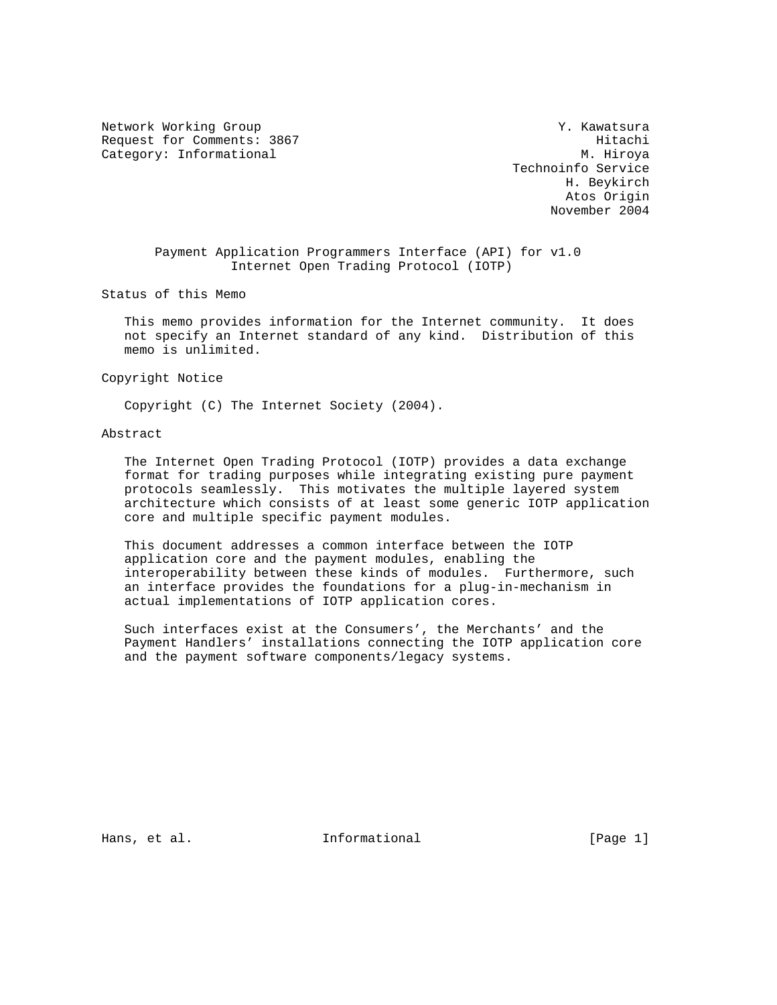Network Working Group Network Working Group Network Working Group Request for Comments: 3867 Hitachi Category: Informational M. Hiroya

 Technoinfo Service H. Beykirch Atos Origin November 2004

 Payment Application Programmers Interface (API) for v1.0 Internet Open Trading Protocol (IOTP)

Status of this Memo

 This memo provides information for the Internet community. It does not specify an Internet standard of any kind. Distribution of this memo is unlimited.

Copyright Notice

Copyright (C) The Internet Society (2004).

## Abstract

 The Internet Open Trading Protocol (IOTP) provides a data exchange format for trading purposes while integrating existing pure payment protocols seamlessly. This motivates the multiple layered system architecture which consists of at least some generic IOTP application core and multiple specific payment modules.

 This document addresses a common interface between the IOTP application core and the payment modules, enabling the interoperability between these kinds of modules. Furthermore, such an interface provides the foundations for a plug-in-mechanism in actual implementations of IOTP application cores.

 Such interfaces exist at the Consumers', the Merchants' and the Payment Handlers' installations connecting the IOTP application core and the payment software components/legacy systems.

Hans, et al. **Informational** [Page 1]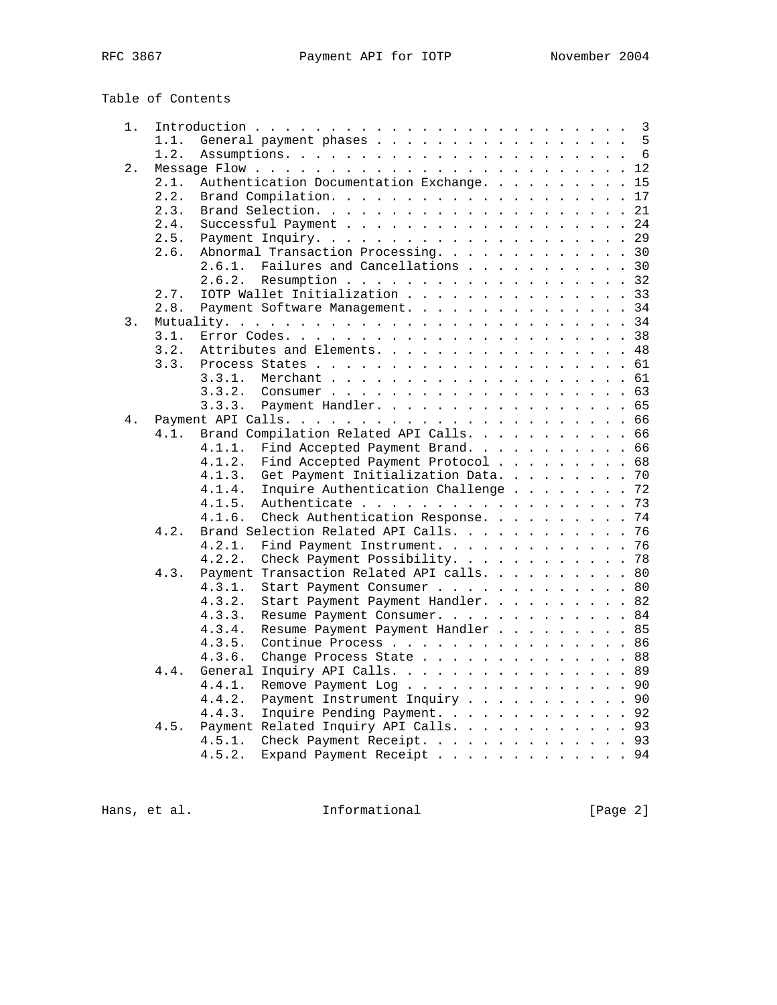| Table of Contents |  |
|-------------------|--|
|-------------------|--|

| 1. |      |                                                                                                     |    |
|----|------|-----------------------------------------------------------------------------------------------------|----|
|    | 1.1. | General payment phases 5                                                                            |    |
|    | 1.2. |                                                                                                     |    |
| 2. |      |                                                                                                     |    |
|    | 2.1. | Authentication Documentation Exchange.                                                              | 15 |
|    | 2.2. |                                                                                                     | 17 |
|    | 2.3. |                                                                                                     | 21 |
|    | 2.4. |                                                                                                     | 24 |
|    | 2.5. |                                                                                                     | 29 |
|    | 2.6. | Abnormal Transaction Processing. 30                                                                 |    |
|    |      | Failures and Cancellations 30<br>2.6.1.                                                             |    |
|    |      | Resumption 32<br>2.6.2.                                                                             |    |
|    | 2.7. | IOTP Wallet Initialization 33                                                                       |    |
|    | 2.8. | Payment Software Management. 34                                                                     |    |
| 3. |      |                                                                                                     |    |
|    | 3.1. |                                                                                                     |    |
|    | 3.2. | Attributes and Elements.                                                                            | 48 |
|    | 3.3. |                                                                                                     |    |
|    |      |                                                                                                     |    |
|    |      | 3.3.1.                                                                                              |    |
|    |      | 3.3.2.<br>Consumer $\cdots$ $\cdots$ $\cdots$ $\cdots$ $\cdots$ $\cdots$ $\cdots$ $\cdots$ $\cdots$ | 63 |
|    |      | Payment Handler. 65<br>3.3.3.                                                                       |    |
| 4. |      |                                                                                                     | 66 |
|    | 4.1. | Brand Compilation Related API Calls.                                                                | 66 |
|    |      | Find Accepted Payment Brand. 66<br>4.1.1.                                                           |    |
|    |      | Find Accepted Payment Protocol 68<br>4.1.2.                                                         |    |
|    |      | Get Payment Initialization Data.<br>4.1.3.                                                          | 70 |
|    |      | Inquire Authentication Challenge<br>4.1.4.                                                          | 72 |
|    |      | 4.1.5.<br>Authenticate                                                                              | 73 |
|    |      | 4.1.6.<br>Check Authentication Response.                                                            | 74 |
|    | 4.2. | Brand Selection Related API Calls.                                                                  | 76 |
|    |      | Find Payment Instrument.<br>4.2.1.                                                                  | 76 |
|    |      | 4.2.2.<br>Check Payment Possibility. 78                                                             |    |
|    | 4.3. | Payment Transaction Related API calls. 80                                                           |    |
|    |      | Start Payment Consumer 80<br>4.3.1.                                                                 |    |
|    |      | Start Payment Payment Handler. 82<br>4.3.2.                                                         |    |
|    |      | 4.3.3.<br>Resume Payment Consumer. 84                                                               |    |
|    |      | 4.3.4.<br>Resume Payment Payment Handler 85                                                         |    |
|    |      | 4.3.5.<br>Continue Process 86                                                                       |    |
|    |      | 4.3.6.<br>Change Process State $\cdots$ $\cdots$ $\cdots$ $\cdots$ $\cdots$ $\cdots$ $\cdots$ 88    |    |
|    | 4.4. | General<br>Inquiry API Calls. 89                                                                    |    |
|    |      | 4.4.1.<br>Remove Payment Log                                                                        | 90 |
|    |      | Payment Instrument Inquiry 90<br>4.4.2.                                                             |    |
|    |      | Inquire Pending Payment. 92<br>4.4.3.                                                               |    |
|    | 4.5. | Payment Related Inquiry API Calls.                                                                  | 93 |
|    |      | Check Payment Receipt. 93<br>4.5.1.                                                                 |    |
|    |      | 4.5.2.<br>Expand Payment Receipt 94                                                                 |    |
|    |      |                                                                                                     |    |

Hans, et al. 1nformational 1999 [Page 2]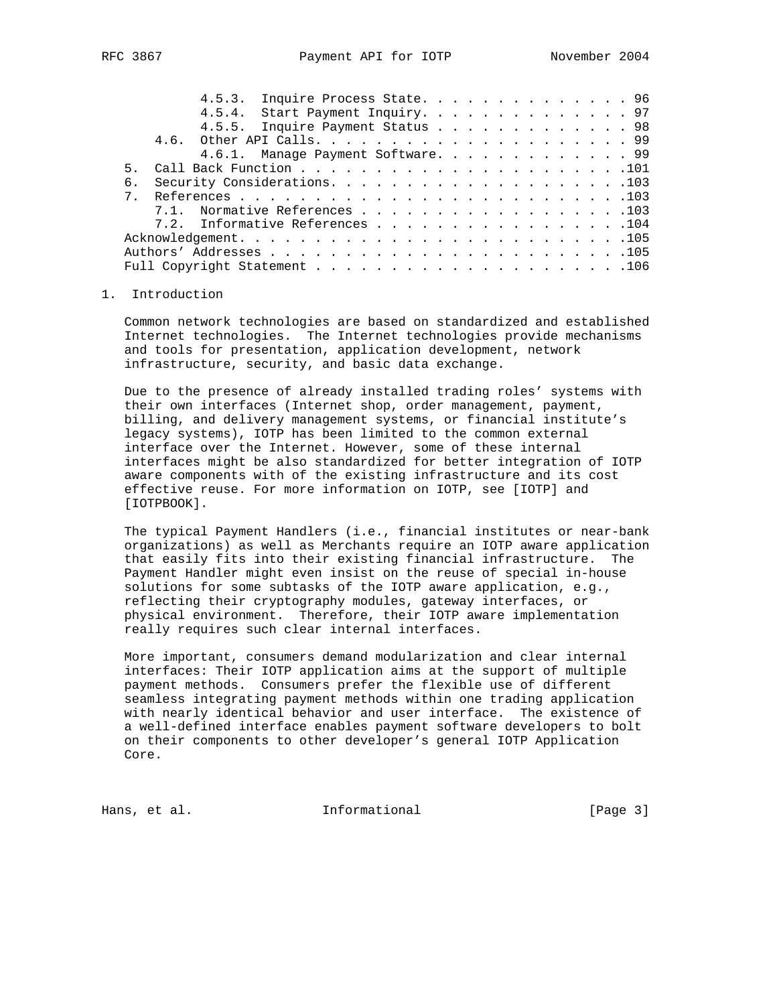| б. |  |  |  |  |  |  |                                                                                                                                                                                                                    |
|----|--|--|--|--|--|--|--------------------------------------------------------------------------------------------------------------------------------------------------------------------------------------------------------------------|
|    |  |  |  |  |  |  |                                                                                                                                                                                                                    |
|    |  |  |  |  |  |  |                                                                                                                                                                                                                    |
|    |  |  |  |  |  |  |                                                                                                                                                                                                                    |
|    |  |  |  |  |  |  |                                                                                                                                                                                                                    |
|    |  |  |  |  |  |  |                                                                                                                                                                                                                    |
|    |  |  |  |  |  |  |                                                                                                                                                                                                                    |
|    |  |  |  |  |  |  | 4.5.3. Inquire Process State. 96<br>4.5.4. Start Payment Inquiry. 97<br>4.5.5. Inquire Payment Status 98<br>4.6.1. Manage Payment Software. 99<br>7.1. Normative References 103<br>7.2. Informative References 104 |

#### 1. Introduction

 Common network technologies are based on standardized and established Internet technologies. The Internet technologies provide mechanisms and tools for presentation, application development, network infrastructure, security, and basic data exchange.

 Due to the presence of already installed trading roles' systems with their own interfaces (Internet shop, order management, payment, billing, and delivery management systems, or financial institute's legacy systems), IOTP has been limited to the common external interface over the Internet. However, some of these internal interfaces might be also standardized for better integration of IOTP aware components with of the existing infrastructure and its cost effective reuse. For more information on IOTP, see [IOTP] and [IOTPBOOK].

 The typical Payment Handlers (i.e., financial institutes or near-bank organizations) as well as Merchants require an IOTP aware application that easily fits into their existing financial infrastructure. The Payment Handler might even insist on the reuse of special in-house solutions for some subtasks of the IOTP aware application, e.g., reflecting their cryptography modules, gateway interfaces, or physical environment. Therefore, their IOTP aware implementation really requires such clear internal interfaces.

 More important, consumers demand modularization and clear internal interfaces: Their IOTP application aims at the support of multiple payment methods. Consumers prefer the flexible use of different seamless integrating payment methods within one trading application with nearly identical behavior and user interface. The existence of a well-defined interface enables payment software developers to bolt on their components to other developer's general IOTP Application Core.

Hans, et al. 10. Informational 1. [Page 3]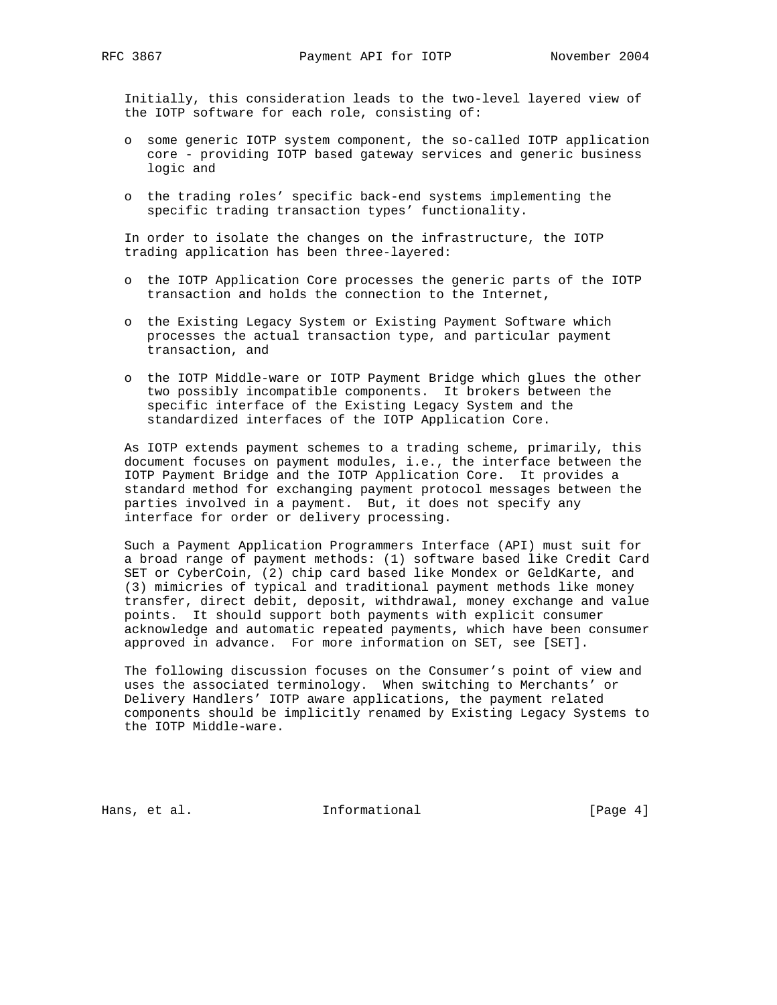Initially, this consideration leads to the two-level layered view of the IOTP software for each role, consisting of:

- o some generic IOTP system component, the so-called IOTP application core - providing IOTP based gateway services and generic business logic and
- o the trading roles' specific back-end systems implementing the specific trading transaction types' functionality.

 In order to isolate the changes on the infrastructure, the IOTP trading application has been three-layered:

- o the IOTP Application Core processes the generic parts of the IOTP transaction and holds the connection to the Internet,
- o the Existing Legacy System or Existing Payment Software which processes the actual transaction type, and particular payment transaction, and
- o the IOTP Middle-ware or IOTP Payment Bridge which glues the other two possibly incompatible components. It brokers between the specific interface of the Existing Legacy System and the standardized interfaces of the IOTP Application Core.

 As IOTP extends payment schemes to a trading scheme, primarily, this document focuses on payment modules, i.e., the interface between the IOTP Payment Bridge and the IOTP Application Core. It provides a standard method for exchanging payment protocol messages between the parties involved in a payment. But, it does not specify any interface for order or delivery processing.

 Such a Payment Application Programmers Interface (API) must suit for a broad range of payment methods: (1) software based like Credit Card SET or CyberCoin, (2) chip card based like Mondex or GeldKarte, and (3) mimicries of typical and traditional payment methods like money transfer, direct debit, deposit, withdrawal, money exchange and value points. It should support both payments with explicit consumer acknowledge and automatic repeated payments, which have been consumer approved in advance. For more information on SET, see [SET].

 The following discussion focuses on the Consumer's point of view and uses the associated terminology. When switching to Merchants' or Delivery Handlers' IOTP aware applications, the payment related components should be implicitly renamed by Existing Legacy Systems to the IOTP Middle-ware.

Hans, et al. 10. Informational 1. The league 4]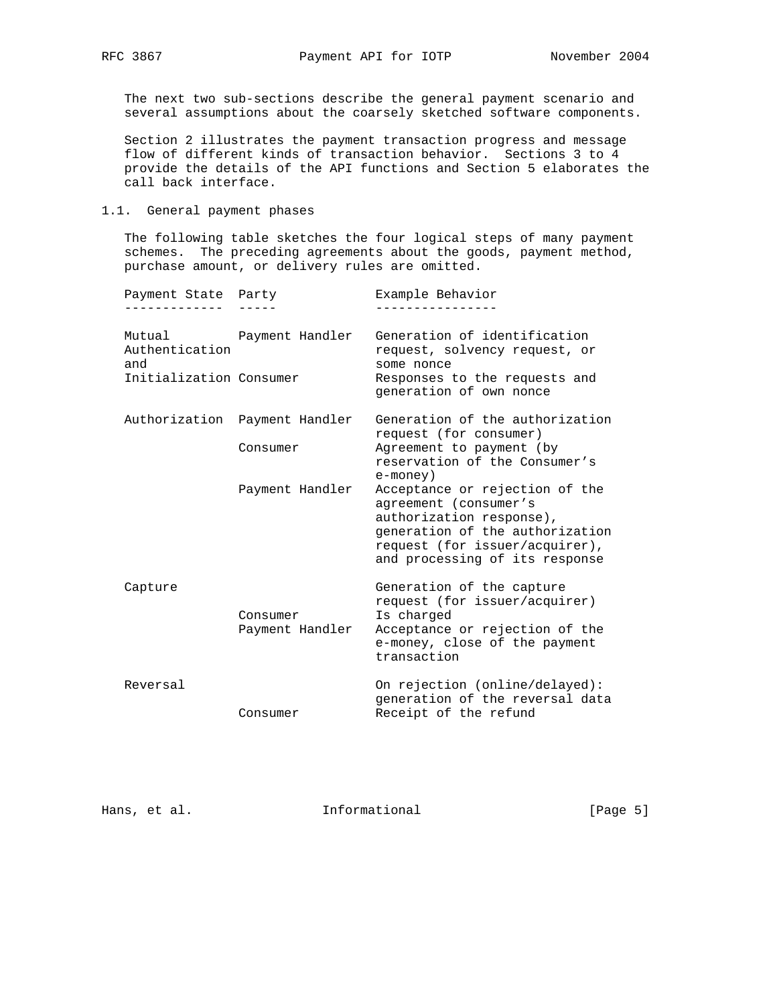The next two sub-sections describe the general payment scenario and several assumptions about the coarsely sketched software components.

 Section 2 illustrates the payment transaction progress and message flow of different kinds of transaction behavior. Sections 3 to 4 provide the details of the API functions and Section 5 elaborates the call back interface.

1.1. General payment phases

 The following table sketches the four logical steps of many payment schemes. The preceding agreements about the goods, payment method, purchase amount, or delivery rules are omitted.

| Payment State Party<br>----------                |                                           | Example Behavior                                                                                                                                                                           |
|--------------------------------------------------|-------------------------------------------|--------------------------------------------------------------------------------------------------------------------------------------------------------------------------------------------|
| Authentication<br>and<br>Initialization Consumer | Mutual Payment Handler                    | Generation of identification<br>request, solvency request, or<br>some nonce<br>Responses to the requests and<br>generation of own nonce                                                    |
|                                                  | Authorization Payment Handler<br>Consumer | Generation of the authorization<br>request (for consumer)<br>Agreement to payment (by<br>reservation of the Consumer's<br>e-money)                                                         |
|                                                  | Payment Handler                           | Acceptance or rejection of the<br>agreement (consumer's<br>authorization response),<br>generation of the authorization<br>request (for issuer/acquirer),<br>and processing of its response |
| Capture                                          | Consumer<br>Payment Handler               | Generation of the capture<br>request (for issuer/acquirer)<br>Is charged<br>Acceptance or rejection of the<br>e-money, close of the payment<br>transaction                                 |
| Reversal                                         | Consumer                                  | On rejection (online/delayed):<br>generation of the reversal data<br>Receipt of the refund                                                                                                 |

Hans, et al. 10. Informational 1. [Page 5]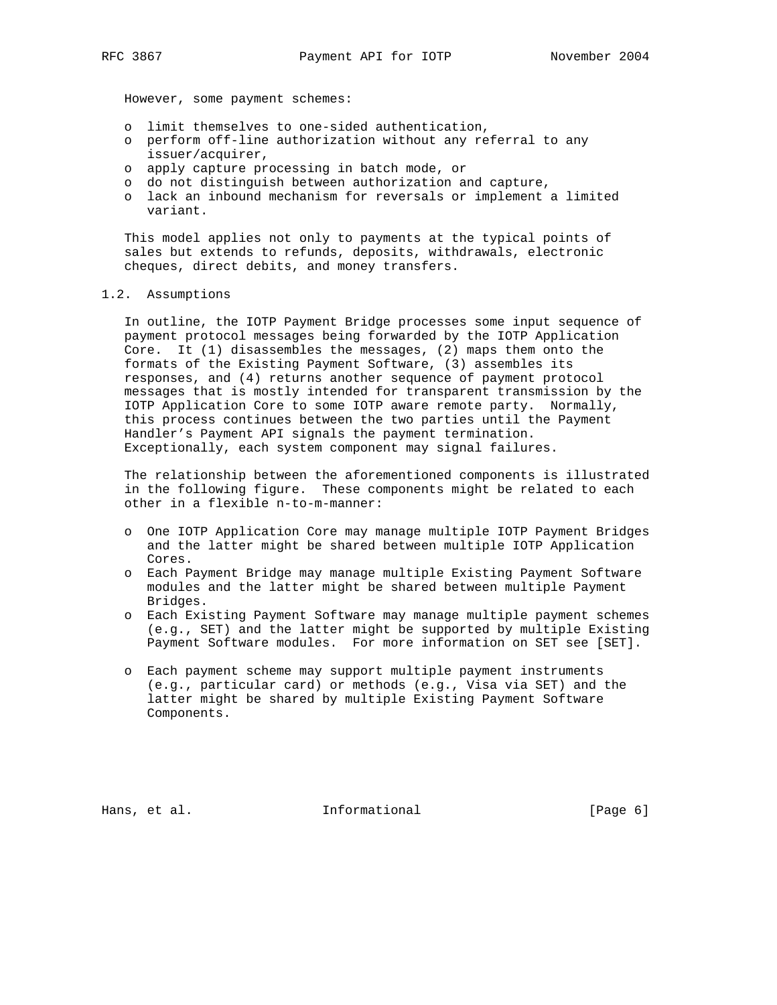However, some payment schemes:

- o limit themselves to one-sided authentication,
- o perform off-line authorization without any referral to any issuer/acquirer,
- o apply capture processing in batch mode, or
- o do not distinguish between authorization and capture,
- o lack an inbound mechanism for reversals or implement a limited variant.

 This model applies not only to payments at the typical points of sales but extends to refunds, deposits, withdrawals, electronic cheques, direct debits, and money transfers.

#### 1.2. Assumptions

 In outline, the IOTP Payment Bridge processes some input sequence of payment protocol messages being forwarded by the IOTP Application Core. It (1) disassembles the messages, (2) maps them onto the formats of the Existing Payment Software, (3) assembles its responses, and (4) returns another sequence of payment protocol messages that is mostly intended for transparent transmission by the IOTP Application Core to some IOTP aware remote party. Normally, this process continues between the two parties until the Payment Handler's Payment API signals the payment termination. Exceptionally, each system component may signal failures.

 The relationship between the aforementioned components is illustrated in the following figure. These components might be related to each other in a flexible n-to-m-manner:

- o One IOTP Application Core may manage multiple IOTP Payment Bridges and the latter might be shared between multiple IOTP Application Cores.
- o Each Payment Bridge may manage multiple Existing Payment Software modules and the latter might be shared between multiple Payment Bridges.
- o Each Existing Payment Software may manage multiple payment schemes (e.g., SET) and the latter might be supported by multiple Existing Payment Software modules. For more information on SET see [SET].
- o Each payment scheme may support multiple payment instruments (e.g., particular card) or methods (e.g., Visa via SET) and the latter might be shared by multiple Existing Payment Software Components.

Hans, et al. 10. Informational 1. [Page 6]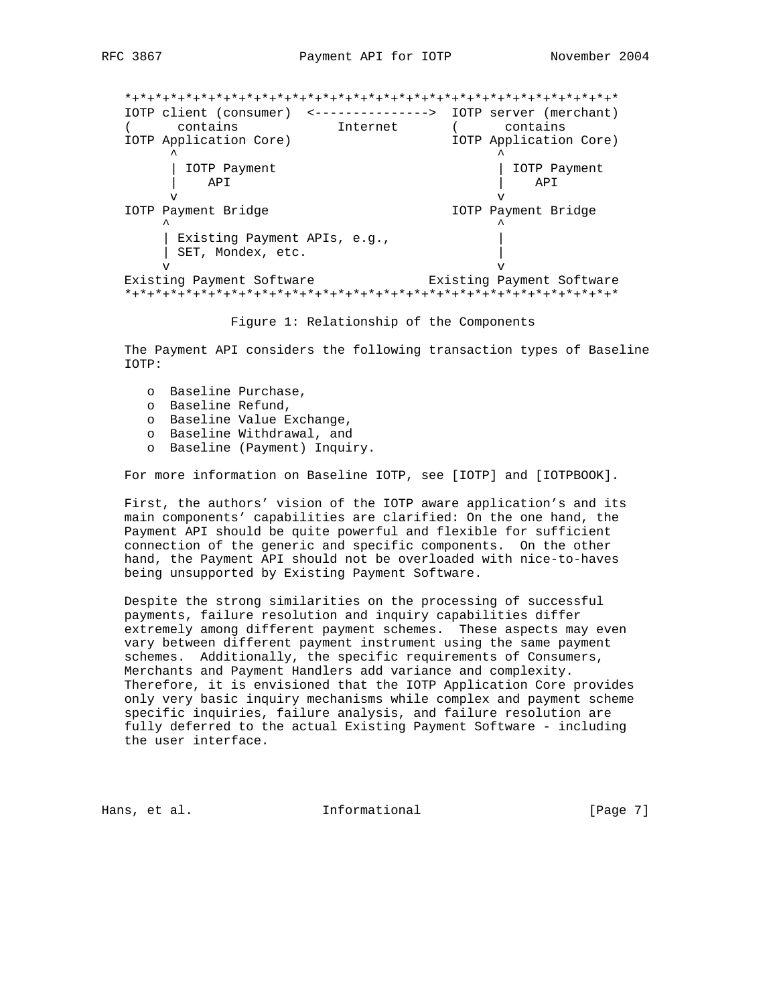\*+\*+\*+\*+\*+\*+\*+\*+\*+\*+\*+\*+\*+\*+\*+\*+\*+\*+\*+\*+\*+\*+\*+\*+\*+\*+\*+\*+\*+\*+\*+\*+\* IOTP client (consumer) <---------------> IOTP server (merchant) ( contains Internet ( contains IOTP Application Core) IOTP Application Core)  $\lambda$   $\lambda$  | IOTP Payment | IOTP Payment | API | API | API | API | API | API | API | API | API | API | API | API | API | API | API | API | API | API | API | API | API | API | API | API | API | API | API | API | API | API | API | API | API | API | API | API | API v v IOTP Payment Bridge IOTP Payment Bridge  $\wedge$   $\wedge$   $\wedge$   $\wedge$   $\wedge$   $\wedge$   $\wedge$   $\wedge$   $\wedge$   $\wedge$   $\wedge$   $\wedge$   $\wedge$   $\wedge$   $\wedge$   $\wedge$   $\wedge$   $\wedge$   $\wedge$   $\wedge$   $\wedge$   $\wedge$   $\wedge$   $\wedge$   $\wedge$   $\wedge$   $\wedge$   $\wedge$   $\wedge$   $\wedge$   $\wedge$   $\wedge$   $\wedge$   $\wedge$   $\wedge$   $\wedge$   $\wedge$  | Existing Payment APIs, e.g., | | SET, Mondex, etc. | v v Existing Payment Software **Existing Payment Software** \*+\*+\*+\*+\*+\*+\*+\*+\*+\*+\*+\*+\*+\*+\*+\*+\*+\*+\*+\*+\*+\*+\*+\*+\*+\*+\*+\*+\*+\*+\*+\*+\*

Figure 1: Relationship of the Components

 The Payment API considers the following transaction types of Baseline IOTP:

- o Baseline Purchase,
- o Baseline Refund,
- o Baseline Value Exchange,
- o Baseline Withdrawal, and
- o Baseline (Payment) Inquiry.

For more information on Baseline IOTP, see [IOTP] and [IOTPBOOK].

 First, the authors' vision of the IOTP aware application's and its main components' capabilities are clarified: On the one hand, the Payment API should be quite powerful and flexible for sufficient connection of the generic and specific components. On the other hand, the Payment API should not be overloaded with nice-to-haves being unsupported by Existing Payment Software.

 Despite the strong similarities on the processing of successful payments, failure resolution and inquiry capabilities differ extremely among different payment schemes. These aspects may even vary between different payment instrument using the same payment schemes. Additionally, the specific requirements of Consumers, Merchants and Payment Handlers add variance and complexity. Therefore, it is envisioned that the IOTP Application Core provides only very basic inquiry mechanisms while complex and payment scheme specific inquiries, failure analysis, and failure resolution are fully deferred to the actual Existing Payment Software - including the user interface.

Hans, et al. 10. Informational 1. [Page 7]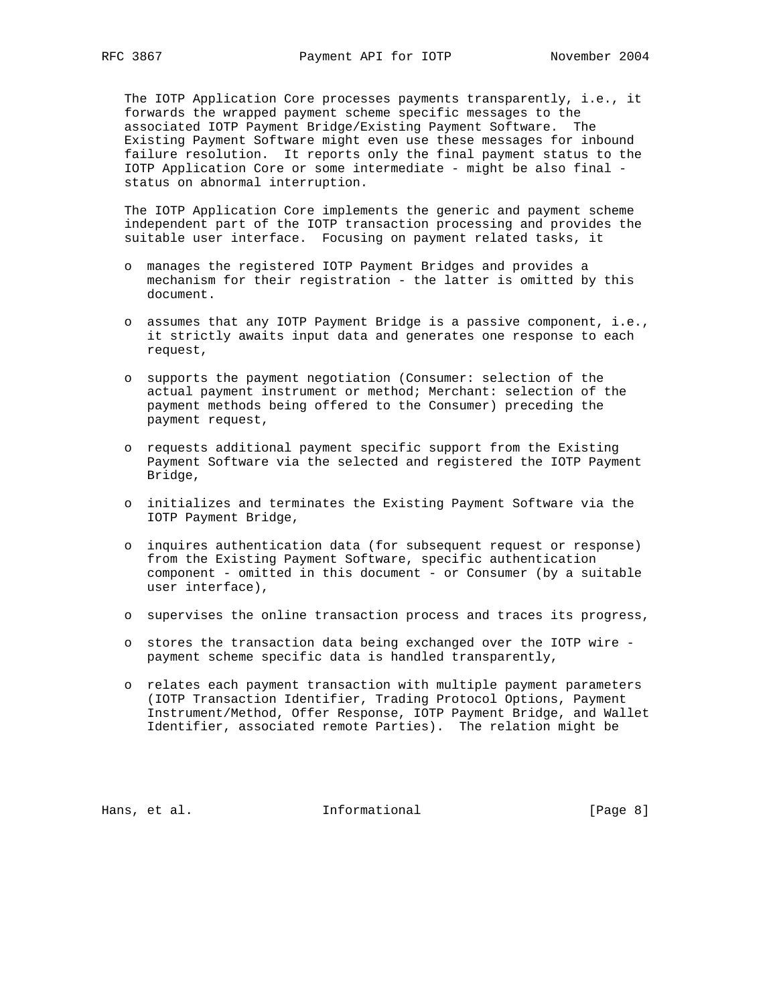The IOTP Application Core processes payments transparently, i.e., it forwards the wrapped payment scheme specific messages to the associated IOTP Payment Bridge/Existing Payment Software. The Existing Payment Software might even use these messages for inbound failure resolution. It reports only the final payment status to the IOTP Application Core or some intermediate - might be also final status on abnormal interruption.

 The IOTP Application Core implements the generic and payment scheme independent part of the IOTP transaction processing and provides the suitable user interface. Focusing on payment related tasks, it

- o manages the registered IOTP Payment Bridges and provides a mechanism for their registration - the latter is omitted by this document.
- o assumes that any IOTP Payment Bridge is a passive component, i.e., it strictly awaits input data and generates one response to each request,
- o supports the payment negotiation (Consumer: selection of the actual payment instrument or method; Merchant: selection of the payment methods being offered to the Consumer) preceding the payment request,
- o requests additional payment specific support from the Existing Payment Software via the selected and registered the IOTP Payment Bridge,
- o initializes and terminates the Existing Payment Software via the IOTP Payment Bridge,
- o inquires authentication data (for subsequent request or response) from the Existing Payment Software, specific authentication component - omitted in this document - or Consumer (by a suitable user interface),
- o supervises the online transaction process and traces its progress,
- o stores the transaction data being exchanged over the IOTP wire payment scheme specific data is handled transparently,
- o relates each payment transaction with multiple payment parameters (IOTP Transaction Identifier, Trading Protocol Options, Payment Instrument/Method, Offer Response, IOTP Payment Bridge, and Wallet Identifier, associated remote Parties). The relation might be

Hans, et al. 10. Informational 1. [Page 8]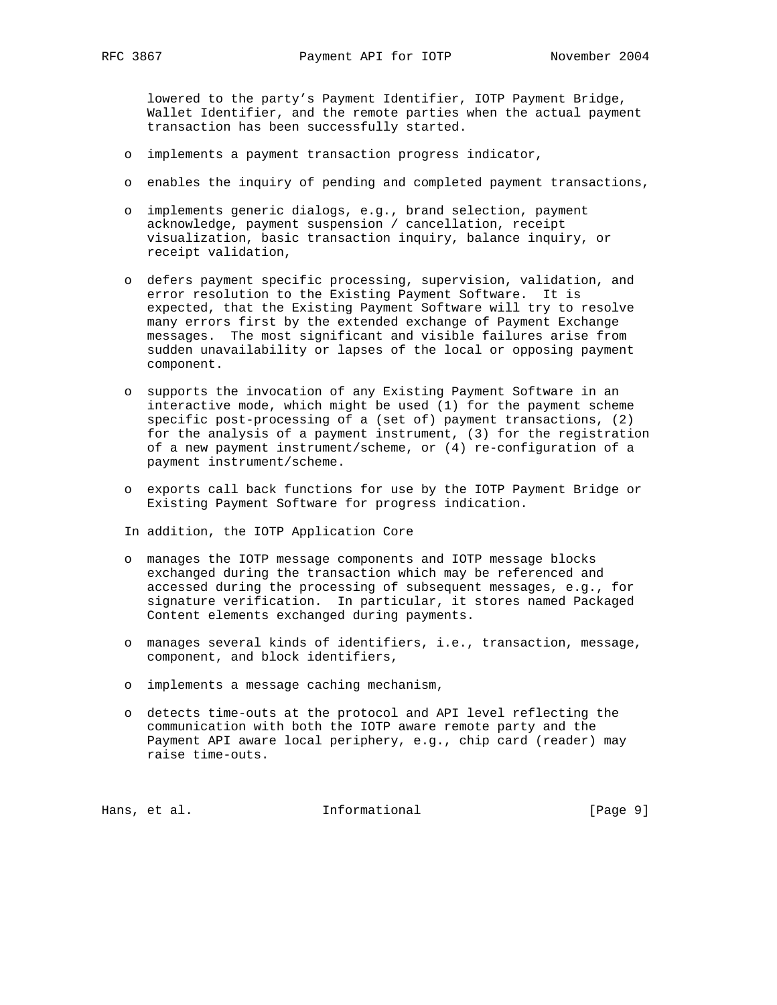lowered to the party's Payment Identifier, IOTP Payment Bridge, Wallet Identifier, and the remote parties when the actual payment transaction has been successfully started.

- o implements a payment transaction progress indicator,
- o enables the inquiry of pending and completed payment transactions,
- o implements generic dialogs, e.g., brand selection, payment acknowledge, payment suspension / cancellation, receipt visualization, basic transaction inquiry, balance inquiry, or receipt validation,
- o defers payment specific processing, supervision, validation, and error resolution to the Existing Payment Software. It is expected, that the Existing Payment Software will try to resolve many errors first by the extended exchange of Payment Exchange messages. The most significant and visible failures arise from sudden unavailability or lapses of the local or opposing payment component.
- o supports the invocation of any Existing Payment Software in an interactive mode, which might be used (1) for the payment scheme specific post-processing of a (set of) payment transactions, (2) for the analysis of a payment instrument, (3) for the registration of a new payment instrument/scheme, or (4) re-configuration of a payment instrument/scheme.
- o exports call back functions for use by the IOTP Payment Bridge or Existing Payment Software for progress indication.

In addition, the IOTP Application Core

- o manages the IOTP message components and IOTP message blocks exchanged during the transaction which may be referenced and accessed during the processing of subsequent messages, e.g., for signature verification. In particular, it stores named Packaged Content elements exchanged during payments.
- o manages several kinds of identifiers, i.e., transaction, message, component, and block identifiers,
- o implements a message caching mechanism,
- o detects time-outs at the protocol and API level reflecting the communication with both the IOTP aware remote party and the Payment API aware local periphery, e.g., chip card (reader) may raise time-outs.

Hans, et al. 10. Informational 1. [Page 9]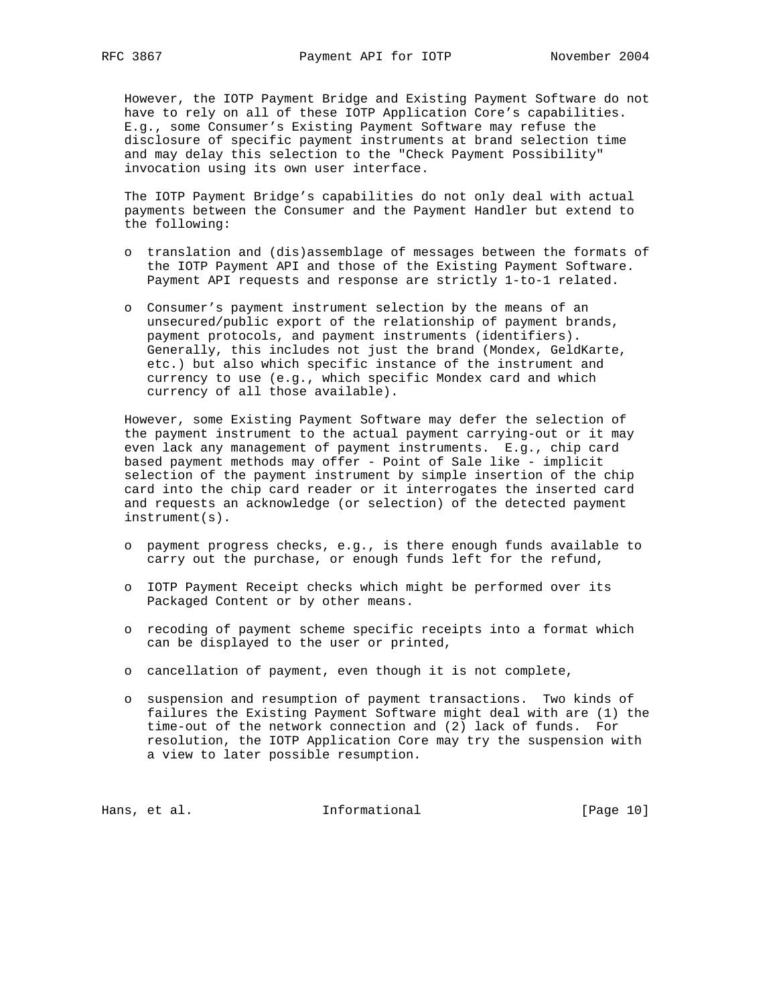However, the IOTP Payment Bridge and Existing Payment Software do not have to rely on all of these IOTP Application Core's capabilities. E.g., some Consumer's Existing Payment Software may refuse the disclosure of specific payment instruments at brand selection time and may delay this selection to the "Check Payment Possibility" invocation using its own user interface.

 The IOTP Payment Bridge's capabilities do not only deal with actual payments between the Consumer and the Payment Handler but extend to the following:

- o translation and (dis)assemblage of messages between the formats of the IOTP Payment API and those of the Existing Payment Software. Payment API requests and response are strictly 1-to-1 related.
- o Consumer's payment instrument selection by the means of an unsecured/public export of the relationship of payment brands, payment protocols, and payment instruments (identifiers). Generally, this includes not just the brand (Mondex, GeldKarte, etc.) but also which specific instance of the instrument and currency to use (e.g., which specific Mondex card and which currency of all those available).

 However, some Existing Payment Software may defer the selection of the payment instrument to the actual payment carrying-out or it may even lack any management of payment instruments. E.g., chip card based payment methods may offer - Point of Sale like - implicit selection of the payment instrument by simple insertion of the chip card into the chip card reader or it interrogates the inserted card and requests an acknowledge (or selection) of the detected payment instrument(s).

- o payment progress checks, e.g., is there enough funds available to carry out the purchase, or enough funds left for the refund,
- o IOTP Payment Receipt checks which might be performed over its Packaged Content or by other means.
- o recoding of payment scheme specific receipts into a format which can be displayed to the user or printed,
- o cancellation of payment, even though it is not complete,
- o suspension and resumption of payment transactions. Two kinds of failures the Existing Payment Software might deal with are (1) the time-out of the network connection and (2) lack of funds. For resolution, the IOTP Application Core may try the suspension with a view to later possible resumption.

Hans, et al. 10 1nformational 111 [Page 10]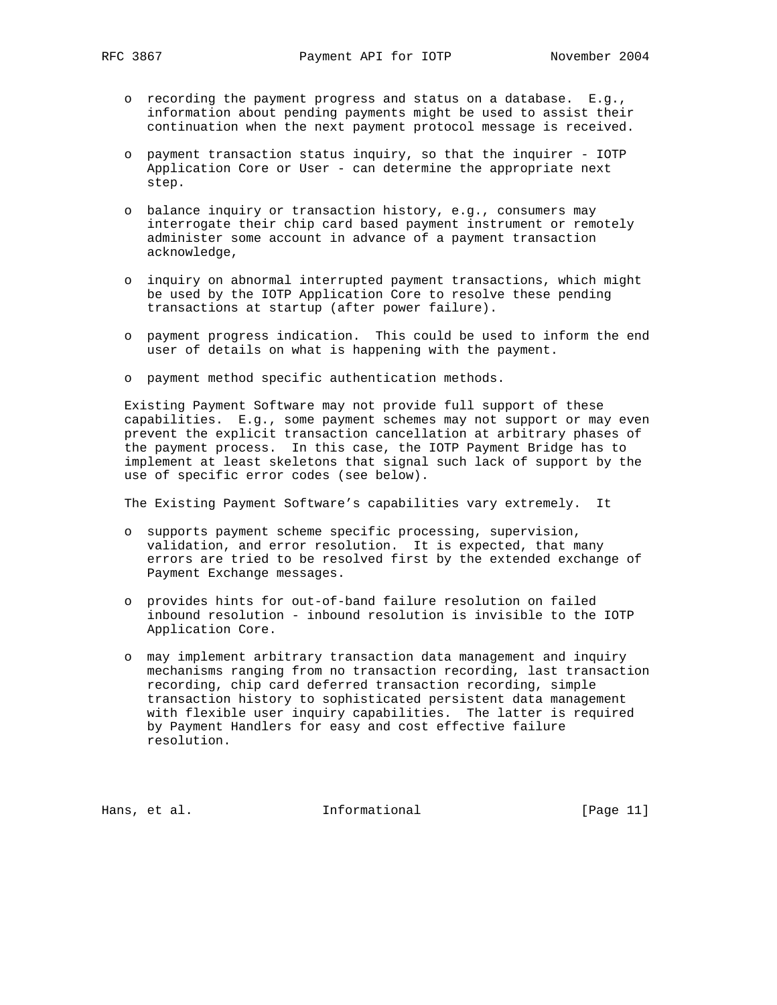- o recording the payment progress and status on a database. E.g., information about pending payments might be used to assist their continuation when the next payment protocol message is received.
- o payment transaction status inquiry, so that the inquirer IOTP Application Core or User - can determine the appropriate next step.
- o balance inquiry or transaction history, e.g., consumers may interrogate their chip card based payment instrument or remotely administer some account in advance of a payment transaction acknowledge,
- o inquiry on abnormal interrupted payment transactions, which might be used by the IOTP Application Core to resolve these pending transactions at startup (after power failure).
- o payment progress indication. This could be used to inform the end user of details on what is happening with the payment.
- o payment method specific authentication methods.

 Existing Payment Software may not provide full support of these capabilities. E.g., some payment schemes may not support or may even prevent the explicit transaction cancellation at arbitrary phases of the payment process. In this case, the IOTP Payment Bridge has to implement at least skeletons that signal such lack of support by the use of specific error codes (see below).

The Existing Payment Software's capabilities vary extremely. It

- o supports payment scheme specific processing, supervision, validation, and error resolution. It is expected, that many errors are tried to be resolved first by the extended exchange of Payment Exchange messages.
- o provides hints for out-of-band failure resolution on failed inbound resolution - inbound resolution is invisible to the IOTP Application Core.
- o may implement arbitrary transaction data management and inquiry mechanisms ranging from no transaction recording, last transaction recording, chip card deferred transaction recording, simple transaction history to sophisticated persistent data management with flexible user inquiry capabilities. The latter is required by Payment Handlers for easy and cost effective failure resolution.

Hans, et al. 10. Informational 1. [Page 11]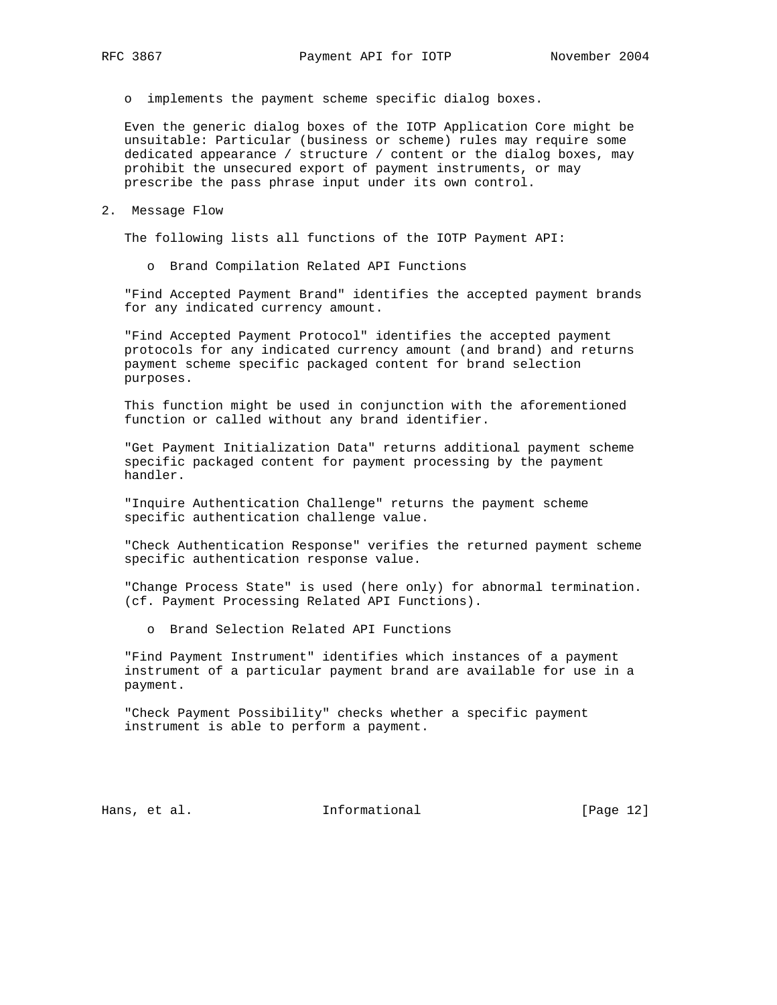o implements the payment scheme specific dialog boxes.

 Even the generic dialog boxes of the IOTP Application Core might be unsuitable: Particular (business or scheme) rules may require some dedicated appearance / structure / content or the dialog boxes, may prohibit the unsecured export of payment instruments, or may prescribe the pass phrase input under its own control.

2. Message Flow

The following lists all functions of the IOTP Payment API:

o Brand Compilation Related API Functions

 "Find Accepted Payment Brand" identifies the accepted payment brands for any indicated currency amount.

 "Find Accepted Payment Protocol" identifies the accepted payment protocols for any indicated currency amount (and brand) and returns payment scheme specific packaged content for brand selection purposes.

 This function might be used in conjunction with the aforementioned function or called without any brand identifier.

 "Get Payment Initialization Data" returns additional payment scheme specific packaged content for payment processing by the payment handler.

 "Inquire Authentication Challenge" returns the payment scheme specific authentication challenge value.

 "Check Authentication Response" verifies the returned payment scheme specific authentication response value.

 "Change Process State" is used (here only) for abnormal termination. (cf. Payment Processing Related API Functions).

o Brand Selection Related API Functions

 "Find Payment Instrument" identifies which instances of a payment instrument of a particular payment brand are available for use in a payment.

 "Check Payment Possibility" checks whether a specific payment instrument is able to perform a payment.

Hans, et al. 10. Informational 1. [Page 12]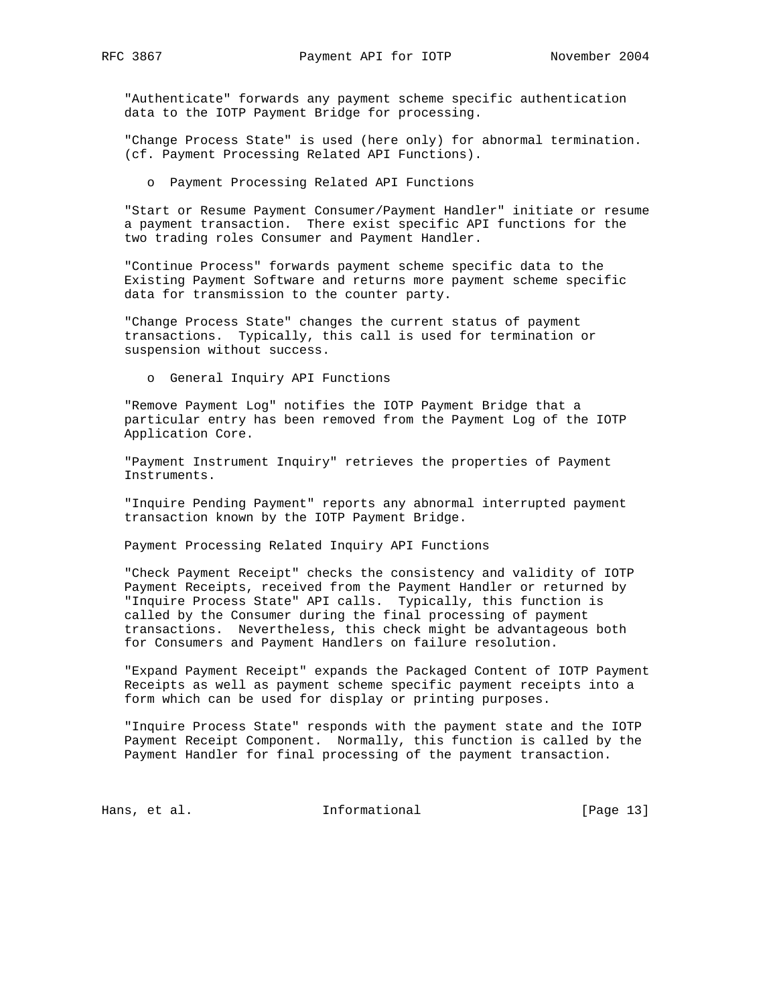"Authenticate" forwards any payment scheme specific authentication data to the IOTP Payment Bridge for processing.

 "Change Process State" is used (here only) for abnormal termination. (cf. Payment Processing Related API Functions).

o Payment Processing Related API Functions

 "Start or Resume Payment Consumer/Payment Handler" initiate or resume a payment transaction. There exist specific API functions for the two trading roles Consumer and Payment Handler.

 "Continue Process" forwards payment scheme specific data to the Existing Payment Software and returns more payment scheme specific data for transmission to the counter party.

 "Change Process State" changes the current status of payment transactions. Typically, this call is used for termination or suspension without success.

o General Inquiry API Functions

 "Remove Payment Log" notifies the IOTP Payment Bridge that a particular entry has been removed from the Payment Log of the IOTP Application Core.

 "Payment Instrument Inquiry" retrieves the properties of Payment Instruments.

 "Inquire Pending Payment" reports any abnormal interrupted payment transaction known by the IOTP Payment Bridge.

Payment Processing Related Inquiry API Functions

 "Check Payment Receipt" checks the consistency and validity of IOTP Payment Receipts, received from the Payment Handler or returned by "Inquire Process State" API calls. Typically, this function is called by the Consumer during the final processing of payment transactions. Nevertheless, this check might be advantageous both for Consumers and Payment Handlers on failure resolution.

 "Expand Payment Receipt" expands the Packaged Content of IOTP Payment Receipts as well as payment scheme specific payment receipts into a form which can be used for display or printing purposes.

 "Inquire Process State" responds with the payment state and the IOTP Payment Receipt Component. Normally, this function is called by the Payment Handler for final processing of the payment transaction.

Hans, et al. 10. Informational 1. [Page 13]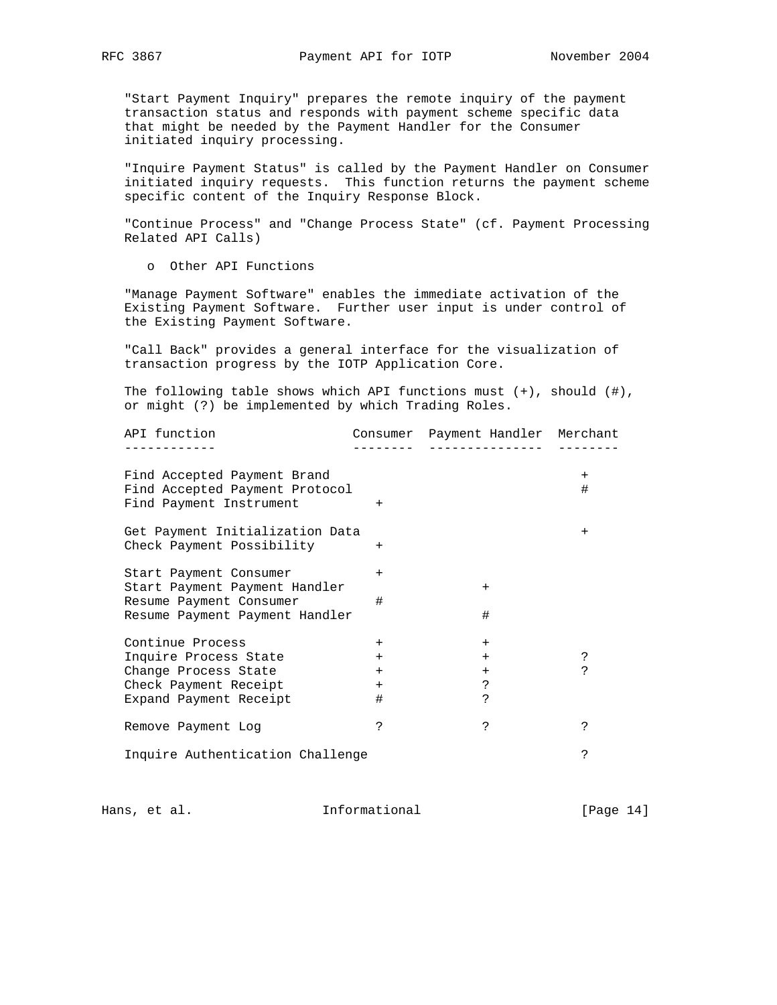"Start Payment Inquiry" prepares the remote inquiry of the payment transaction status and responds with payment scheme specific data that might be needed by the Payment Handler for the Consumer initiated inquiry processing.

 "Inquire Payment Status" is called by the Payment Handler on Consumer initiated inquiry requests. This function returns the payment scheme specific content of the Inquiry Response Block.

 "Continue Process" and "Change Process State" (cf. Payment Processing Related API Calls)

o Other API Functions

 "Manage Payment Software" enables the immediate activation of the Existing Payment Software. Further user input is under control of the Existing Payment Software.

 "Call Back" provides a general interface for the visualization of transaction progress by the IOTP Application Core.

 The following table shows which API functions must (+), should (#), or might (?) be implemented by which Trading Roles.

| API function                     |            | Consumer Payment Handler Merchant |        |
|----------------------------------|------------|-----------------------------------|--------|
|                                  |            |                                   |        |
| Find Accepted Payment Brand      |            |                                   | $^{+}$ |
| Find Accepted Payment Protocol   |            |                                   | #      |
| Find Payment Instrument          | $+$        |                                   |        |
| Get Payment Initialization Data  |            |                                   | $^{+}$ |
| Check Payment Possibility        | $+$        |                                   |        |
| Start Payment Consumer           | $+$        |                                   |        |
| Start Payment Payment Handler    |            | $^{+}$                            |        |
| Resume Payment Consumer          | #          |                                   |        |
| Resume Payment Payment Handler   |            | #                                 |        |
| Continue Process                 | $^{+}$     | $^{+}$                            |        |
| Inquire Process State            | $^{+}$     | $^{+}$                            |        |
| Change Process State             | $+$        | $+$                               | Ċ.     |
| Check Payment Receipt            | $+$        | د.                                |        |
| Expand Payment Receipt           | #          | Ċ.                                |        |
| Remove Payment Log               | <u>ر</u> . | S.                                | ç      |
| Inquire Authentication Challenge |            |                                   | S.     |

Hans, et al. 10. Informational 1. [Page 14]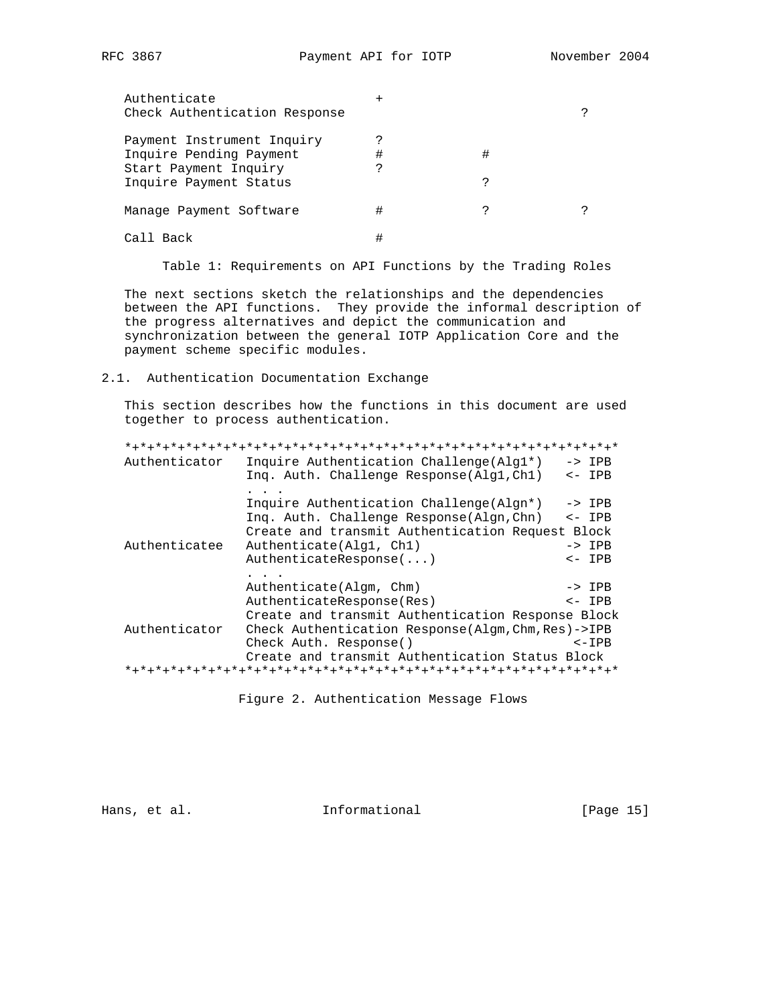| Authenticate<br>Check Authentication Response |   |   |  |
|-----------------------------------------------|---|---|--|
| Payment Instrument Inquiry                    |   |   |  |
| Inquire Pending Payment                       | # | # |  |
| Start Payment Inquiry                         |   |   |  |
| Inquire Payment Status                        |   |   |  |
| Manage Payment Software                       | # |   |  |
| Call Back                                     |   |   |  |

Table 1: Requirements on API Functions by the Trading Roles

 The next sections sketch the relationships and the dependencies between the API functions. They provide the informal description of the progress alternatives and depict the communication and synchronization between the general IOTP Application Core and the payment scheme specific modules.

### 2.1. Authentication Documentation Exchange

 This section describes how the functions in this document are used together to process authentication.

| Authenticator | Inquire Authentication Challenge (Alg1*)             | $\rightarrow$ IPB |
|---------------|------------------------------------------------------|-------------------|
|               | Ing. Auth. Challenge Response(Alg1,Ch1)              | $\leftarrow$ IPB  |
|               |                                                      |                   |
|               | Inquire Authentication Challenge (Algn*)             | $\rightarrow$ IPB |
|               | Ing. Auth. Challenge Response (Algn, Chn)            | $\leftarrow$ IPB  |
|               | Create and transmit Authentication Request Block     |                   |
| Authenticatee | Authenticate(Alq1, Ch1)                              | $->$ IPB          |
|               | Authorticate Response()                              | $\leftarrow$ IPB  |
|               |                                                      |                   |
|               | Authenticate (Algm, Chm)                             | $\rightarrow$ IPB |
|               | AuthenticateResponse(Res)                            | $\leftarrow$ IPB  |
|               | Create and transmit Authentication Response Block    |                   |
| Authenticator | Check Authentication Response (Algm, Chm, Res) ->IPB |                   |
|               | Check Auth. Response()                               | $< -$ IPB         |
|               | Create and transmit Authentication Status Block      |                   |
|               |                                                      |                   |

Figure 2. Authentication Message Flows

Hans, et al. 10. Informational 1. [Page 15]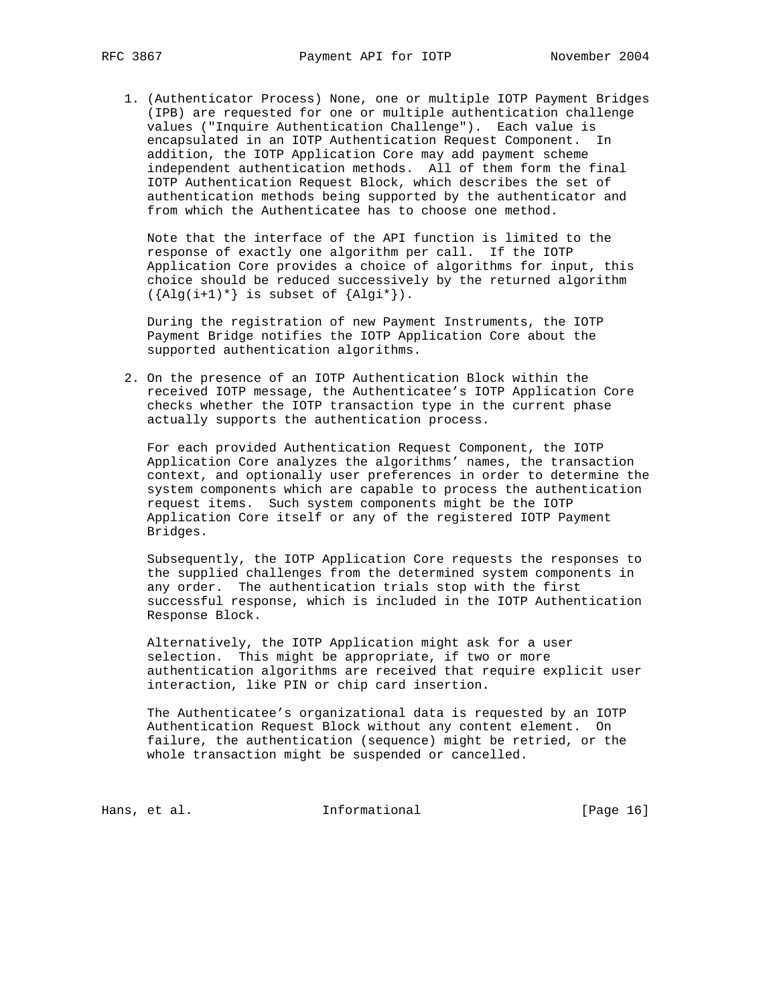1. (Authenticator Process) None, one or multiple IOTP Payment Bridges (IPB) are requested for one or multiple authentication challenge values ("Inquire Authentication Challenge"). Each value is encapsulated in an IOTP Authentication Request Component. In addition, the IOTP Application Core may add payment scheme independent authentication methods. All of them form the final IOTP Authentication Request Block, which describes the set of authentication methods being supported by the authenticator and from which the Authenticatee has to choose one method.

 Note that the interface of the API function is limited to the response of exactly one algorithm per call. If the IOTP Application Core provides a choice of algorithms for input, this choice should be reduced successively by the returned algorithm  $({\text{Alg}(i+1)*}$  is subset of  ${\text{Alg}(i*)}$ .

 During the registration of new Payment Instruments, the IOTP Payment Bridge notifies the IOTP Application Core about the supported authentication algorithms.

 2. On the presence of an IOTP Authentication Block within the received IOTP message, the Authenticatee's IOTP Application Core checks whether the IOTP transaction type in the current phase actually supports the authentication process.

 For each provided Authentication Request Component, the IOTP Application Core analyzes the algorithms' names, the transaction context, and optionally user preferences in order to determine the system components which are capable to process the authentication request items. Such system components might be the IOTP Application Core itself or any of the registered IOTP Payment Bridges.

 Subsequently, the IOTP Application Core requests the responses to the supplied challenges from the determined system components in any order. The authentication trials stop with the first successful response, which is included in the IOTP Authentication Response Block.

 Alternatively, the IOTP Application might ask for a user selection. This might be appropriate, if two or more authentication algorithms are received that require explicit user interaction, like PIN or chip card insertion.

 The Authenticatee's organizational data is requested by an IOTP Authentication Request Block without any content element. On failure, the authentication (sequence) might be retried, or the whole transaction might be suspended or cancelled.

Hans, et al. 10. Informational 1. [Page 16]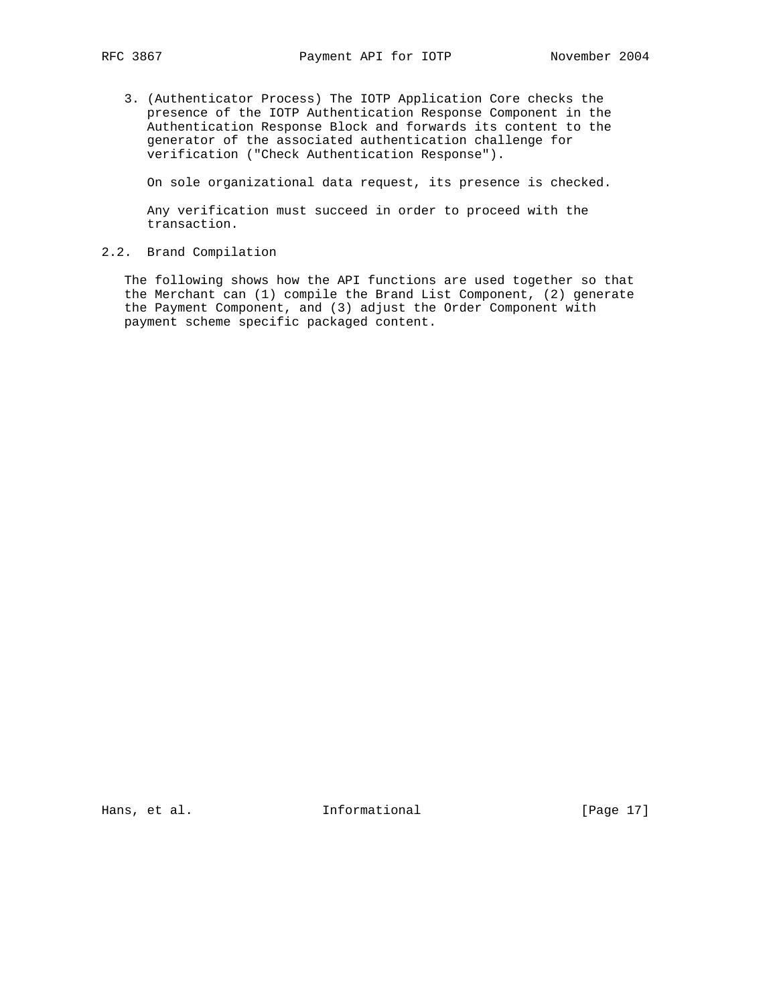3. (Authenticator Process) The IOTP Application Core checks the presence of the IOTP Authentication Response Component in the Authentication Response Block and forwards its content to the generator of the associated authentication challenge for verification ("Check Authentication Response").

On sole organizational data request, its presence is checked.

 Any verification must succeed in order to proceed with the transaction.

### 2.2. Brand Compilation

 The following shows how the API functions are used together so that the Merchant can (1) compile the Brand List Component, (2) generate the Payment Component, and (3) adjust the Order Component with payment scheme specific packaged content.

Hans, et al. 10. Informational 1. [Page 17]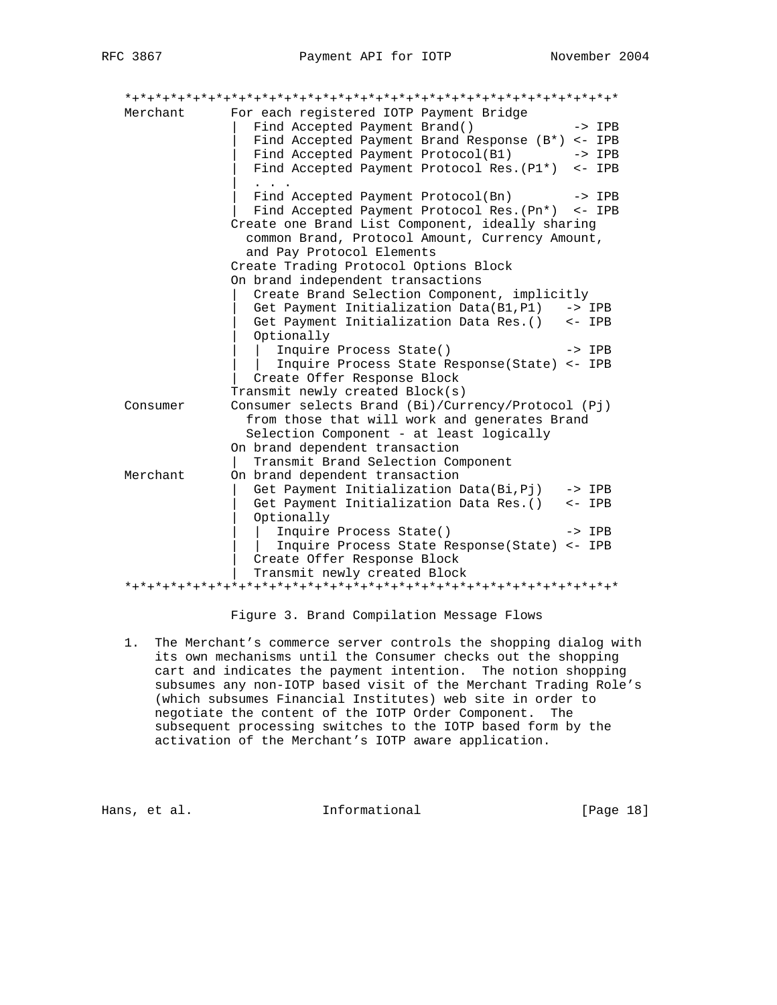| Merchant | For each registered IOTP Payment Bridge                                                                                                         |                   |
|----------|-------------------------------------------------------------------------------------------------------------------------------------------------|-------------------|
|          | Find Accepted Payment Brand()                                                                                                                   | $->$ IPB          |
|          | Find Accepted Payment Brand Response (B*) <- IPB                                                                                                |                   |
|          | Find Accepted Payment Protocol(B1)                                                                                                              | $\rightarrow$ IPB |
|          | Find Accepted Payment Protocol Res. (P1*) <- IPB                                                                                                |                   |
|          | Find Accepted Payment Protocol(Bn)                                                                                                              | $->$ IPB          |
|          | Find Accepted Payment Protocol Res. (Pn*) <- IPB                                                                                                |                   |
|          | Create one Brand List Component, ideally sharing<br>common Brand, Protocol Amount, Currency Amount,                                             |                   |
|          | and Pay Protocol Elements                                                                                                                       |                   |
|          | Create Trading Protocol Options Block                                                                                                           |                   |
|          | On brand independent transactions                                                                                                               |                   |
|          | Create Brand Selection Component, implicitly                                                                                                    |                   |
|          | Get Payment Initialization Data(B1, P1) -> IPB                                                                                                  |                   |
|          | Get Payment Initialization Data Res. () <- IPB                                                                                                  |                   |
|          | Optionally                                                                                                                                      |                   |
|          | Inquire Process State()                                                                                                                         | $\rightarrow$ IPB |
|          | Inquire Process State Response(State) <- IPB                                                                                                    |                   |
|          | Create Offer Response Block                                                                                                                     |                   |
|          | Transmit newly created Block(s)                                                                                                                 |                   |
| Consumer | Consumer selects Brand (Bi)/Currency/Protocol (Pj)<br>from those that will work and generates Brand<br>Selection Component - at least logically |                   |
|          | On brand dependent transaction                                                                                                                  |                   |
|          | Transmit Brand Selection Component                                                                                                              |                   |
| Merchant | On brand dependent transaction                                                                                                                  |                   |
|          | Get Payment Initialization Data(Bi, Pj) -> IPB                                                                                                  |                   |
|          | Get Payment Initialization Data Res. () <- IPB<br>Optionally                                                                                    |                   |
|          | Inquire Process State()                                                                                                                         | $->$ IPB          |
|          | Inquire Process State Response(State) <- IPB<br>Create Offer Response Block                                                                     |                   |
|          | Transmit newly created Block                                                                                                                    |                   |
|          |                                                                                                                                                 |                   |

# Figure 3. Brand Compilation Message Flows

 1. The Merchant's commerce server controls the shopping dialog with its own mechanisms until the Consumer checks out the shopping cart and indicates the payment intention. The notion shopping subsumes any non-IOTP based visit of the Merchant Trading Role's (which subsumes Financial Institutes) web site in order to negotiate the content of the IOTP Order Component. The subsequent processing switches to the IOTP based form by the activation of the Merchant's IOTP aware application.

Hans, et al. 10. Informational 1. [Page 18]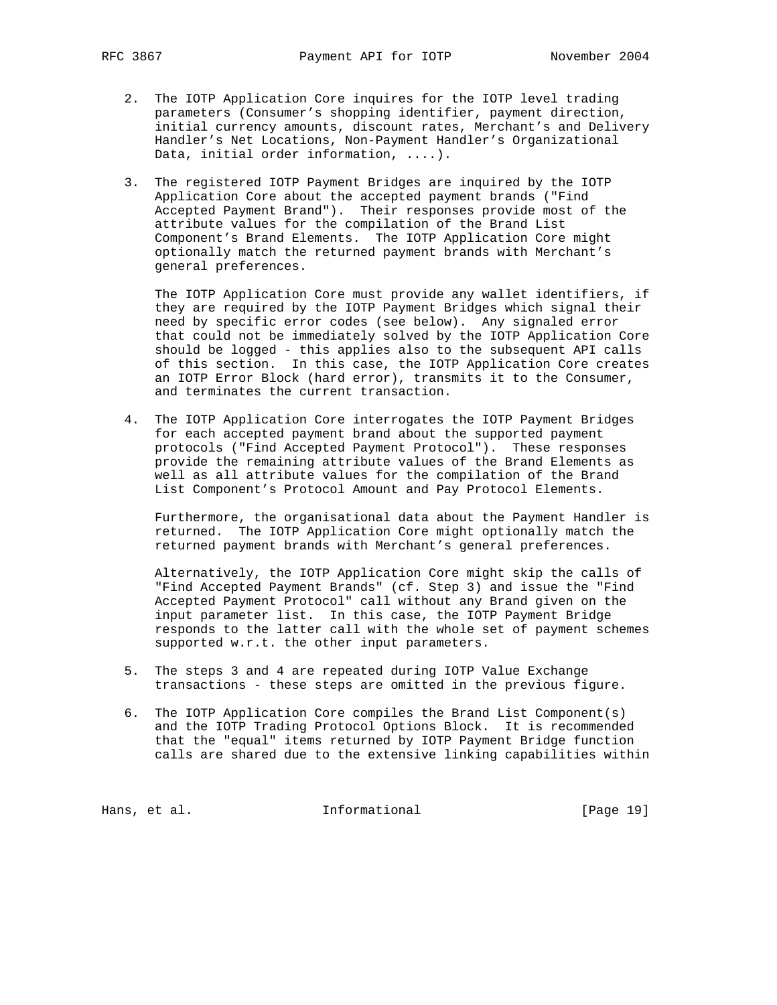- 2. The IOTP Application Core inquires for the IOTP level trading parameters (Consumer's shopping identifier, payment direction, initial currency amounts, discount rates, Merchant's and Delivery Handler's Net Locations, Non-Payment Handler's Organizational Data, initial order information, ....).
- 3. The registered IOTP Payment Bridges are inquired by the IOTP Application Core about the accepted payment brands ("Find Accepted Payment Brand"). Their responses provide most of the attribute values for the compilation of the Brand List Component's Brand Elements. The IOTP Application Core might optionally match the returned payment brands with Merchant's general preferences.

 The IOTP Application Core must provide any wallet identifiers, if they are required by the IOTP Payment Bridges which signal their need by specific error codes (see below). Any signaled error that could not be immediately solved by the IOTP Application Core should be logged - this applies also to the subsequent API calls of this section. In this case, the IOTP Application Core creates an IOTP Error Block (hard error), transmits it to the Consumer, and terminates the current transaction.

 4. The IOTP Application Core interrogates the IOTP Payment Bridges for each accepted payment brand about the supported payment protocols ("Find Accepted Payment Protocol"). These responses provide the remaining attribute values of the Brand Elements as well as all attribute values for the compilation of the Brand List Component's Protocol Amount and Pay Protocol Elements.

 Furthermore, the organisational data about the Payment Handler is returned. The IOTP Application Core might optionally match the returned payment brands with Merchant's general preferences.

 Alternatively, the IOTP Application Core might skip the calls of "Find Accepted Payment Brands" (cf. Step 3) and issue the "Find Accepted Payment Protocol" call without any Brand given on the input parameter list. In this case, the IOTP Payment Bridge responds to the latter call with the whole set of payment schemes supported w.r.t. the other input parameters.

- 5. The steps 3 and 4 are repeated during IOTP Value Exchange transactions - these steps are omitted in the previous figure.
- 6. The IOTP Application Core compiles the Brand List Component(s) and the IOTP Trading Protocol Options Block. It is recommended that the "equal" items returned by IOTP Payment Bridge function calls are shared due to the extensive linking capabilities within

Hans, et al. 10. Informational 1. [Page 19]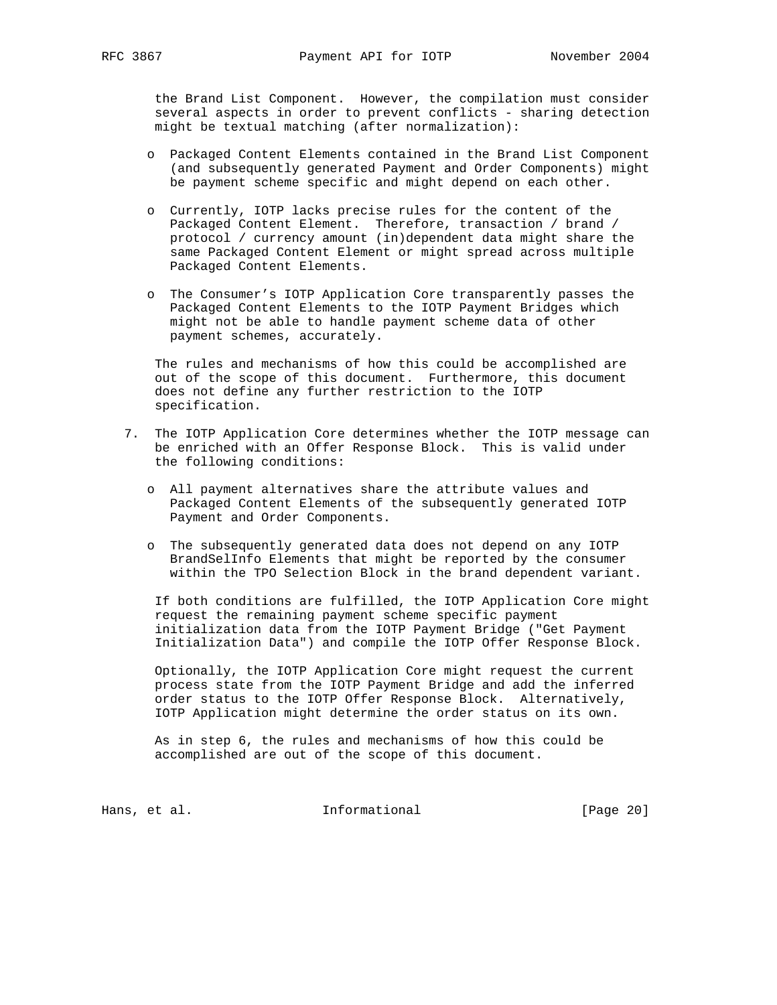the Brand List Component. However, the compilation must consider several aspects in order to prevent conflicts - sharing detection might be textual matching (after normalization):

- o Packaged Content Elements contained in the Brand List Component (and subsequently generated Payment and Order Components) might be payment scheme specific and might depend on each other.
- o Currently, IOTP lacks precise rules for the content of the Packaged Content Element. Therefore, transaction / brand / protocol / currency amount (in)dependent data might share the same Packaged Content Element or might spread across multiple Packaged Content Elements.
- o The Consumer's IOTP Application Core transparently passes the Packaged Content Elements to the IOTP Payment Bridges which might not be able to handle payment scheme data of other payment schemes, accurately.

 The rules and mechanisms of how this could be accomplished are out of the scope of this document. Furthermore, this document does not define any further restriction to the IOTP specification.

- 7. The IOTP Application Core determines whether the IOTP message can be enriched with an Offer Response Block. This is valid under the following conditions:
	- o All payment alternatives share the attribute values and Packaged Content Elements of the subsequently generated IOTP Payment and Order Components.
	- o The subsequently generated data does not depend on any IOTP BrandSelInfo Elements that might be reported by the consumer within the TPO Selection Block in the brand dependent variant.

 If both conditions are fulfilled, the IOTP Application Core might request the remaining payment scheme specific payment initialization data from the IOTP Payment Bridge ("Get Payment Initialization Data") and compile the IOTP Offer Response Block.

 Optionally, the IOTP Application Core might request the current process state from the IOTP Payment Bridge and add the inferred order status to the IOTP Offer Response Block. Alternatively, IOTP Application might determine the order status on its own.

 As in step 6, the rules and mechanisms of how this could be accomplished are out of the scope of this document.

Hans, et al. 10. Informational 1. [Page 20]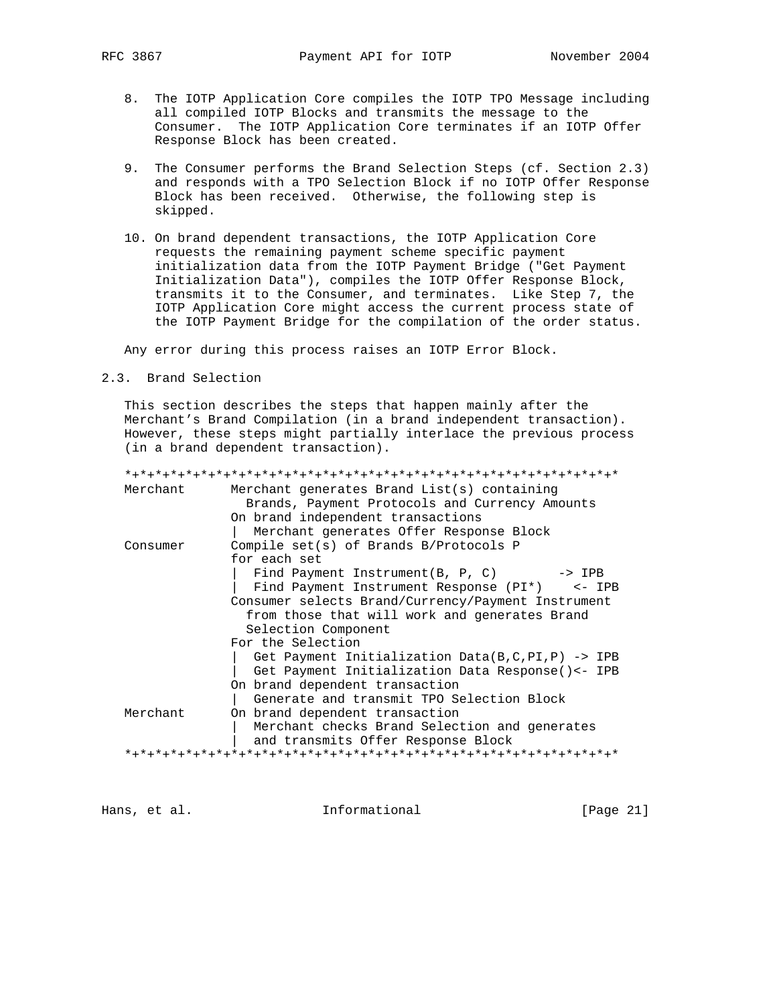- 8. The IOTP Application Core compiles the IOTP TPO Message including all compiled IOTP Blocks and transmits the message to the Consumer. The IOTP Application Core terminates if an IOTP Offer Response Block has been created.
- 9. The Consumer performs the Brand Selection Steps (cf. Section 2.3) and responds with a TPO Selection Block if no IOTP Offer Response Block has been received. Otherwise, the following step is skipped.
- 10. On brand dependent transactions, the IOTP Application Core requests the remaining payment scheme specific payment initialization data from the IOTP Payment Bridge ("Get Payment Initialization Data"), compiles the IOTP Offer Response Block, transmits it to the Consumer, and terminates. Like Step 7, the IOTP Application Core might access the current process state of the IOTP Payment Bridge for the compilation of the order status.

Any error during this process raises an IOTP Error Block.

2.3. Brand Selection

 This section describes the steps that happen mainly after the Merchant's Brand Compilation (in a brand independent transaction). However, these steps might partially interlace the previous process (in a brand dependent transaction).

\*+\*+\*+\*+\*+\*+\*+\*+\*+\*+\*+\*+\*+\*+\*+\*+\*+\*+\*+\*+\*+\*+\*+\*+\*+\*+\*+\*+\*+\*+\*+\*+\*

| Merchant | Merchant generates Brand List(s) containing         |
|----------|-----------------------------------------------------|
|          | Brands, Payment Protocols and Currency Amounts      |
|          | On brand independent transactions                   |
|          | Merchant generates Offer Response Block             |
| Consumer | Compile set(s) of Brands B/Protocols P              |
|          | for each set                                        |
|          | Find Payment Instrument (B, P, C) $\rightarrow$ IPB |
|          | Find Payment Instrument Response (PI*) <- IPB       |
|          | Consumer selects Brand/Currency/Payment Instrument  |
|          | from those that will work and generates Brand       |
|          | Selection Component                                 |
|          | For the Selection                                   |
|          | Get Payment Initialization Data(B, C, PI, P) -> IPB |
|          | Get Payment Initialization Data Response() <- IPB   |
|          | On brand dependent transaction                      |
|          | Generate and transmit TPO Selection Block           |
| Merchant | On brand dependent transaction                      |
|          | Merchant checks Brand Selection and generates       |
|          | and transmits Offer Response Block                  |
|          |                                                     |
|          |                                                     |

Hans, et al. 10. Informational 1. [Page 21]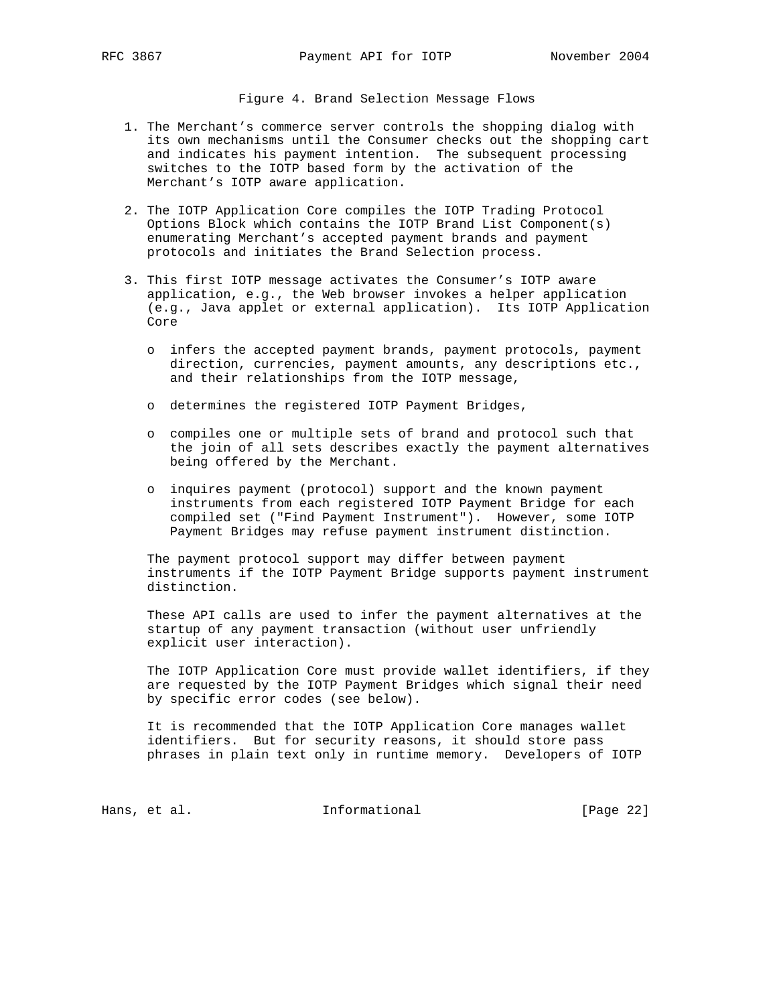Figure 4. Brand Selection Message Flows

- 1. The Merchant's commerce server controls the shopping dialog with its own mechanisms until the Consumer checks out the shopping cart and indicates his payment intention. The subsequent processing switches to the IOTP based form by the activation of the Merchant's IOTP aware application.
- 2. The IOTP Application Core compiles the IOTP Trading Protocol Options Block which contains the IOTP Brand List Component(s) enumerating Merchant's accepted payment brands and payment protocols and initiates the Brand Selection process.
- 3. This first IOTP message activates the Consumer's IOTP aware application, e.g., the Web browser invokes a helper application (e.g., Java applet or external application). Its IOTP Application Core
	- o infers the accepted payment brands, payment protocols, payment direction, currencies, payment amounts, any descriptions etc., and their relationships from the IOTP message,
	- o determines the registered IOTP Payment Bridges,
	- o compiles one or multiple sets of brand and protocol such that the join of all sets describes exactly the payment alternatives being offered by the Merchant.
	- o inquires payment (protocol) support and the known payment instruments from each registered IOTP Payment Bridge for each compiled set ("Find Payment Instrument"). However, some IOTP Payment Bridges may refuse payment instrument distinction.

 The payment protocol support may differ between payment instruments if the IOTP Payment Bridge supports payment instrument distinction.

 These API calls are used to infer the payment alternatives at the startup of any payment transaction (without user unfriendly explicit user interaction).

 The IOTP Application Core must provide wallet identifiers, if they are requested by the IOTP Payment Bridges which signal their need by specific error codes (see below).

 It is recommended that the IOTP Application Core manages wallet identifiers. But for security reasons, it should store pass phrases in plain text only in runtime memory. Developers of IOTP

Hans, et al. 10. Informational 1. [Page 22]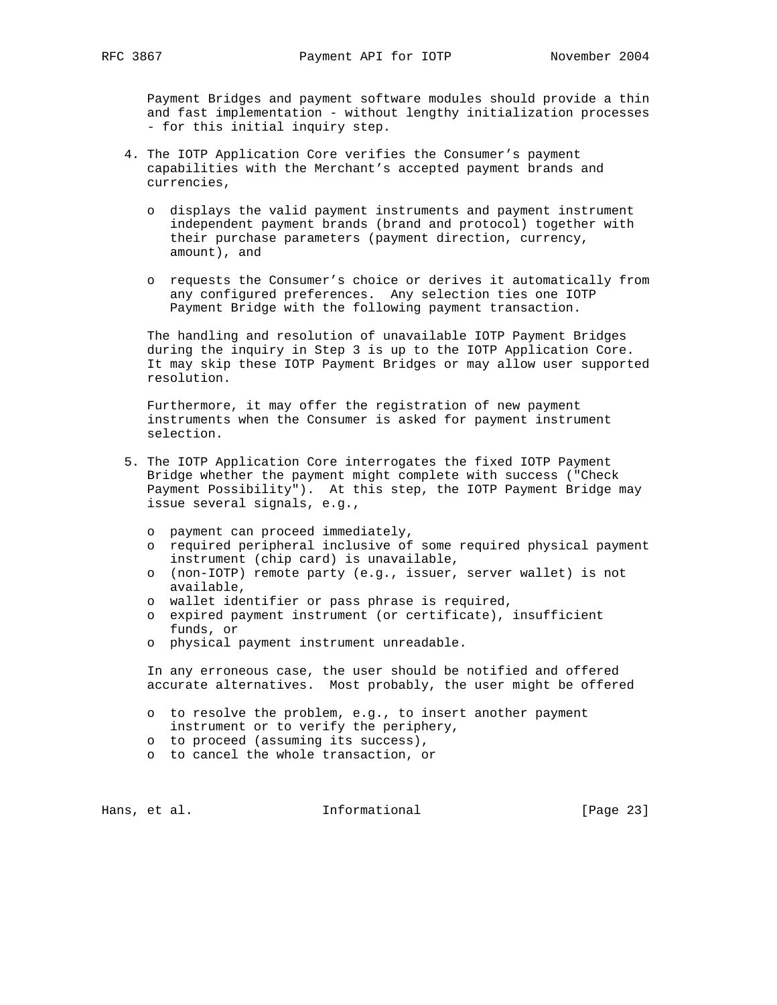Payment Bridges and payment software modules should provide a thin and fast implementation - without lengthy initialization processes - for this initial inquiry step.

- 4. The IOTP Application Core verifies the Consumer's payment capabilities with the Merchant's accepted payment brands and currencies,
	- o displays the valid payment instruments and payment instrument independent payment brands (brand and protocol) together with their purchase parameters (payment direction, currency, amount), and
	- o requests the Consumer's choice or derives it automatically from any configured preferences. Any selection ties one IOTP Payment Bridge with the following payment transaction.

 The handling and resolution of unavailable IOTP Payment Bridges during the inquiry in Step 3 is up to the IOTP Application Core. It may skip these IOTP Payment Bridges or may allow user supported resolution.

 Furthermore, it may offer the registration of new payment instruments when the Consumer is asked for payment instrument selection.

- 5. The IOTP Application Core interrogates the fixed IOTP Payment Bridge whether the payment might complete with success ("Check Payment Possibility"). At this step, the IOTP Payment Bridge may issue several signals, e.g.,
	- o payment can proceed immediately,
	- o required peripheral inclusive of some required physical payment instrument (chip card) is unavailable,
	- o (non-IOTP) remote party (e.g., issuer, server wallet) is not available,
	- o wallet identifier or pass phrase is required,
	- o expired payment instrument (or certificate), insufficient funds, or
	- o physical payment instrument unreadable.

 In any erroneous case, the user should be notified and offered accurate alternatives. Most probably, the user might be offered

- o to resolve the problem, e.g., to insert another payment instrument or to verify the periphery,
- o to proceed (assuming its success),
- o to cancel the whole transaction, or

Hans, et al. 10. Informational 1. [Page 23]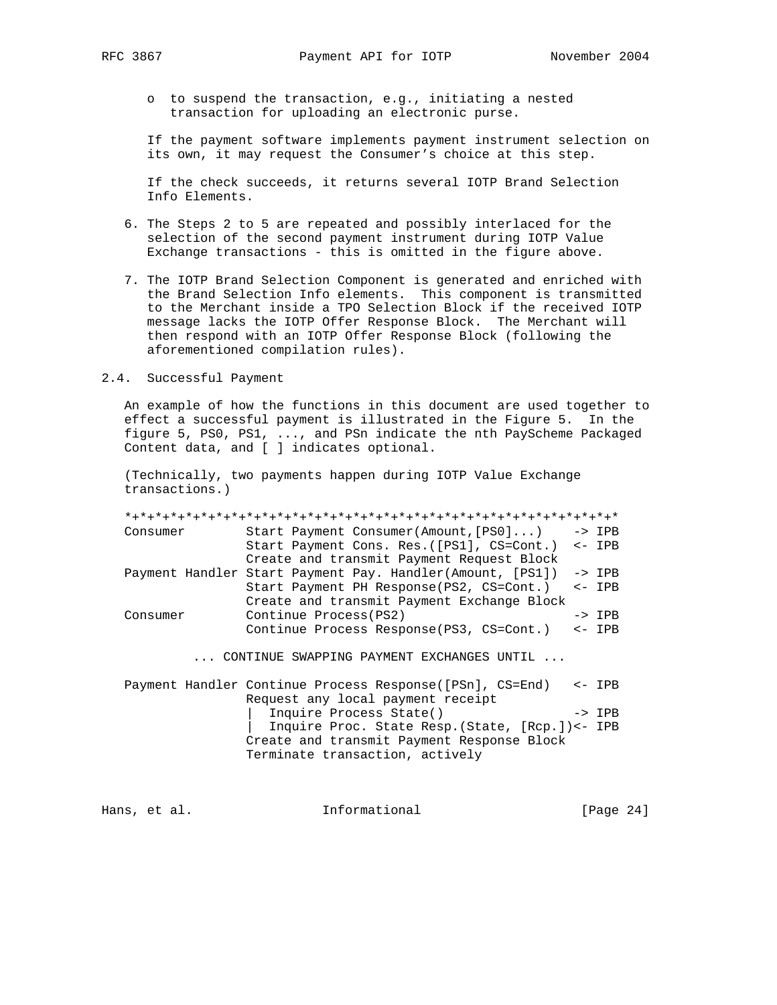o to suspend the transaction, e.g., initiating a nested transaction for uploading an electronic purse.

 If the payment software implements payment instrument selection on its own, it may request the Consumer's choice at this step.

 If the check succeeds, it returns several IOTP Brand Selection Info Elements.

- 6. The Steps 2 to 5 are repeated and possibly interlaced for the selection of the second payment instrument during IOTP Value Exchange transactions - this is omitted in the figure above.
- 7. The IOTP Brand Selection Component is generated and enriched with the Brand Selection Info elements. This component is transmitted to the Merchant inside a TPO Selection Block if the received IOTP message lacks the IOTP Offer Response Block. The Merchant will then respond with an IOTP Offer Response Block (following the aforementioned compilation rules).
- 2.4. Successful Payment

 An example of how the functions in this document are used together to effect a successful payment is illustrated in the Figure 5. In the figure 5, PS0, PS1, ..., and PSn indicate the nth PayScheme Packaged Content data, and [ ] indicates optional.

 (Technically, two payments happen during IOTP Value Exchange transactions.)

 \*+\*+\*+\*+\*+\*+\*+\*+\*+\*+\*+\*+\*+\*+\*+\*+\*+\*+\*+\*+\*+\*+\*+\*+\*+\*+\*+\*+\*+\*+\*+\*+\* Consumer Start Payment Consumer(Amount,[PS0]...) -> IPB Start Payment Cons. Res.([PS1], CS=Cont.) <- IPB Create and transmit Payment Request Block Payment Handler Start Payment Pay. Handler(Amount, [PS1]) -> IPB Start Payment PH Response(PS2, CS=Cont.) <- IPB Create and transmit Payment Exchange Block Consumer Continue Process(PS2) -> IPB Continue Process Response(PS3, CS=Cont.) <- IPB

... CONTINUE SWAPPING PAYMENT EXCHANGES UNTIL ...

 Payment Handler Continue Process Response([PSn], CS=End) <- IPB Request any local payment receipt Inquire Process State() -> IPB | Inquire Proc. State Resp.(State, [Rcp.])<- IPB Create and transmit Payment Response Block Terminate transaction, actively

Hans, et al. 10. Informational 1. [Page 24]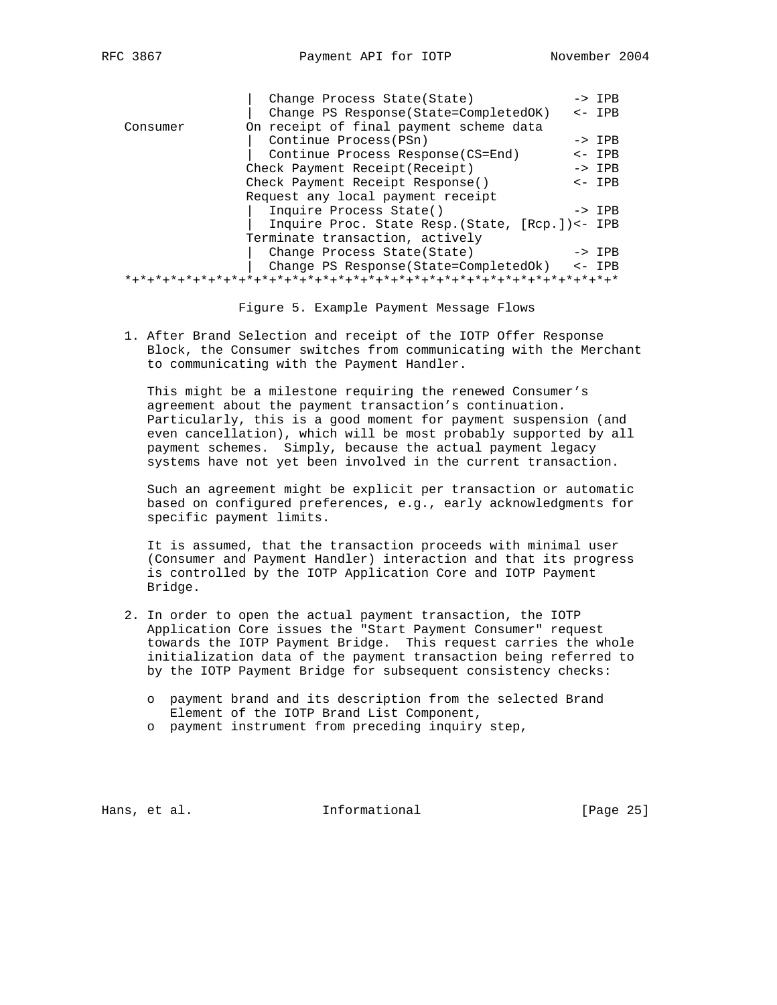| RFM | 86 |  |
|-----|----|--|
|-----|----|--|

|          | Change Process State(State)                      | $->$ IPB          |
|----------|--------------------------------------------------|-------------------|
|          | Change PS Response (State=CompletedOK)           | $\leftarrow$ IPB  |
| Consumer | On receipt of final payment scheme data          |                   |
|          | Continue Process (PSn)                           | $\rightarrow$ IPB |
|          | Continue Process Response (CS=End)               | $\leftarrow$ IPB  |
|          | Check Payment Receipt (Receipt)                  | $->$ IPB          |
|          | Check Payment Receipt Response()                 | $\leftarrow$ IPB  |
|          | Request any local payment receipt                |                   |
|          | Inquire Process State()                          | $\rightarrow$ IPB |
|          | Inquire Proc. State Resp. (State, [Rcp.]) <- IPB |                   |
|          | Terminate transaction, actively                  |                   |
|          | Change Process State (State)                     | $\rightarrow$ IPB |
|          | Change PS Response (State=CompletedOk)           | $\leftarrow$ IPB  |
|          |                                                  |                   |
|          |                                                  |                   |

Figure 5. Example Payment Message Flows

 1. After Brand Selection and receipt of the IOTP Offer Response Block, the Consumer switches from communicating with the Merchant to communicating with the Payment Handler.

 This might be a milestone requiring the renewed Consumer's agreement about the payment transaction's continuation. Particularly, this is a good moment for payment suspension (and even cancellation), which will be most probably supported by all payment schemes. Simply, because the actual payment legacy systems have not yet been involved in the current transaction.

 Such an agreement might be explicit per transaction or automatic based on configured preferences, e.g., early acknowledgments for specific payment limits.

 It is assumed, that the transaction proceeds with minimal user (Consumer and Payment Handler) interaction and that its progress is controlled by the IOTP Application Core and IOTP Payment Bridge.

- 2. In order to open the actual payment transaction, the IOTP Application Core issues the "Start Payment Consumer" request towards the IOTP Payment Bridge. This request carries the whole initialization data of the payment transaction being referred to by the IOTP Payment Bridge for subsequent consistency checks:
	- o payment brand and its description from the selected Brand Element of the IOTP Brand List Component,
	- o payment instrument from preceding inquiry step,

Hans, et al. **Informational** [Page 25]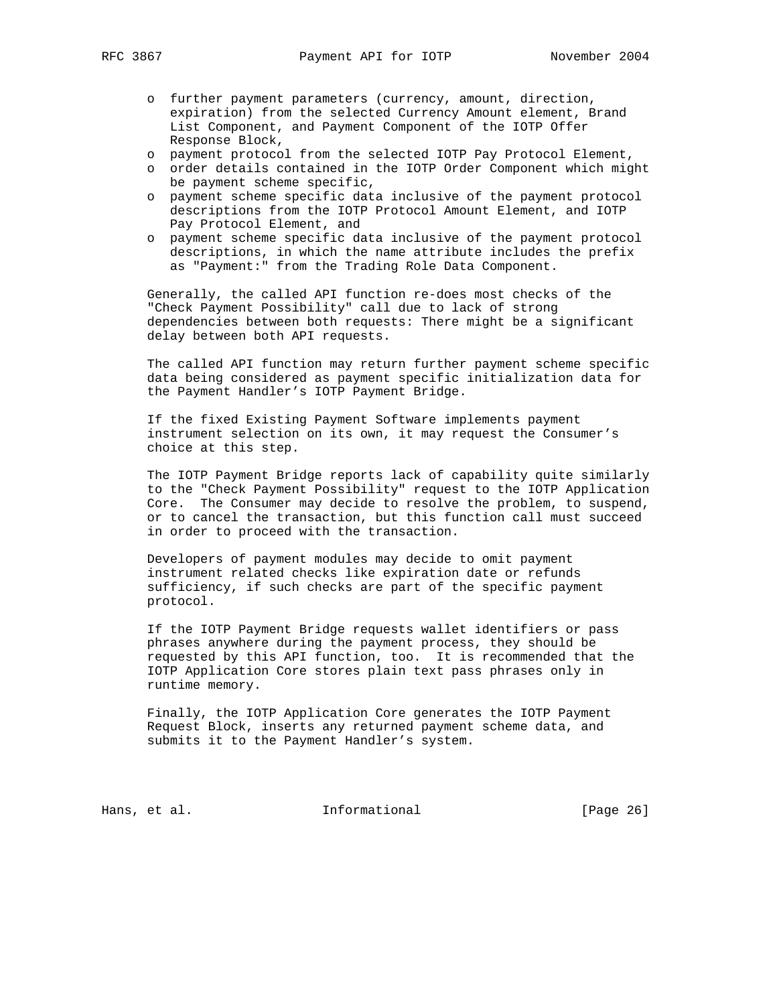- - o further payment parameters (currency, amount, direction, expiration) from the selected Currency Amount element, Brand List Component, and Payment Component of the IOTP Offer Response Block,
	- o payment protocol from the selected IOTP Pay Protocol Element,
	- o order details contained in the IOTP Order Component which might be payment scheme specific,
	- o payment scheme specific data inclusive of the payment protocol descriptions from the IOTP Protocol Amount Element, and IOTP Pay Protocol Element, and
	- o payment scheme specific data inclusive of the payment protocol descriptions, in which the name attribute includes the prefix as "Payment:" from the Trading Role Data Component.

 Generally, the called API function re-does most checks of the "Check Payment Possibility" call due to lack of strong dependencies between both requests: There might be a significant delay between both API requests.

 The called API function may return further payment scheme specific data being considered as payment specific initialization data for the Payment Handler's IOTP Payment Bridge.

 If the fixed Existing Payment Software implements payment instrument selection on its own, it may request the Consumer's choice at this step.

 The IOTP Payment Bridge reports lack of capability quite similarly to the "Check Payment Possibility" request to the IOTP Application Core. The Consumer may decide to resolve the problem, to suspend, or to cancel the transaction, but this function call must succeed in order to proceed with the transaction.

 Developers of payment modules may decide to omit payment instrument related checks like expiration date or refunds sufficiency, if such checks are part of the specific payment protocol.

 If the IOTP Payment Bridge requests wallet identifiers or pass phrases anywhere during the payment process, they should be requested by this API function, too. It is recommended that the IOTP Application Core stores plain text pass phrases only in runtime memory.

 Finally, the IOTP Application Core generates the IOTP Payment Request Block, inserts any returned payment scheme data, and submits it to the Payment Handler's system.

Hans, et al. 10. Informational 1. [Page 26]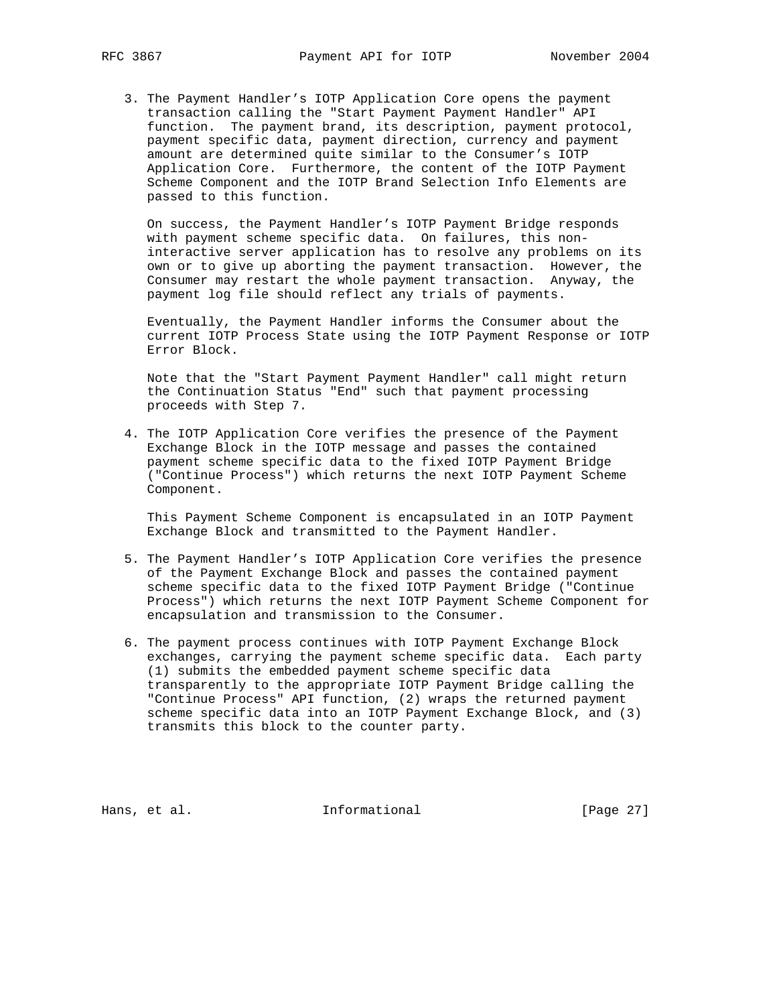3. The Payment Handler's IOTP Application Core opens the payment transaction calling the "Start Payment Payment Handler" API function. The payment brand, its description, payment protocol, payment specific data, payment direction, currency and payment amount are determined quite similar to the Consumer's IOTP Application Core. Furthermore, the content of the IOTP Payment Scheme Component and the IOTP Brand Selection Info Elements are passed to this function.

 On success, the Payment Handler's IOTP Payment Bridge responds with payment scheme specific data. On failures, this non interactive server application has to resolve any problems on its own or to give up aborting the payment transaction. However, the Consumer may restart the whole payment transaction. Anyway, the payment log file should reflect any trials of payments.

 Eventually, the Payment Handler informs the Consumer about the current IOTP Process State using the IOTP Payment Response or IOTP Error Block.

 Note that the "Start Payment Payment Handler" call might return the Continuation Status "End" such that payment processing proceeds with Step 7.

 4. The IOTP Application Core verifies the presence of the Payment Exchange Block in the IOTP message and passes the contained payment scheme specific data to the fixed IOTP Payment Bridge ("Continue Process") which returns the next IOTP Payment Scheme Component.

 This Payment Scheme Component is encapsulated in an IOTP Payment Exchange Block and transmitted to the Payment Handler.

- 5. The Payment Handler's IOTP Application Core verifies the presence of the Payment Exchange Block and passes the contained payment scheme specific data to the fixed IOTP Payment Bridge ("Continue Process") which returns the next IOTP Payment Scheme Component for encapsulation and transmission to the Consumer.
- 6. The payment process continues with IOTP Payment Exchange Block exchanges, carrying the payment scheme specific data. Each party (1) submits the embedded payment scheme specific data transparently to the appropriate IOTP Payment Bridge calling the "Continue Process" API function, (2) wraps the returned payment scheme specific data into an IOTP Payment Exchange Block, and (3) transmits this block to the counter party.

Hans, et al. 10. Informational 1. [Page 27]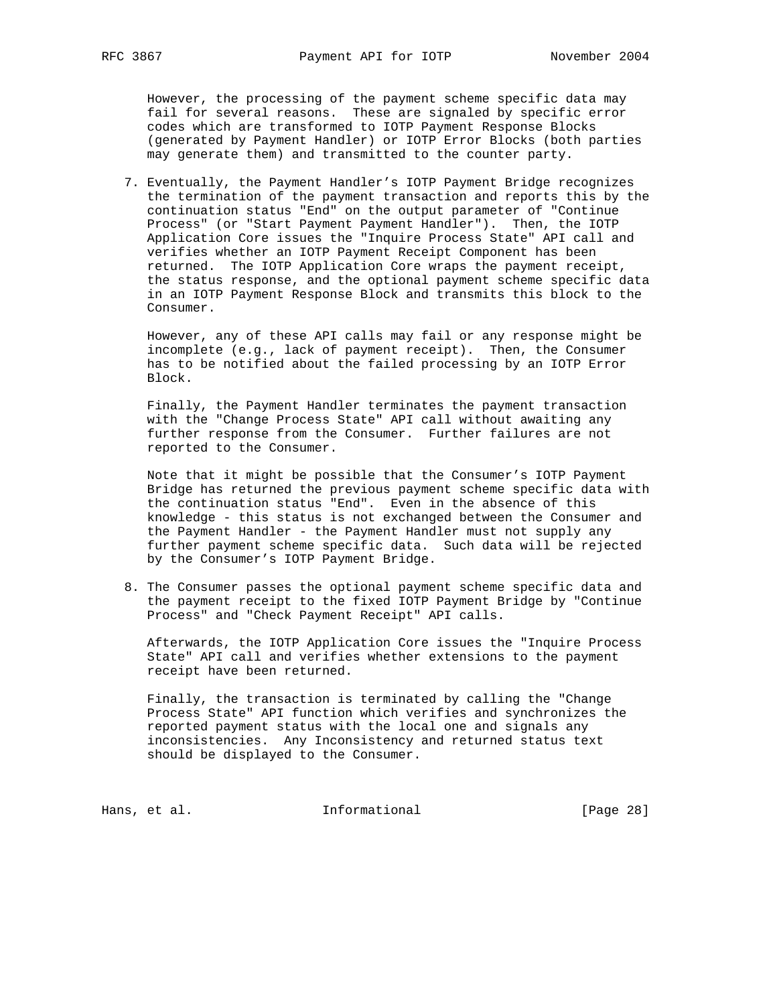However, the processing of the payment scheme specific data may fail for several reasons. These are signaled by specific error codes which are transformed to IOTP Payment Response Blocks (generated by Payment Handler) or IOTP Error Blocks (both parties may generate them) and transmitted to the counter party.

 7. Eventually, the Payment Handler's IOTP Payment Bridge recognizes the termination of the payment transaction and reports this by the continuation status "End" on the output parameter of "Continue Process" (or "Start Payment Payment Handler"). Then, the IOTP Application Core issues the "Inquire Process State" API call and verifies whether an IOTP Payment Receipt Component has been returned. The IOTP Application Core wraps the payment receipt, the status response, and the optional payment scheme specific data in an IOTP Payment Response Block and transmits this block to the Consumer.

 However, any of these API calls may fail or any response might be incomplete (e.g., lack of payment receipt). Then, the Consumer has to be notified about the failed processing by an IOTP Error Block.

 Finally, the Payment Handler terminates the payment transaction with the "Change Process State" API call without awaiting any further response from the Consumer. Further failures are not reported to the Consumer.

 Note that it might be possible that the Consumer's IOTP Payment Bridge has returned the previous payment scheme specific data with the continuation status "End". Even in the absence of this knowledge - this status is not exchanged between the Consumer and the Payment Handler - the Payment Handler must not supply any further payment scheme specific data. Such data will be rejected by the Consumer's IOTP Payment Bridge.

 8. The Consumer passes the optional payment scheme specific data and the payment receipt to the fixed IOTP Payment Bridge by "Continue Process" and "Check Payment Receipt" API calls.

 Afterwards, the IOTP Application Core issues the "Inquire Process State" API call and verifies whether extensions to the payment receipt have been returned.

 Finally, the transaction is terminated by calling the "Change Process State" API function which verifies and synchronizes the reported payment status with the local one and signals any inconsistencies. Any Inconsistency and returned status text should be displayed to the Consumer.

Hans, et al. 10. Informational 1. [Page 28]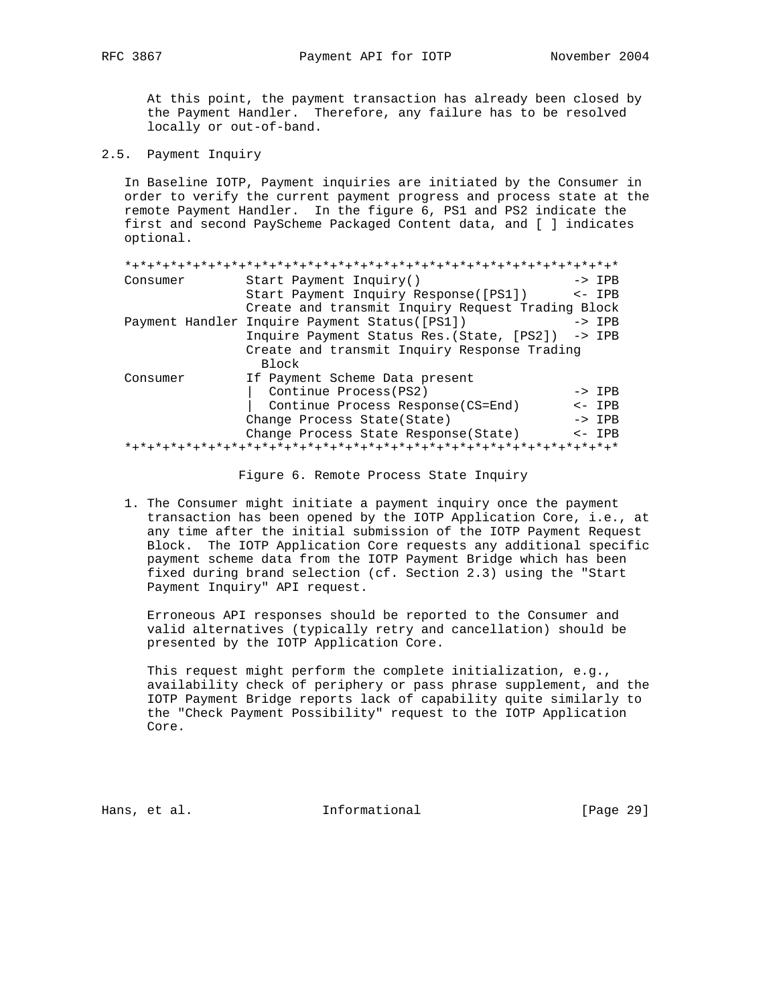At this point, the payment transaction has already been closed by the Payment Handler. Therefore, any failure has to be resolved locally or out-of-band.

2.5. Payment Inquiry

 In Baseline IOTP, Payment inquiries are initiated by the Consumer in order to verify the current payment progress and process state at the remote Payment Handler. In the figure 6, PS1 and PS2 indicate the first and second PayScheme Packaged Content data, and [ ] indicates optional.

| Consumer | Start Payment Inquiry()                           | $->$ IPB         |
|----------|---------------------------------------------------|------------------|
|          | Start Payment Inquiry Response([PS1])             | $\leftarrow$ IPB |
|          | Create and transmit Inquiry Request Trading Block |                  |
|          | Payment Handler Inquire Payment Status([PS1])     | $->$ IPB         |
|          | Inquire Payment Status Res. (State, [PS2]) -> IPB |                  |
|          | Create and transmit Inquiry Response Trading      |                  |
|          | Block                                             |                  |
| Consumer | If Payment Scheme Data present                    |                  |
|          | Continue Process (PS2)                            | $->$ TPR         |
|          | Continue Process Response(CS=End)                 | $<-$ TPR         |
|          | Change Process State (State)                      | $->$ IPB         |
|          | Change Process State Response (State)             | $\leftarrow$ IPB |
|          |                                                   |                  |

Figure 6. Remote Process State Inquiry

 1. The Consumer might initiate a payment inquiry once the payment transaction has been opened by the IOTP Application Core, i.e., at any time after the initial submission of the IOTP Payment Request Block. The IOTP Application Core requests any additional specific payment scheme data from the IOTP Payment Bridge which has been fixed during brand selection (cf. Section 2.3) using the "Start Payment Inquiry" API request.

 Erroneous API responses should be reported to the Consumer and valid alternatives (typically retry and cancellation) should be presented by the IOTP Application Core.

 This request might perform the complete initialization, e.g., availability check of periphery or pass phrase supplement, and the IOTP Payment Bridge reports lack of capability quite similarly to the "Check Payment Possibility" request to the IOTP Application Core.

Hans, et al. 10. Informational 1. [Page 29]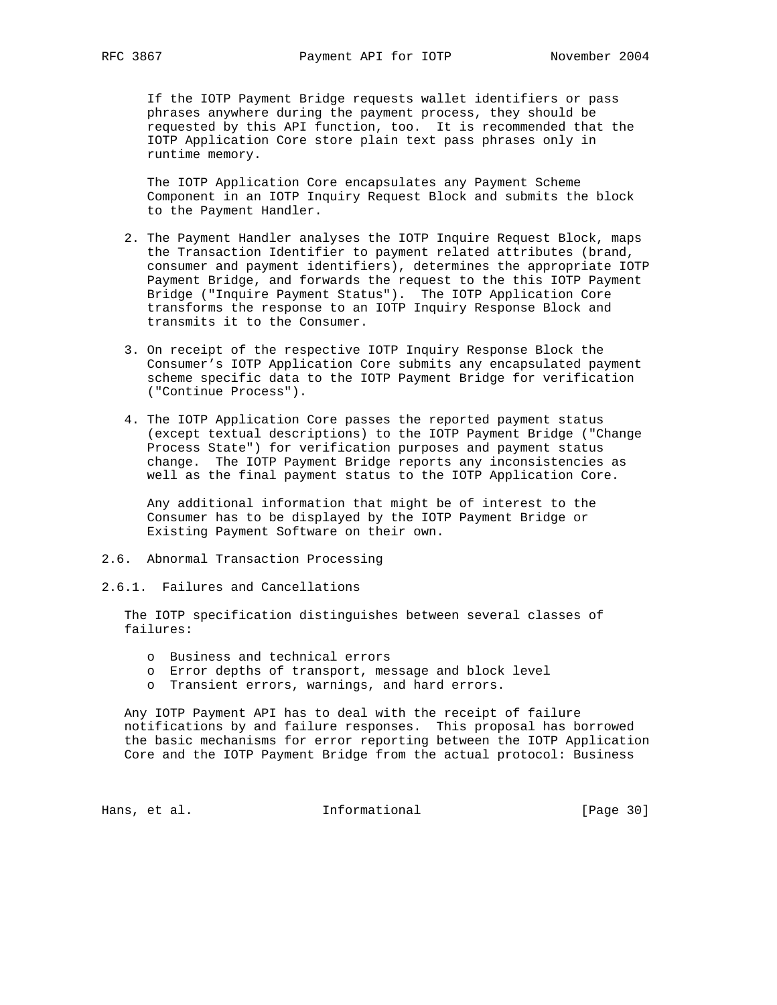If the IOTP Payment Bridge requests wallet identifiers or pass phrases anywhere during the payment process, they should be requested by this API function, too. It is recommended that the IOTP Application Core store plain text pass phrases only in runtime memory.

 The IOTP Application Core encapsulates any Payment Scheme Component in an IOTP Inquiry Request Block and submits the block to the Payment Handler.

- 2. The Payment Handler analyses the IOTP Inquire Request Block, maps the Transaction Identifier to payment related attributes (brand, consumer and payment identifiers), determines the appropriate IOTP Payment Bridge, and forwards the request to the this IOTP Payment Bridge ("Inquire Payment Status"). The IOTP Application Core transforms the response to an IOTP Inquiry Response Block and transmits it to the Consumer.
- 3. On receipt of the respective IOTP Inquiry Response Block the Consumer's IOTP Application Core submits any encapsulated payment scheme specific data to the IOTP Payment Bridge for verification ("Continue Process").
- 4. The IOTP Application Core passes the reported payment status (except textual descriptions) to the IOTP Payment Bridge ("Change Process State") for verification purposes and payment status change. The IOTP Payment Bridge reports any inconsistencies as well as the final payment status to the IOTP Application Core.

 Any additional information that might be of interest to the Consumer has to be displayed by the IOTP Payment Bridge or Existing Payment Software on their own.

- 2.6. Abnormal Transaction Processing
- 2.6.1. Failures and Cancellations

 The IOTP specification distinguishes between several classes of failures:

- o Business and technical errors
- o Error depths of transport, message and block level
- o Transient errors, warnings, and hard errors.

 Any IOTP Payment API has to deal with the receipt of failure notifications by and failure responses. This proposal has borrowed the basic mechanisms for error reporting between the IOTP Application Core and the IOTP Payment Bridge from the actual protocol: Business

Hans, et al. 10. Informational 1. [Page 30]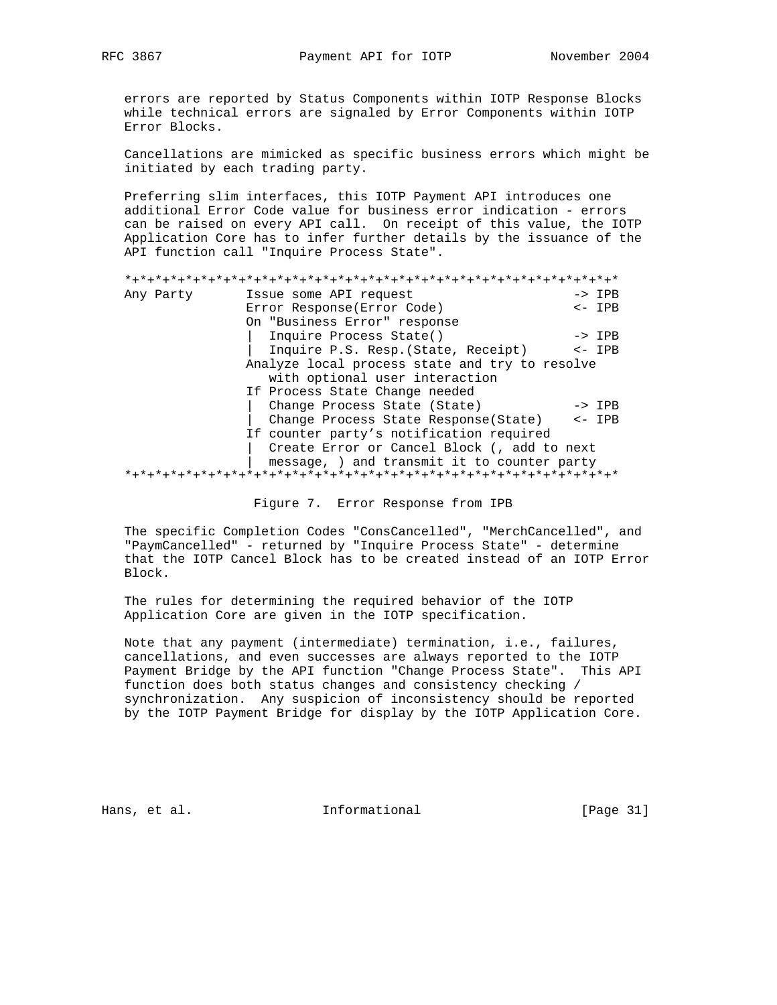errors are reported by Status Components within IOTP Response Blocks while technical errors are signaled by Error Components within IOTP Error Blocks.

 Cancellations are mimicked as specific business errors which might be initiated by each trading party.

 Preferring slim interfaces, this IOTP Payment API introduces one additional Error Code value for business error indication - errors can be raised on every API call. On receipt of this value, the IOTP Application Core has to infer further details by the issuance of the API function call "Inquire Process State".

| Any Party                                      | Issue some API request                      | $\rightarrow$ IPB |
|------------------------------------------------|---------------------------------------------|-------------------|
|                                                | Error Response (Error Code)                 | $\leftarrow$ IPB  |
|                                                | On "Business Error" response                |                   |
|                                                | Inquire Process State()                     | $\rightarrow$ IPB |
|                                                | Inquire P.S. Resp. (State, Receipt)         | $\leftarrow$ IPB  |
| Analyze local process state and try to resolve |                                             |                   |
|                                                | with optional user interaction              |                   |
|                                                | If Process State Change needed              |                   |
|                                                | Change Process State (State)                | $\rightarrow$ IPB |
|                                                | Change Process State Response(State) <- IPB |                   |
|                                                | If counter party's notification required    |                   |
| Create Error or Cancel Block (, add to next    |                                             |                   |
|                                                | message, ) and transmit it to counter party |                   |
|                                                |                                             |                   |

Figure 7. Error Response from IPB

 The specific Completion Codes "ConsCancelled", "MerchCancelled", and "PaymCancelled" - returned by "Inquire Process State" - determine that the IOTP Cancel Block has to be created instead of an IOTP Error Block.

 The rules for determining the required behavior of the IOTP Application Core are given in the IOTP specification.

 Note that any payment (intermediate) termination, i.e., failures, cancellations, and even successes are always reported to the IOTP Payment Bridge by the API function "Change Process State". This API function does both status changes and consistency checking / synchronization. Any suspicion of inconsistency should be reported by the IOTP Payment Bridge for display by the IOTP Application Core.

Hans, et al. 10. Informational 1. [Page 31]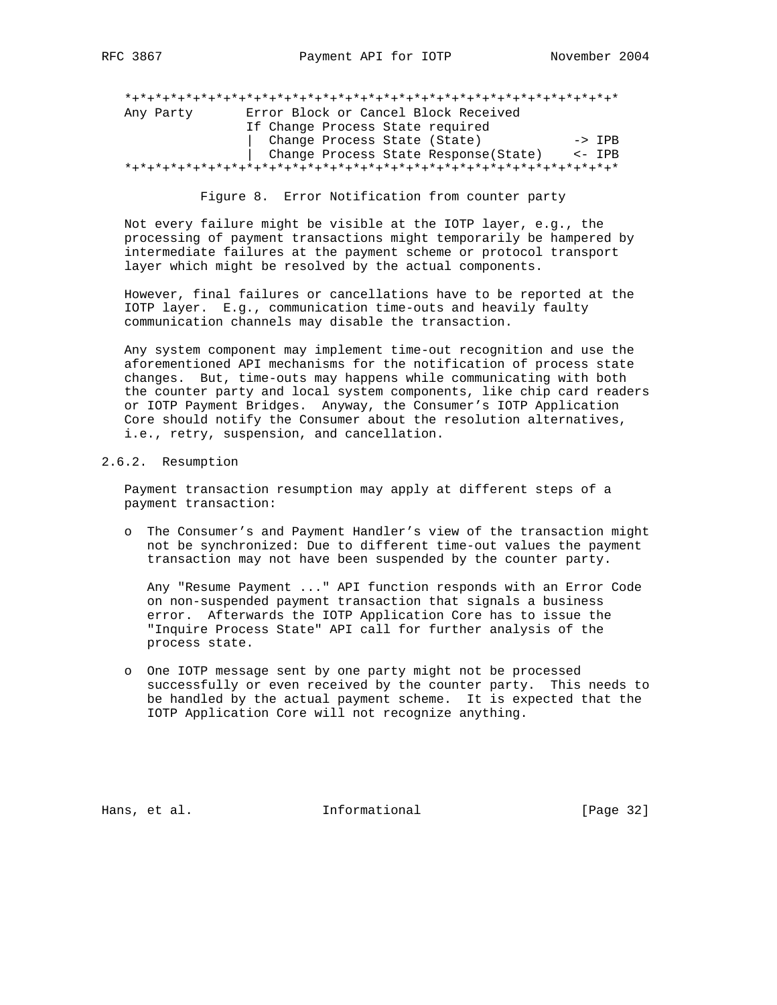\*+\*+\*+\*+\*+\*+\*+\*+\*+\*+\*+\*+\*+\*+\*+\*+\*+\*+\*+\*+\*+\*+\*+\*+\*+\*+\*+\*+\*+\*+\*+\*+\* Any Party Error Block or Cancel Block Received If Change Process State required Change Process State (State) -> IPB | Change Process State Response(State) <- IPB \*+\*+\*+\*+\*+\*+\*+\*+\*+\*+\*+\*+\*+\*+\*+\*+\*+\*+\*+\*+\*+\*+\*+\*+\*+\*+\*+\*+\*+\*+\*+\*+\*

Figure 8. Error Notification from counter party

 Not every failure might be visible at the IOTP layer, e.g., the processing of payment transactions might temporarily be hampered by intermediate failures at the payment scheme or protocol transport layer which might be resolved by the actual components.

 However, final failures or cancellations have to be reported at the IOTP layer. E.g., communication time-outs and heavily faulty communication channels may disable the transaction.

 Any system component may implement time-out recognition and use the aforementioned API mechanisms for the notification of process state changes. But, time-outs may happens while communicating with both the counter party and local system components, like chip card readers or IOTP Payment Bridges. Anyway, the Consumer's IOTP Application Core should notify the Consumer about the resolution alternatives, i.e., retry, suspension, and cancellation.

#### 2.6.2. Resumption

 Payment transaction resumption may apply at different steps of a payment transaction:

 o The Consumer's and Payment Handler's view of the transaction might not be synchronized: Due to different time-out values the payment transaction may not have been suspended by the counter party.

 Any "Resume Payment ..." API function responds with an Error Code on non-suspended payment transaction that signals a business error. Afterwards the IOTP Application Core has to issue the "Inquire Process State" API call for further analysis of the process state.

 o One IOTP message sent by one party might not be processed successfully or even received by the counter party. This needs to be handled by the actual payment scheme. It is expected that the IOTP Application Core will not recognize anything.

Hans, et al. 10. Informational 1. [Page 32]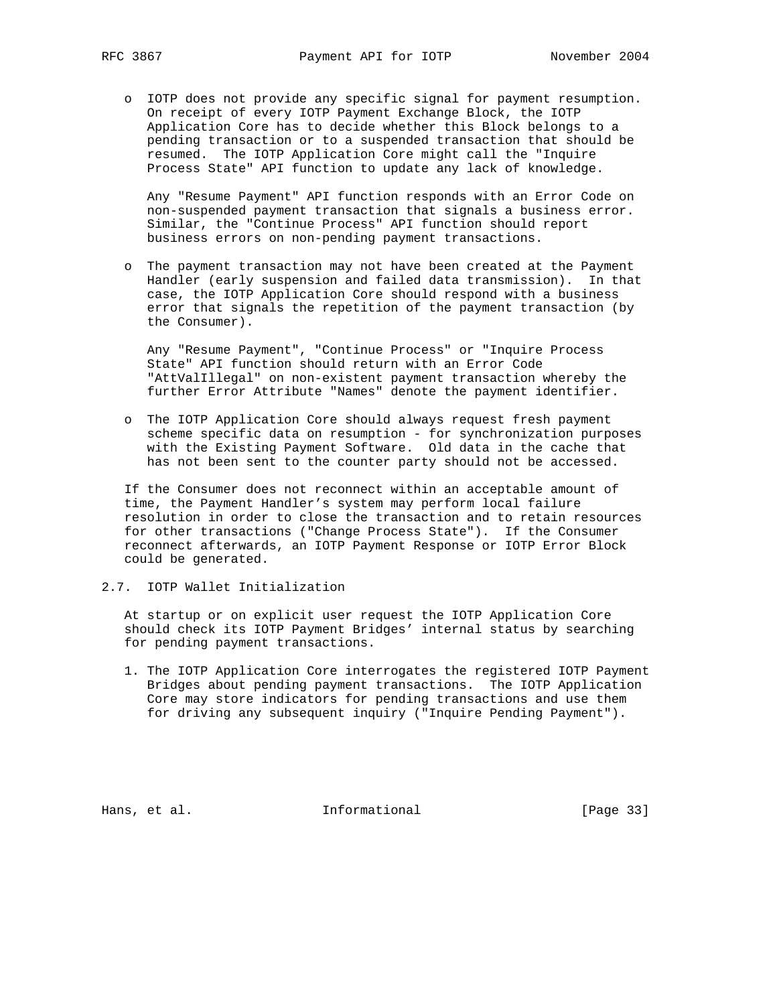o IOTP does not provide any specific signal for payment resumption. On receipt of every IOTP Payment Exchange Block, the IOTP Application Core has to decide whether this Block belongs to a pending transaction or to a suspended transaction that should be resumed. The IOTP Application Core might call the "Inquire Process State" API function to update any lack of knowledge.

 Any "Resume Payment" API function responds with an Error Code on non-suspended payment transaction that signals a business error. Similar, the "Continue Process" API function should report business errors on non-pending payment transactions.

 o The payment transaction may not have been created at the Payment Handler (early suspension and failed data transmission). In that case, the IOTP Application Core should respond with a business error that signals the repetition of the payment transaction (by the Consumer).

 Any "Resume Payment", "Continue Process" or "Inquire Process State" API function should return with an Error Code "AttValIllegal" on non-existent payment transaction whereby the further Error Attribute "Names" denote the payment identifier.

 o The IOTP Application Core should always request fresh payment scheme specific data on resumption - for synchronization purposes with the Existing Payment Software. Old data in the cache that has not been sent to the counter party should not be accessed.

 If the Consumer does not reconnect within an acceptable amount of time, the Payment Handler's system may perform local failure resolution in order to close the transaction and to retain resources for other transactions ("Change Process State"). If the Consumer reconnect afterwards, an IOTP Payment Response or IOTP Error Block could be generated.

2.7. IOTP Wallet Initialization

 At startup or on explicit user request the IOTP Application Core should check its IOTP Payment Bridges' internal status by searching for pending payment transactions.

 1. The IOTP Application Core interrogates the registered IOTP Payment Bridges about pending payment transactions. The IOTP Application Core may store indicators for pending transactions and use them for driving any subsequent inquiry ("Inquire Pending Payment").

Hans, et al. 10. Informational 1. [Page 33]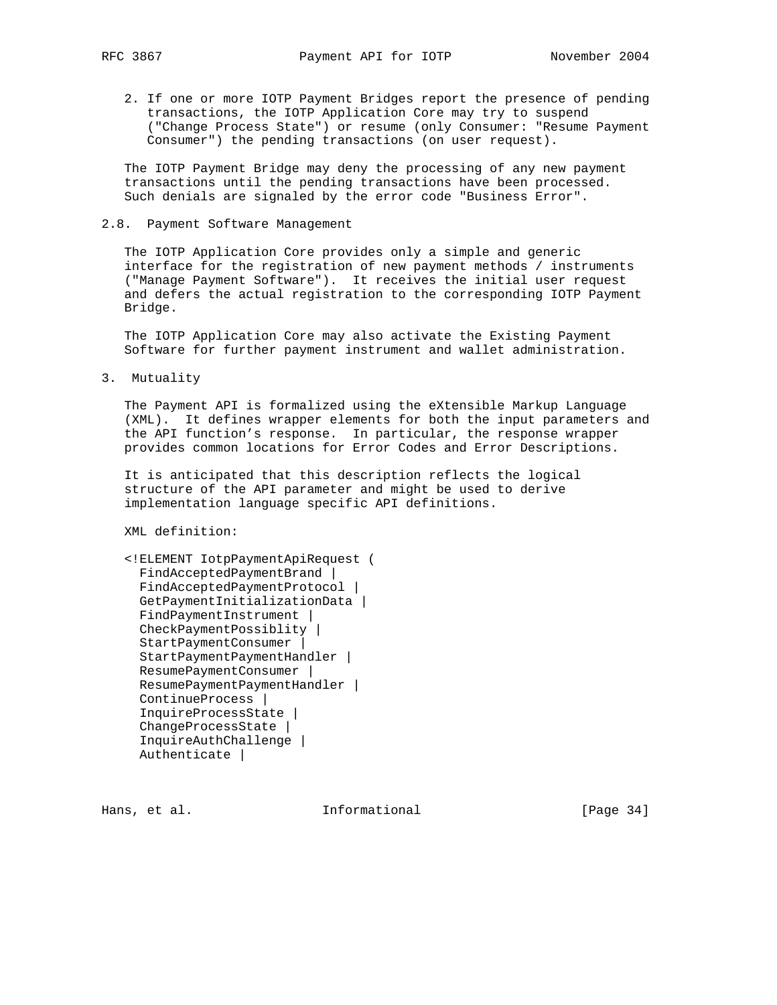2. If one or more IOTP Payment Bridges report the presence of pending transactions, the IOTP Application Core may try to suspend ("Change Process State") or resume (only Consumer: "Resume Payment Consumer") the pending transactions (on user request).

 The IOTP Payment Bridge may deny the processing of any new payment transactions until the pending transactions have been processed. Such denials are signaled by the error code "Business Error".

2.8. Payment Software Management

 The IOTP Application Core provides only a simple and generic interface for the registration of new payment methods / instruments ("Manage Payment Software"). It receives the initial user request and defers the actual registration to the corresponding IOTP Payment Bridge.

 The IOTP Application Core may also activate the Existing Payment Software for further payment instrument and wallet administration.

3. Mutuality

 The Payment API is formalized using the eXtensible Markup Language (XML). It defines wrapper elements for both the input parameters and the API function's response. In particular, the response wrapper provides common locations for Error Codes and Error Descriptions.

 It is anticipated that this description reflects the logical structure of the API parameter and might be used to derive implementation language specific API definitions.

XML definition:

```
 <!ELEMENT IotpPaymentApiRequest (
 FindAcceptedPaymentBrand |
 FindAcceptedPaymentProtocol |
 GetPaymentInitializationData |
FindPaymentInstrument |
 CheckPaymentPossiblity |
 StartPaymentConsumer |
 StartPaymentPaymentHandler |
 ResumePaymentConsumer |
 ResumePaymentPaymentHandler |
 ContinueProcess |
 InquireProcessState |
 ChangeProcessState |
 InquireAuthChallenge |
 Authenticate |
```
Hans, et al. **Informational** [Page 34]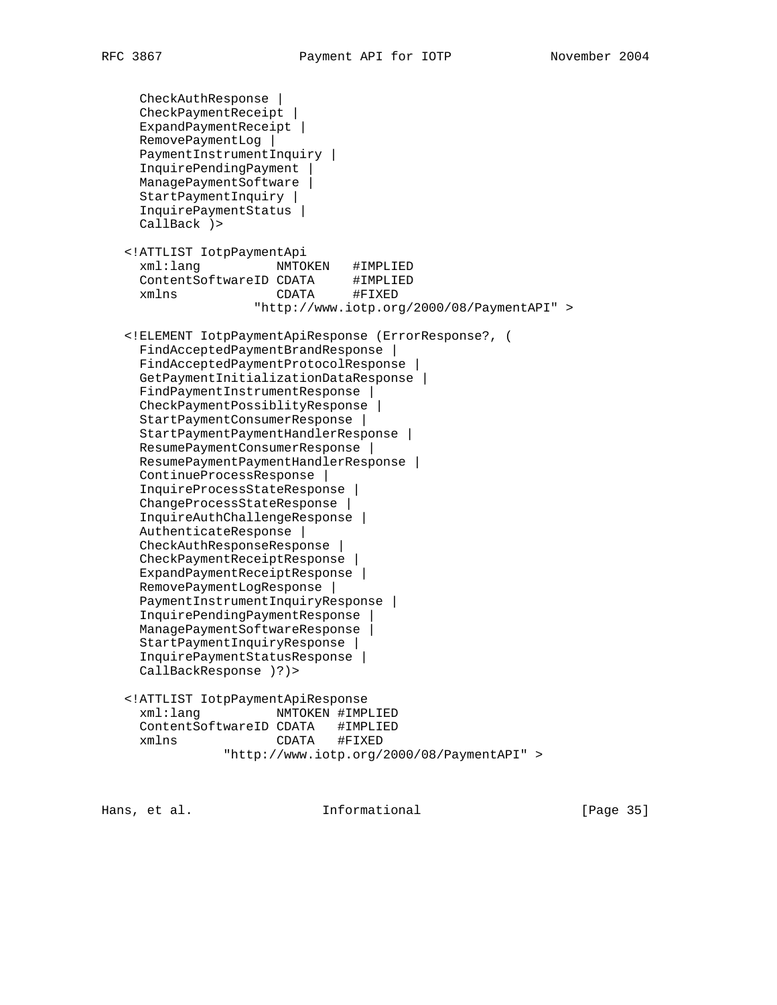```
 CheckAuthResponse |
    CheckPaymentReceipt |
    ExpandPaymentReceipt |
    RemovePaymentLog |
    PaymentInstrumentInquiry |
    InquirePendingPayment |
    ManagePaymentSoftware |
    StartPaymentInquiry |
    InquirePaymentStatus |
    CallBack )>
  <!ATTLIST IotpPaymentApi
    xml:lang NMTOKEN #IMPLIED
ContentSoftwareID CDATA #IMPLIED
xmlns CDATA #FIXED
                   "http://www.iotp.org/2000/08/PaymentAPI" >
  <!ELEMENT IotpPaymentApiResponse (ErrorResponse?, (
    FindAcceptedPaymentBrandResponse |
    FindAcceptedPaymentProtocolResponse |
    GetPaymentInitializationDataResponse |
    FindPaymentInstrumentResponse |
    CheckPaymentPossiblityResponse |
    StartPaymentConsumerResponse |
    StartPaymentPaymentHandlerResponse |
    ResumePaymentConsumerResponse |
    ResumePaymentPaymentHandlerResponse |
    ContinueProcessResponse |
    InquireProcessStateResponse |
    ChangeProcessStateResponse |
    InquireAuthChallengeResponse |
    AuthenticateResponse |
   CheckAuthResponseResponse |
    CheckPaymentReceiptResponse |
    ExpandPaymentReceiptResponse |
    RemovePaymentLogResponse |
    PaymentInstrumentInquiryResponse |
    InquirePendingPaymentResponse |
    ManagePaymentSoftwareResponse |
    StartPaymentInquiryResponse |
    InquirePaymentStatusResponse |
    CallBackResponse )?)>
  <!ATTLIST IotpPaymentApiResponse
    xml:lang NMTOKEN #IMPLIED
    ContentSoftwareID CDATA #IMPLIED
    xmlns CDATA #FIXED
               "http://www.iotp.org/2000/08/PaymentAPI" >
```
Hans, et al. **Informational** [Page 35]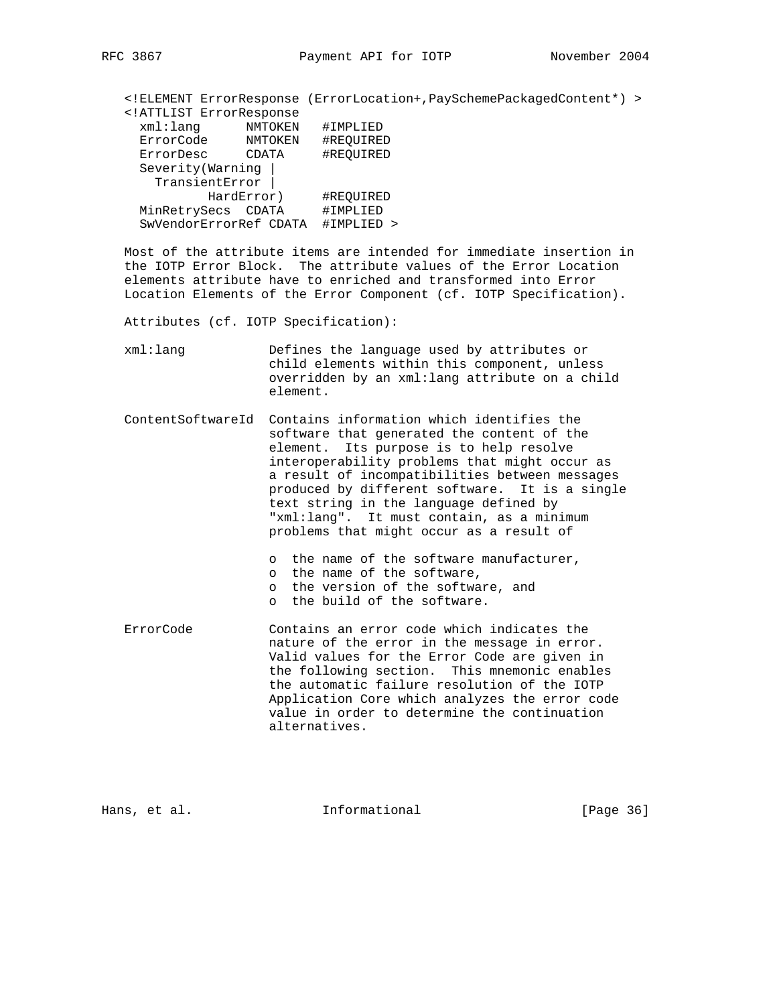<!ELEMENT ErrorResponse (ErrorLocation+,PaySchemePackagedContent\*) > <!ATTLIST ErrorResponse NMTOKEN #IMPLIED<br>NMTOKEN #REQUIRED ErrorCode NMTOKEN #REQUIRED ErrorDesc CDATA #REQUIRED Severity(Warning | TransientError | HardError) #REQUIRED MinRetrySecs CDATA #IMPLIED SwVendorErrorRef CDATA #IMPLIED >

 Most of the attribute items are intended for immediate insertion in the IOTP Error Block. The attribute values of the Error Location elements attribute have to enriched and transformed into Error Location Elements of the Error Component (cf. IOTP Specification).

Attributes (cf. IOTP Specification):

 xml:lang Defines the language used by attributes or child elements within this component, unless overridden by an xml:lang attribute on a child element.

 ContentSoftwareId Contains information which identifies the software that generated the content of the element. Its purpose is to help resolve interoperability problems that might occur as a result of incompatibilities between messages produced by different software. It is a single text string in the language defined by "xml:lang". It must contain, as a minimum problems that might occur as a result of

o the name of the software manufacturer,

- o the name of the software,
- o the version of the software, and
- o the build of the software.
- ErrorCode Contains an error code which indicates the nature of the error in the message in error. Valid values for the Error Code are given in the following section. This mnemonic enables the automatic failure resolution of the IOTP Application Core which analyzes the error code value in order to determine the continuation alternatives.

Hans, et al. **Informational** [Page 36]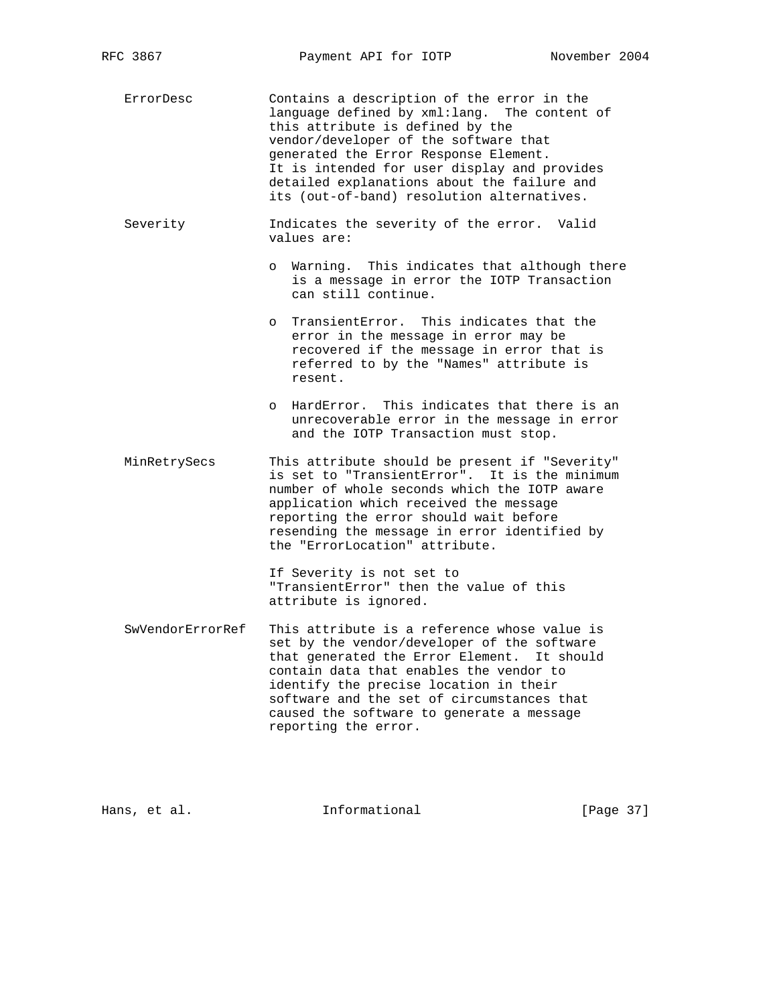ErrorDesc Contains a description of the error in the language defined by xml:lang. The content of this attribute is defined by the vendor/developer of the software that generated the Error Response Element. It is intended for user display and provides detailed explanations about the failure and its (out-of-band) resolution alternatives.

 Severity Indicates the severity of the error. Valid values are:

- o Warning. This indicates that although there is a message in error the IOTP Transaction can still continue.
- o TransientError. This indicates that the error in the message in error may be recovered if the message in error that is referred to by the "Names" attribute is resent.
- o HardError. This indicates that there is an unrecoverable error in the message in error and the IOTP Transaction must stop.
- MinRetrySecs This attribute should be present if "Severity" is set to "TransientError". It is the minimum number of whole seconds which the IOTP aware application which received the message reporting the error should wait before resending the message in error identified by the "ErrorLocation" attribute.

 If Severity is not set to "TransientError" then the value of this attribute is ignored.

 SwVendorErrorRef This attribute is a reference whose value is set by the vendor/developer of the software that generated the Error Element. It should contain data that enables the vendor to identify the precise location in their software and the set of circumstances that caused the software to generate a message reporting the error.

Hans, et al. **Informational** [Page 37]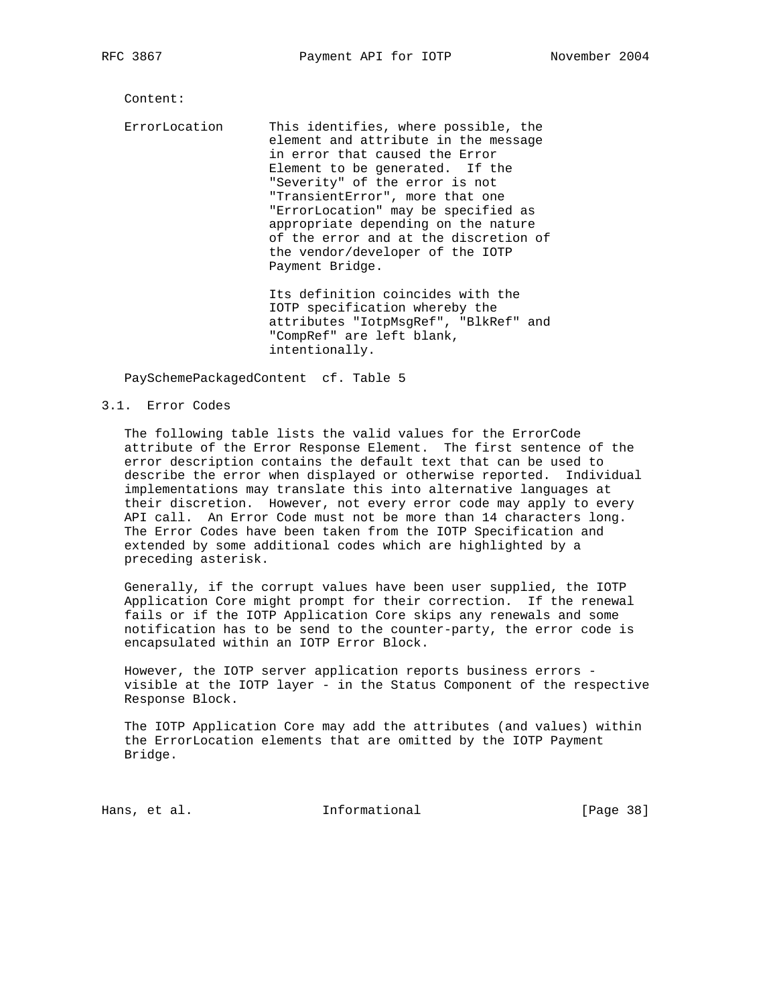Content:

 ErrorLocation This identifies, where possible, the element and attribute in the message in error that caused the Error Element to be generated. If the "Severity" of the error is not "TransientError", more that one "ErrorLocation" may be specified as appropriate depending on the nature of the error and at the discretion of the vendor/developer of the IOTP Payment Bridge.

> Its definition coincides with the IOTP specification whereby the attributes "IotpMsgRef", "BlkRef" and "CompRef" are left blank, intentionally.

PaySchemePackagedContent cf. Table 5

#### 3.1. Error Codes

 The following table lists the valid values for the ErrorCode attribute of the Error Response Element. The first sentence of the error description contains the default text that can be used to describe the error when displayed or otherwise reported. Individual implementations may translate this into alternative languages at their discretion. However, not every error code may apply to every API call. An Error Code must not be more than 14 characters long. The Error Codes have been taken from the IOTP Specification and extended by some additional codes which are highlighted by a preceding asterisk.

 Generally, if the corrupt values have been user supplied, the IOTP Application Core might prompt for their correction. If the renewal fails or if the IOTP Application Core skips any renewals and some notification has to be send to the counter-party, the error code is encapsulated within an IOTP Error Block.

 However, the IOTP server application reports business errors visible at the IOTP layer - in the Status Component of the respective Response Block.

 The IOTP Application Core may add the attributes (and values) within the ErrorLocation elements that are omitted by the IOTP Payment Bridge.

Hans, et al. **Informational** [Page 38]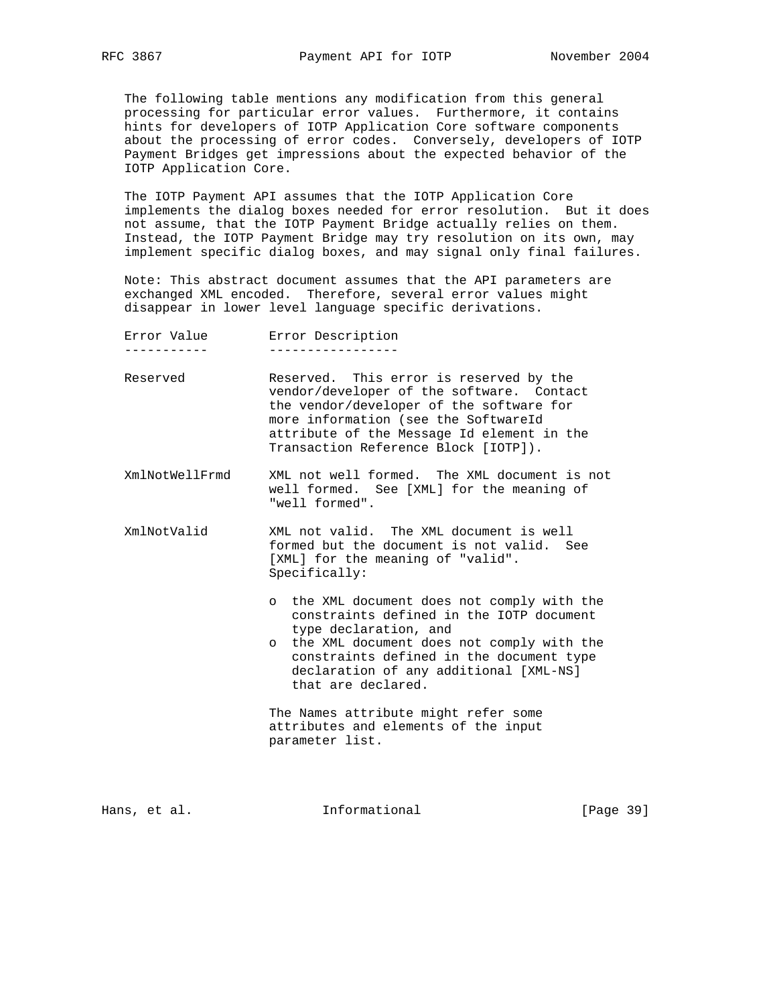The following table mentions any modification from this general processing for particular error values. Furthermore, it contains hints for developers of IOTP Application Core software components about the processing of error codes. Conversely, developers of IOTP Payment Bridges get impressions about the expected behavior of the IOTP Application Core.

 The IOTP Payment API assumes that the IOTP Application Core implements the dialog boxes needed for error resolution. But it does not assume, that the IOTP Payment Bridge actually relies on them. Instead, the IOTP Payment Bridge may try resolution on its own, may implement specific dialog boxes, and may signal only final failures.

 Note: This abstract document assumes that the API parameters are exchanged XML encoded. Therefore, several error values might disappear in lower level language specific derivations.

| Error Value | Error Description |
|-------------|-------------------|
|             |                   |

- Reserved Reserved. This error is reserved by the vendor/developer of the software. Contact the vendor/developer of the software for more information (see the SoftwareId attribute of the Message Id element in the Transaction Reference Block [IOTP]).
- XmlNotWellFrmd XML not well formed. The XML document is not well formed. See [XML] for the meaning of "well formed".
- XmlNotValid XML not valid. The XML document is well formed but the document is not valid. See [XML] for the meaning of "valid". Specifically:
	- o the XML document does not comply with the constraints defined in the IOTP document type declaration, and
	- o the XML document does not comply with the constraints defined in the document type declaration of any additional [XML-NS] that are declared.

 The Names attribute might refer some attributes and elements of the input parameter list.

Hans, et al. **Informational** [Page 39]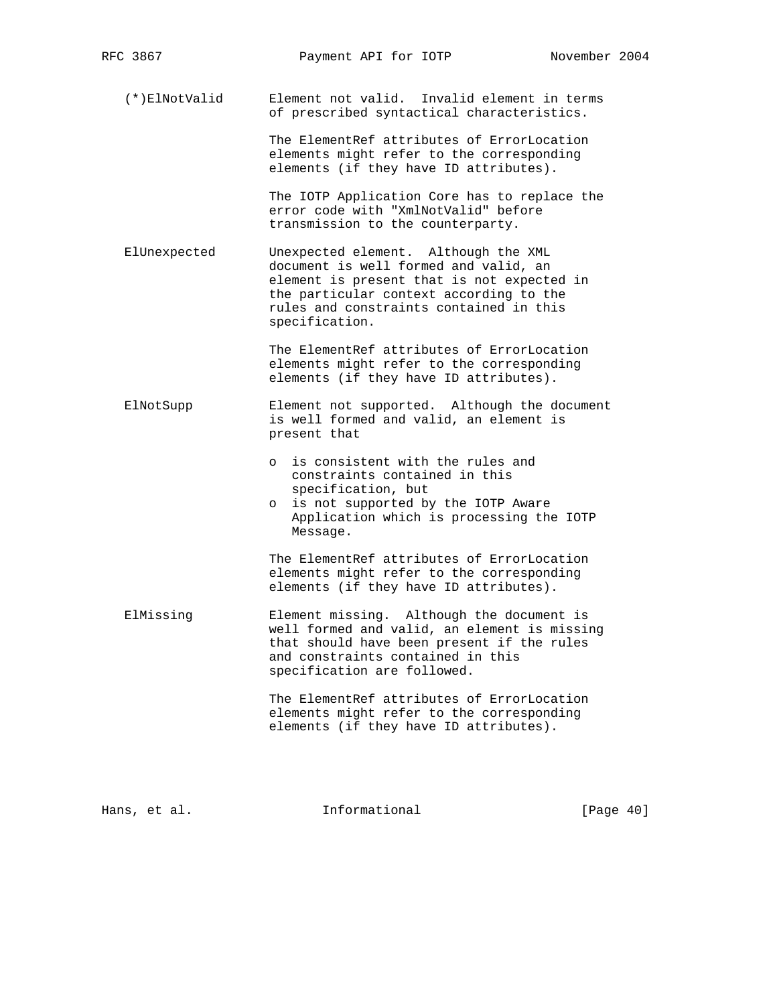(\*)ElNotValid Element not valid. Invalid element in terms of prescribed syntactical characteristics.

> The ElementRef attributes of ErrorLocation elements might refer to the corresponding elements (if they have ID attributes).

 The IOTP Application Core has to replace the error code with "XmlNotValid" before transmission to the counterparty.

 ElUnexpected Unexpected element. Although the XML document is well formed and valid, an element is present that is not expected in the particular context according to the rules and constraints contained in this specification.

> The ElementRef attributes of ErrorLocation elements might refer to the corresponding elements (if they have ID attributes).

- ElNotSupp Element not supported. Although the document is well formed and valid, an element is present that
	- o is consistent with the rules and constraints contained in this specification, but
	- o is not supported by the IOTP Aware Application which is processing the IOTP Message.

 The ElementRef attributes of ErrorLocation elements might refer to the corresponding elements (if they have ID attributes).

 ElMissing Element missing. Although the document is well formed and valid, an element is missing that should have been present if the rules and constraints contained in this specification are followed.

> The ElementRef attributes of ErrorLocation elements might refer to the corresponding elements (if they have ID attributes).

Hans, et al. **Informational** [Page 40]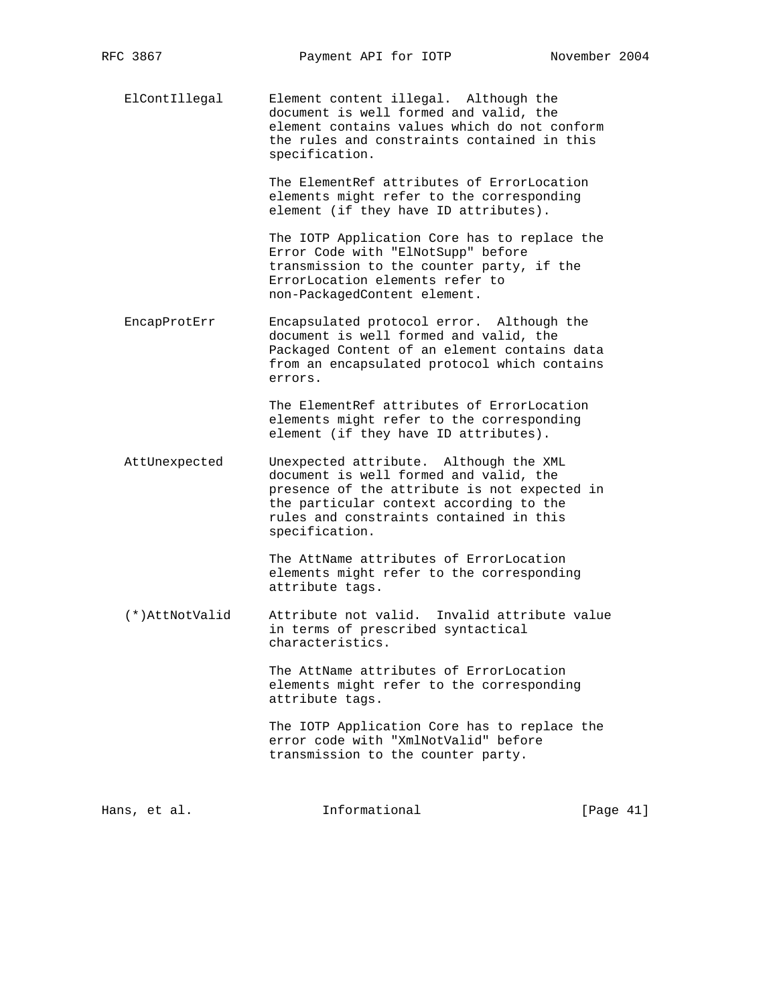ElContIllegal Element content illegal. Although the document is well formed and valid, the element contains values which do not conform the rules and constraints contained in this specification.

> The ElementRef attributes of ErrorLocation elements might refer to the corresponding element (if they have ID attributes).

 The IOTP Application Core has to replace the Error Code with "ElNotSupp" before transmission to the counter party, if the ErrorLocation elements refer to non-PackagedContent element.

 EncapProtErr Encapsulated protocol error. Although the document is well formed and valid, the Packaged Content of an element contains data from an encapsulated protocol which contains errors.

> The ElementRef attributes of ErrorLocation elements might refer to the corresponding element (if they have ID attributes).

 AttUnexpected Unexpected attribute. Although the XML document is well formed and valid, the presence of the attribute is not expected in the particular context according to the rules and constraints contained in this specification.

> The AttName attributes of ErrorLocation elements might refer to the corresponding attribute tags.

 (\*)AttNotValid Attribute not valid. Invalid attribute value in terms of prescribed syntactical characteristics.

> The AttName attributes of ErrorLocation elements might refer to the corresponding attribute tags.

 The IOTP Application Core has to replace the error code with "XmlNotValid" before transmission to the counter party.

Hans, et al. **Informational** [Page 41]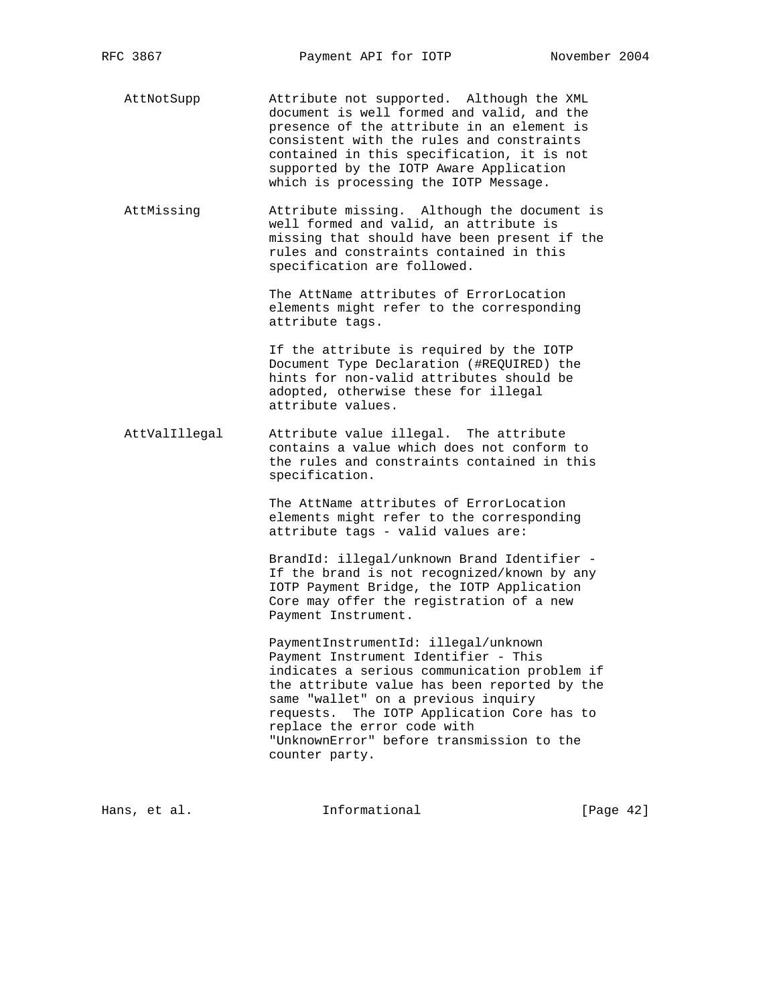AttNotSupp Attribute not supported. Although the XML document is well formed and valid, and the presence of the attribute in an element is consistent with the rules and constraints contained in this specification, it is not supported by the IOTP Aware Application which is processing the IOTP Message.

 AttMissing Attribute missing. Although the document is well formed and valid, an attribute is missing that should have been present if the rules and constraints contained in this specification are followed.

> The AttName attributes of ErrorLocation elements might refer to the corresponding attribute tags.

> If the attribute is required by the IOTP Document Type Declaration (#REQUIRED) the hints for non-valid attributes should be adopted, otherwise these for illegal attribute values.

 AttValIllegal Attribute value illegal. The attribute contains a value which does not conform to the rules and constraints contained in this specification.

> The AttName attributes of ErrorLocation elements might refer to the corresponding attribute tags - valid values are:

 BrandId: illegal/unknown Brand Identifier - If the brand is not recognized/known by any IOTP Payment Bridge, the IOTP Application Core may offer the registration of a new Payment Instrument.

 PaymentInstrumentId: illegal/unknown Payment Instrument Identifier - This indicates a serious communication problem if the attribute value has been reported by the same "wallet" on a previous inquiry requests. The IOTP Application Core has to replace the error code with "UnknownError" before transmission to the counter party.

Hans, et al. **Informational** [Page 42]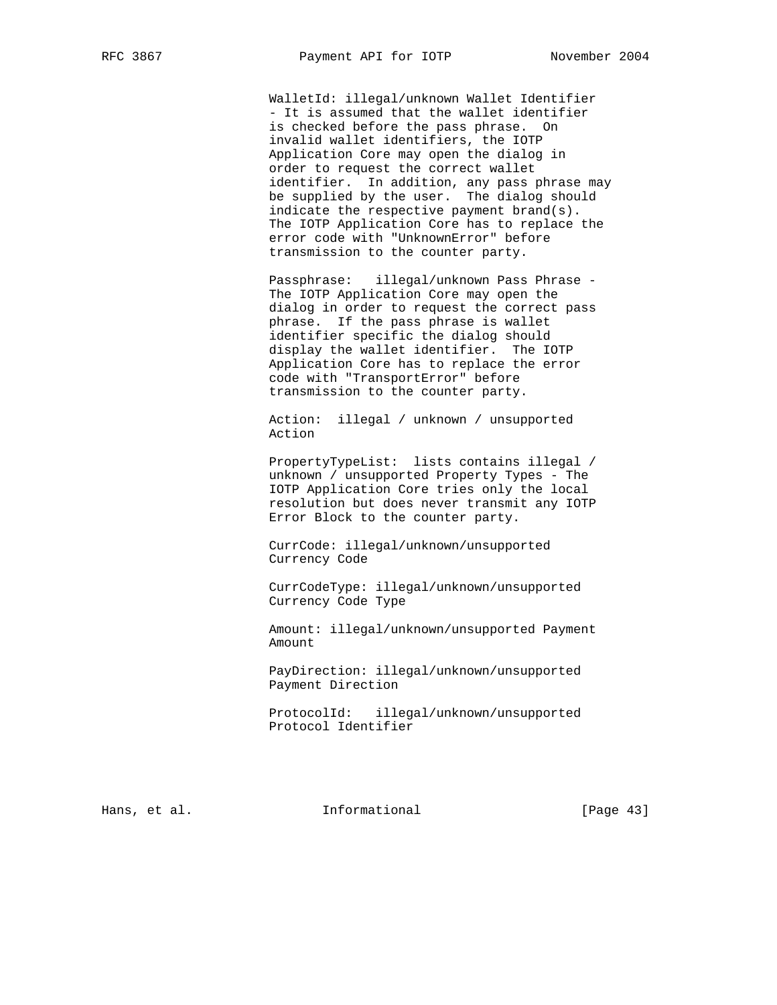WalletId: illegal/unknown Wallet Identifier - It is assumed that the wallet identifier is checked before the pass phrase. On invalid wallet identifiers, the IOTP Application Core may open the dialog in order to request the correct wallet identifier. In addition, any pass phrase may be supplied by the user. The dialog should indicate the respective payment brand(s). The IOTP Application Core has to replace the error code with "UnknownError" before transmission to the counter party.

 Passphrase: illegal/unknown Pass Phrase - The IOTP Application Core may open the dialog in order to request the correct pass phrase. If the pass phrase is wallet identifier specific the dialog should display the wallet identifier. The IOTP Application Core has to replace the error code with "TransportError" before transmission to the counter party.

 Action: illegal / unknown / unsupported Action

 PropertyTypeList: lists contains illegal / unknown / unsupported Property Types - The IOTP Application Core tries only the local resolution but does never transmit any IOTP Error Block to the counter party.

 CurrCode: illegal/unknown/unsupported Currency Code

 CurrCodeType: illegal/unknown/unsupported Currency Code Type

 Amount: illegal/unknown/unsupported Payment Amount

 PayDirection: illegal/unknown/unsupported Payment Direction

 ProtocolId: illegal/unknown/unsupported Protocol Identifier

Hans, et al. **Informational** [Page 43]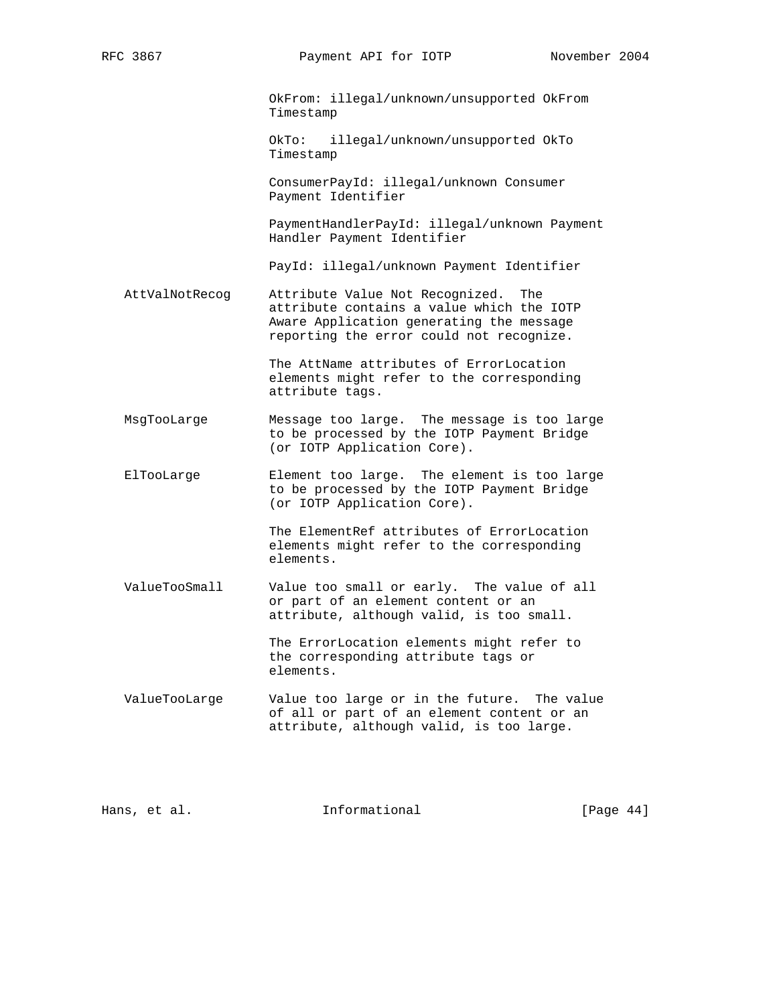OkFrom: illegal/unknown/unsupported OkFrom Timestamp

 OkTo: illegal/unknown/unsupported OkTo Timestamp

 ConsumerPayId: illegal/unknown Consumer Payment Identifier

 PaymentHandlerPayId: illegal/unknown Payment Handler Payment Identifier

PayId: illegal/unknown Payment Identifier

 AttValNotRecog Attribute Value Not Recognized. The attribute contains a value which the IOTP Aware Application generating the message reporting the error could not recognize.

> The AttName attributes of ErrorLocation elements might refer to the corresponding attribute tags.

- MsgTooLarge Message too large. The message is too large to be processed by the IOTP Payment Bridge (or IOTP Application Core).
- ElTooLarge Element too large. The element is too large to be processed by the IOTP Payment Bridge (or IOTP Application Core).

 The ElementRef attributes of ErrorLocation elements might refer to the corresponding elements.

 ValueTooSmall Value too small or early. The value of all or part of an element content or an attribute, although valid, is too small.

> The ErrorLocation elements might refer to the corresponding attribute tags or elements.

 ValueTooLarge Value too large or in the future. The value of all or part of an element content or an attribute, although valid, is too large.

Hans, et al. **Informational** [Page 44]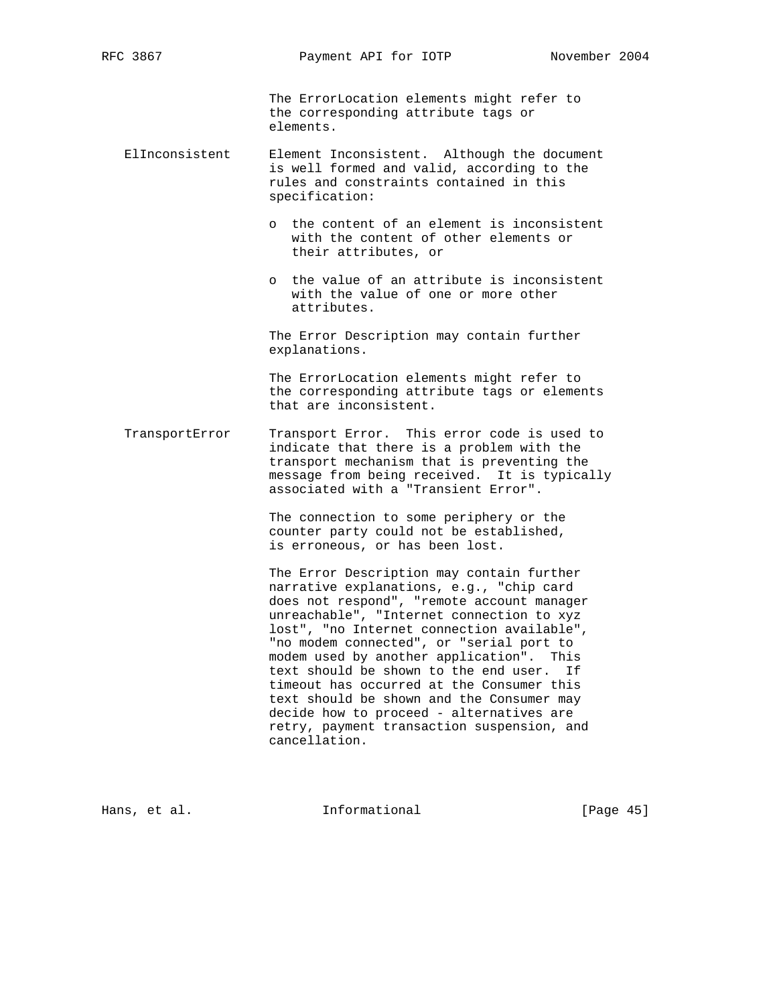The ErrorLocation elements might refer to the corresponding attribute tags or elements.

- ElInconsistent Element Inconsistent. Although the document is well formed and valid, according to the rules and constraints contained in this specification:
	- o the content of an element is inconsistent with the content of other elements or their attributes, or
	- o the value of an attribute is inconsistent with the value of one or more other attributes.

 The Error Description may contain further explanations.

 The ErrorLocation elements might refer to the corresponding attribute tags or elements that are inconsistent.

 TransportError Transport Error. This error code is used to indicate that there is a problem with the transport mechanism that is preventing the message from being received. It is typically associated with a "Transient Error".

> The connection to some periphery or the counter party could not be established, is erroneous, or has been lost.

 The Error Description may contain further narrative explanations, e.g., "chip card does not respond", "remote account manager unreachable", "Internet connection to xyz lost", "no Internet connection available", "no modem connected", or "serial port to modem used by another application". This text should be shown to the end user. If timeout has occurred at the Consumer this text should be shown and the Consumer may decide how to proceed - alternatives are retry, payment transaction suspension, and cancellation.

Hans, et al. **Informational** [Page 45]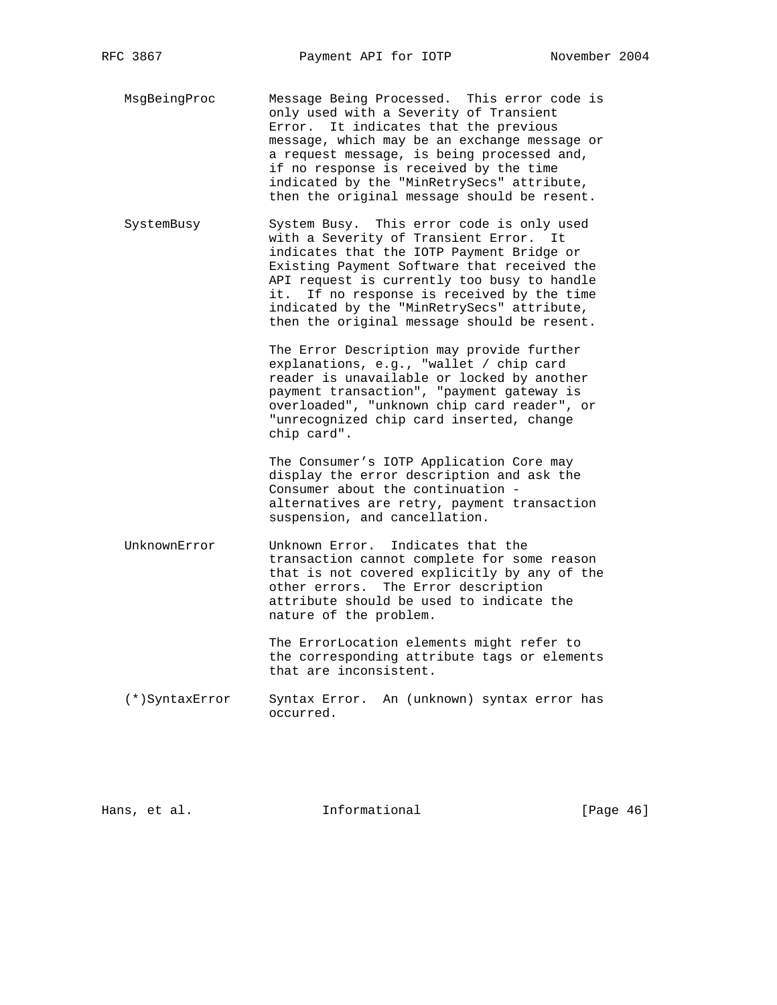MsgBeingProc Message Being Processed. This error code is only used with a Severity of Transient Error. It indicates that the previous message, which may be an exchange message or a request message, is being processed and, if no response is received by the time indicated by the "MinRetrySecs" attribute, then the original message should be resent.

 SystemBusy System Busy. This error code is only used with a Severity of Transient Error. It indicates that the IOTP Payment Bridge or Existing Payment Software that received the API request is currently too busy to handle it. If no response is received by the time indicated by the "MinRetrySecs" attribute, then the original message should be resent.

> The Error Description may provide further explanations, e.g., "wallet / chip card reader is unavailable or locked by another payment transaction", "payment gateway is overloaded", "unknown chip card reader", or "unrecognized chip card inserted, change chip card".

> The Consumer's IOTP Application Core may display the error description and ask the Consumer about the continuation alternatives are retry, payment transaction suspension, and cancellation.

 UnknownError Unknown Error. Indicates that the transaction cannot complete for some reason that is not covered explicitly by any of the other errors. The Error description attribute should be used to indicate the nature of the problem.

> The ErrorLocation elements might refer to the corresponding attribute tags or elements that are inconsistent.

 (\*)SyntaxError Syntax Error. An (unknown) syntax error has occurred.

Hans, et al. **Informational** [Page 46]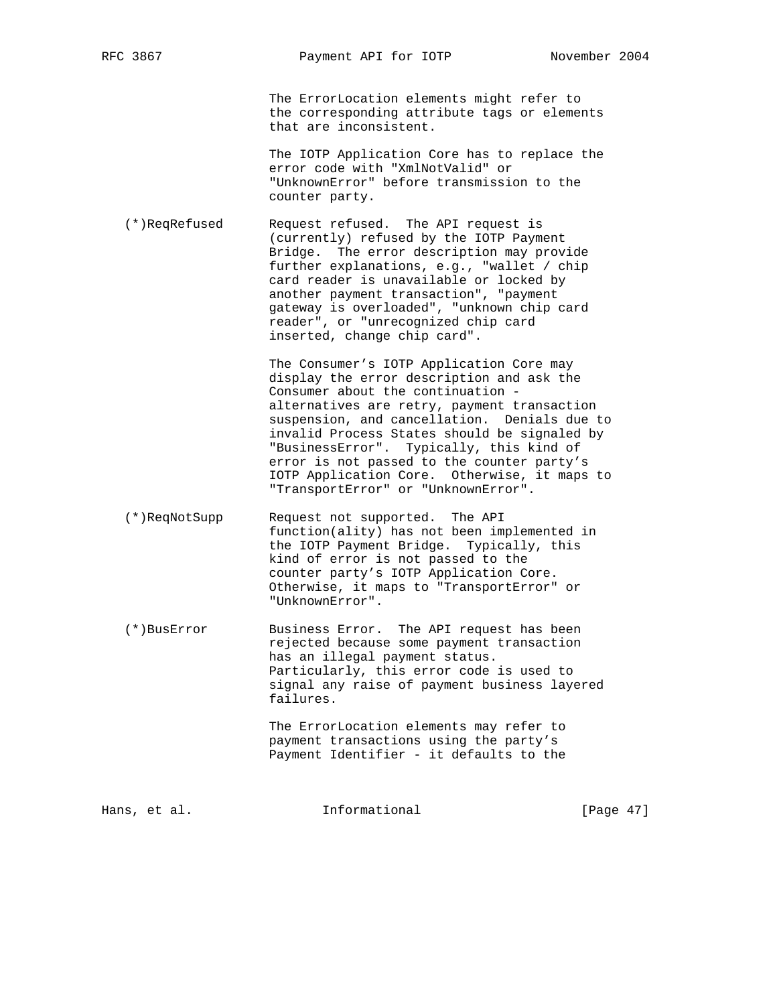The ErrorLocation elements might refer to the corresponding attribute tags or elements that are inconsistent.

 The IOTP Application Core has to replace the error code with "XmlNotValid" or "UnknownError" before transmission to the counter party.

 (\*)ReqRefused Request refused. The API request is (currently) refused by the IOTP Payment Bridge. The error description may provide further explanations, e.g., "wallet / chip card reader is unavailable or locked by another payment transaction", "payment gateway is overloaded", "unknown chip card reader", or "unrecognized chip card inserted, change chip card".

> The Consumer's IOTP Application Core may display the error description and ask the Consumer about the continuation alternatives are retry, payment transaction suspension, and cancellation. Denials due to invalid Process States should be signaled by "BusinessError". Typically, this kind of error is not passed to the counter party's IOTP Application Core. Otherwise, it maps to "TransportError" or "UnknownError".

- (\*)ReqNotSupp Request not supported. The API function(ality) has not been implemented in the IOTP Payment Bridge. Typically, this kind of error is not passed to the counter party's IOTP Application Core. Otherwise, it maps to "TransportError" or "UnknownError".
- (\*)BusError Business Error. The API request has been rejected because some payment transaction has an illegal payment status. Particularly, this error code is used to signal any raise of payment business layered failures.

 The ErrorLocation elements may refer to payment transactions using the party's Payment Identifier - it defaults to the

Hans, et al. **Informational** [Page 47]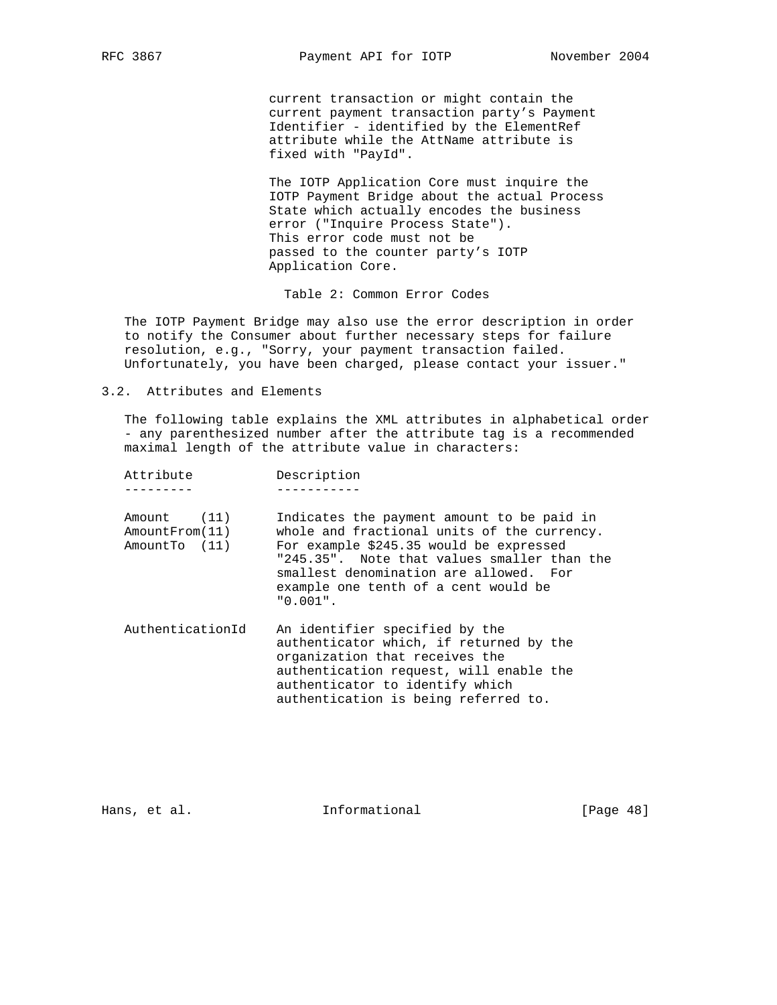current transaction or might contain the current payment transaction party's Payment Identifier - identified by the ElementRef attribute while the AttName attribute is fixed with "PayId".

 The IOTP Application Core must inquire the IOTP Payment Bridge about the actual Process State which actually encodes the business error ("Inquire Process State"). This error code must not be passed to the counter party's IOTP Application Core.

Table 2: Common Error Codes

 The IOTP Payment Bridge may also use the error description in order to notify the Consumer about further necessary steps for failure resolution, e.g., "Sorry, your payment transaction failed. Unfortunately, you have been charged, please contact your issuer."

3.2. Attributes and Elements

 The following table explains the XML attributes in alphabetical order - any parenthesized number after the attribute tag is a recommended maximal length of the attribute value in characters:

| Attribute                                      | Description                                                                                                                                                                                                                                                                          |
|------------------------------------------------|--------------------------------------------------------------------------------------------------------------------------------------------------------------------------------------------------------------------------------------------------------------------------------------|
| Amount (11)<br>AmountFrom(11)<br>AmountTo (11) | Indicates the payment amount to be paid in<br>whole and fractional units of the currency.<br>For example \$245.35 would be expressed<br>"245.35". Note that values smaller than the<br>smallest denomination are allowed. For<br>example one tenth of a cent would be<br>$"0.001"$ . |
| AuthenticationId                               | An identifier specified by the<br>authenticator which, if returned by the<br>organization that receives the<br>authentication request, will enable the<br>authenticator to identify which<br>authentication is being referred to.                                                    |

Hans, et al. 10. Informational 1. [Page 48]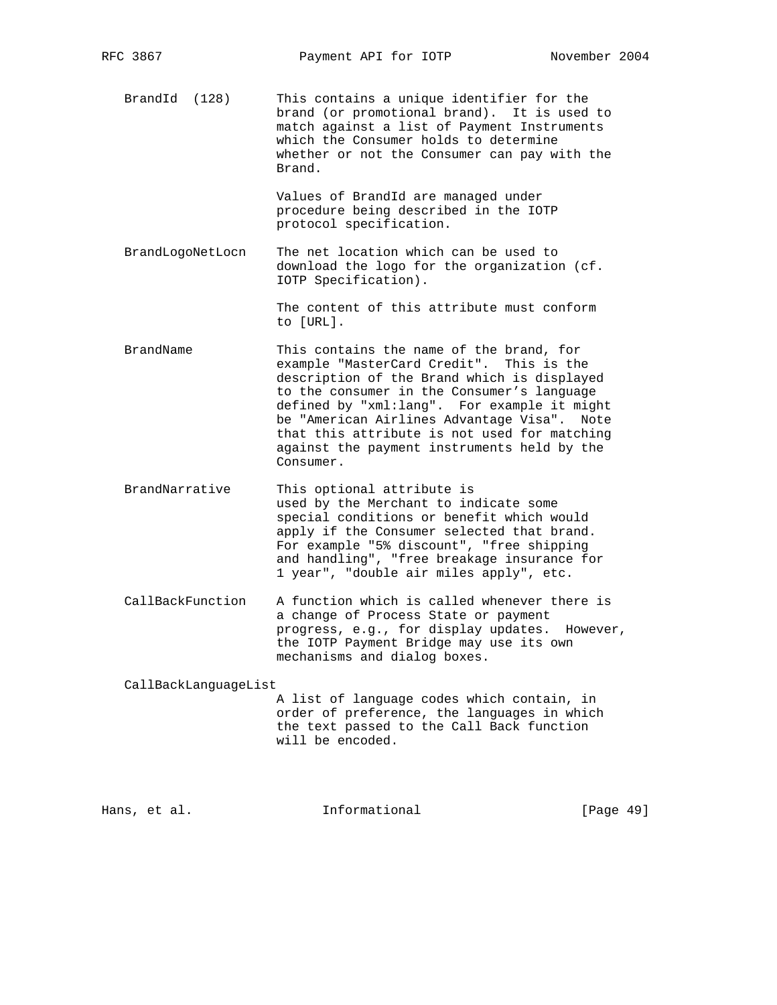BrandId (128) This contains a unique identifier for the brand (or promotional brand). It is used to match against a list of Payment Instruments which the Consumer holds to determine whether or not the Consumer can pay with the Brand.

> Values of BrandId are managed under procedure being described in the IOTP protocol specification.

 BrandLogoNetLocn The net location which can be used to download the logo for the organization (cf. IOTP Specification).

> The content of this attribute must conform to [URL].

- BrandName This contains the name of the brand, for example "MasterCard Credit". This is the description of the Brand which is displayed to the consumer in the Consumer's language defined by "xml:lang". For example it might be "American Airlines Advantage Visa". Note that this attribute is not used for matching against the payment instruments held by the Consumer.
- BrandNarrative This optional attribute is used by the Merchant to indicate some special conditions or benefit which would apply if the Consumer selected that brand. For example "5% discount", "free shipping and handling", "free breakage insurance for 1 year", "double air miles apply", etc.
- CallBackFunction A function which is called whenever there is a change of Process State or payment progress, e.g., for display updates. However, the IOTP Payment Bridge may use its own mechanisms and dialog boxes.

CallBackLanguageList

 A list of language codes which contain, in order of preference, the languages in which the text passed to the Call Back function will be encoded.

Hans, et al. **Informational** [Page 49]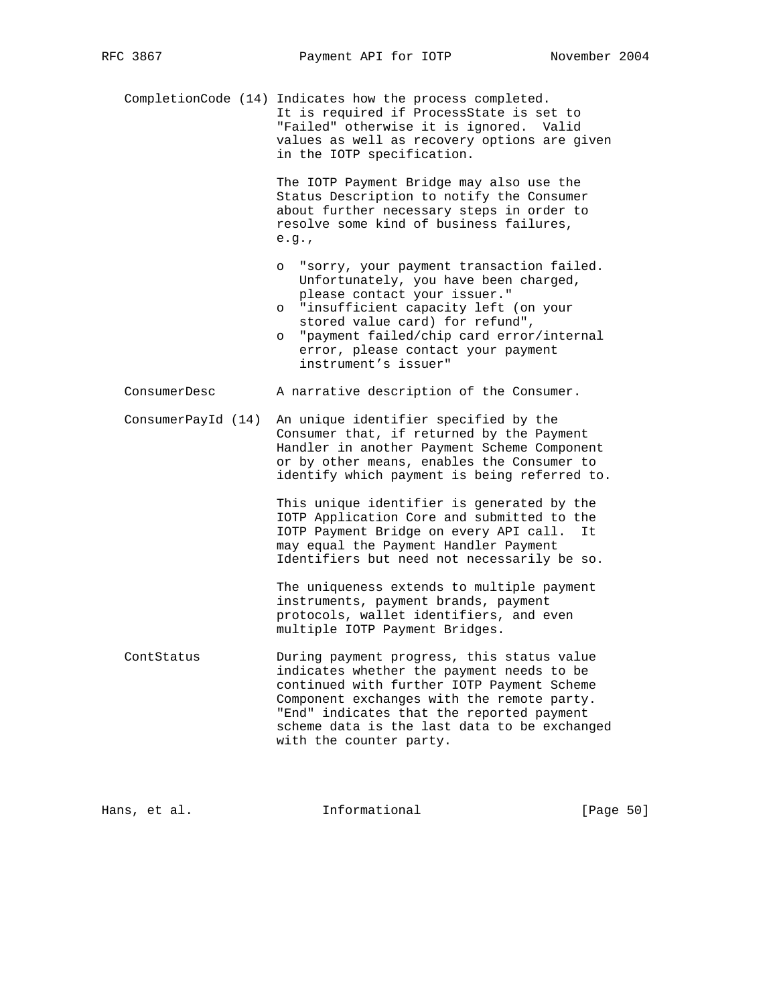CompletionCode (14) Indicates how the process completed. It is required if ProcessState is set to "Failed" otherwise it is ignored. Valid values as well as recovery options are given in the IOTP specification.

> The IOTP Payment Bridge may also use the Status Description to notify the Consumer about further necessary steps in order to resolve some kind of business failures, e.g.,

- o "sorry, your payment transaction failed. Unfortunately, you have been charged, please contact your issuer."
- o "insufficient capacity left (on your stored value card) for refund",
- o "payment failed/chip card error/internal error, please contact your payment instrument's issuer"
- ConsumerDesc A narrative description of the Consumer.
- ConsumerPayId (14) An unique identifier specified by the Consumer that, if returned by the Payment Handler in another Payment Scheme Component or by other means, enables the Consumer to identify which payment is being referred to.

 This unique identifier is generated by the IOTP Application Core and submitted to the IOTP Payment Bridge on every API call. It may equal the Payment Handler Payment Identifiers but need not necessarily be so.

 The uniqueness extends to multiple payment instruments, payment brands, payment protocols, wallet identifiers, and even multiple IOTP Payment Bridges.

 ContStatus During payment progress, this status value indicates whether the payment needs to be continued with further IOTP Payment Scheme Component exchanges with the remote party. "End" indicates that the reported payment scheme data is the last data to be exchanged with the counter party.

Hans, et al. **Informational** [Page 50]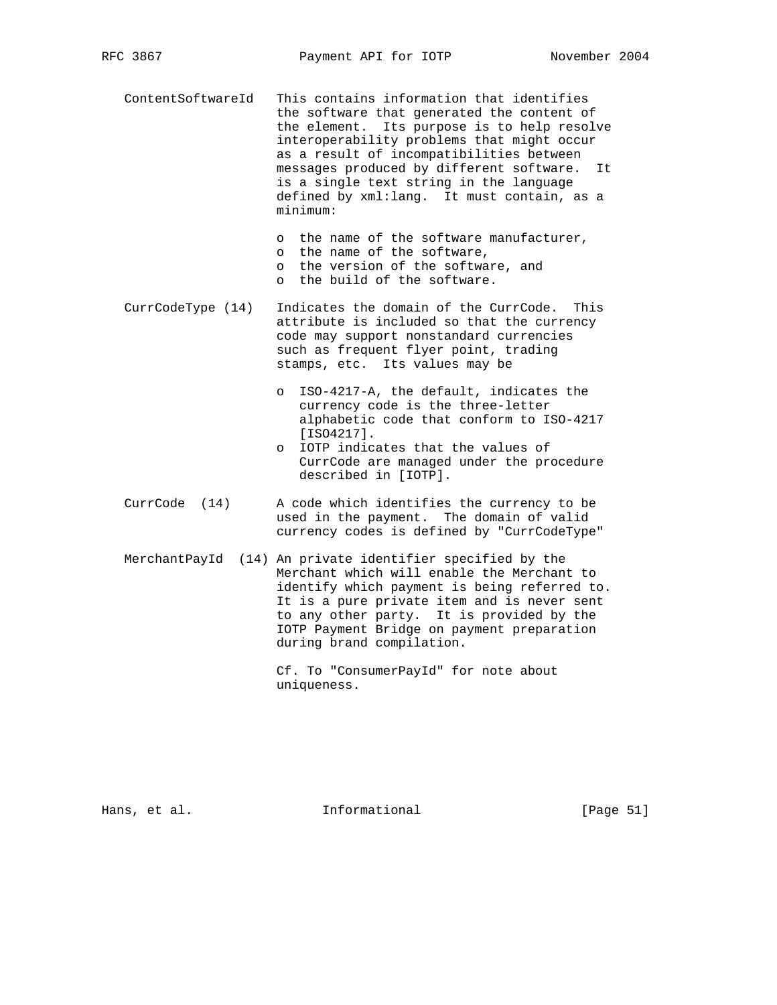ContentSoftwareId This contains information that identifies the software that generated the content of the element. Its purpose is to help resolve interoperability problems that might occur as a result of incompatibilities between messages produced by different software. It is a single text string in the language defined by xml:lang. It must contain, as a minimum:

> o the name of the software manufacturer, o the name of the software, o the version of the software, and o the build of the software.

- CurrCodeType (14) Indicates the domain of the CurrCode. This attribute is included so that the currency code may support nonstandard currencies such as frequent flyer point, trading stamps, etc. Its values may be
	- o ISO-4217-A, the default, indicates the currency code is the three-letter alphabetic code that conform to ISO-4217 [ISO4217].
	- o IOTP indicates that the values of CurrCode are managed under the procedure described in [IOTP].
- CurrCode (14) A code which identifies the currency to be used in the payment. The domain of valid currency codes is defined by "CurrCodeType"
- MerchantPayId (14) An private identifier specified by the Merchant which will enable the Merchant to identify which payment is being referred to. It is a pure private item and is never sent to any other party. It is provided by the IOTP Payment Bridge on payment preparation during brand compilation.

 Cf. To "ConsumerPayId" for note about uniqueness.

Hans, et al. **Informational** [Page 51]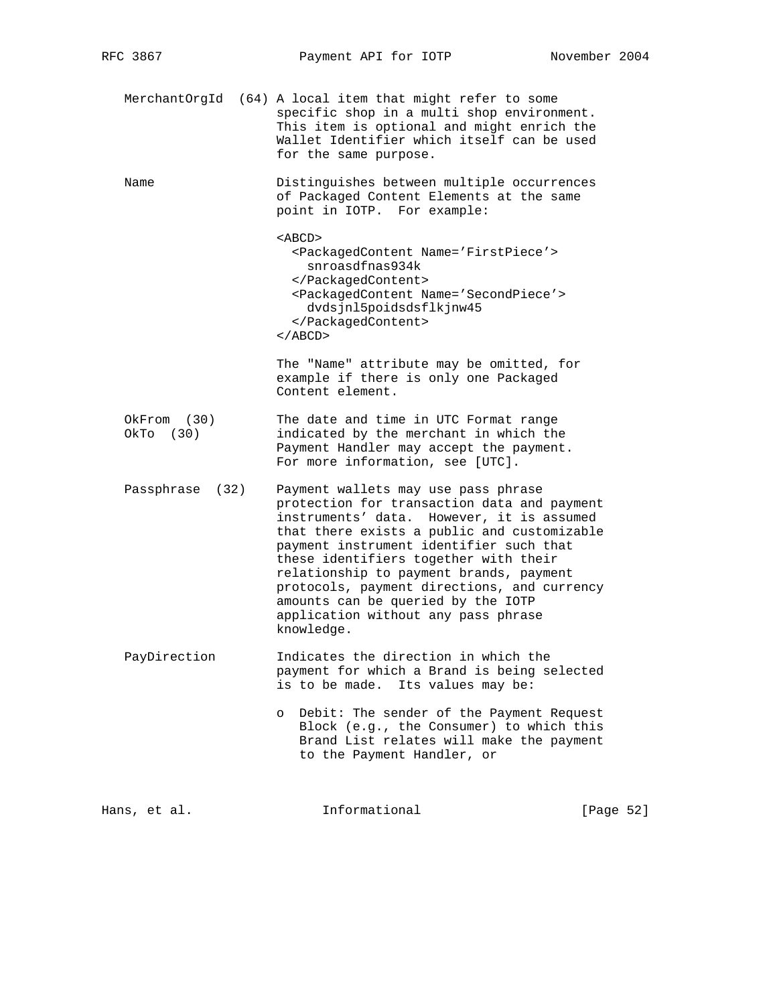| MerchantOrgId            | (64) A local item that might refer to some<br>specific shop in a multi shop environment.<br>This item is optional and might enrich the<br>Wallet Identifier which itself can be used<br>for the same purpose.                                                                                                                                                                                                                                           |
|--------------------------|---------------------------------------------------------------------------------------------------------------------------------------------------------------------------------------------------------------------------------------------------------------------------------------------------------------------------------------------------------------------------------------------------------------------------------------------------------|
| Name                     | Distinguishes between multiple occurrences<br>of Packaged Content Elements at the same<br>point in IOTP. For example:                                                                                                                                                                                                                                                                                                                                   |
|                          | $<$ ABCD $>$<br><packagedcontent name="FirstPiece"><br/>snroasdfnas934k<br/></packagedcontent><br><packagedcontent name="SecondPiece"><br/>dvdsjnl5poidsdsflkjnw45<br/></packagedcontent><br>$\langle$ / ABCD $>$                                                                                                                                                                                                                                       |
|                          | The "Name" attribute may be omitted, for<br>example if there is only one Packaged<br>Content element.                                                                                                                                                                                                                                                                                                                                                   |
| OkFrom (30)<br>OkTo (30) | The date and time in UTC Format range<br>indicated by the merchant in which the<br>Payment Handler may accept the payment.<br>For more information, see [UTC].                                                                                                                                                                                                                                                                                          |
| Passphrase<br>(32)       | Payment wallets may use pass phrase<br>protection for transaction data and payment<br>instruments' data. However, it is assumed<br>that there exists a public and customizable<br>payment instrument identifier such that<br>these identifiers together with their<br>relationship to payment brands, payment<br>protocols, payment directions, and currency<br>amounts can be queried by the IOTP<br>application without any pass phrase<br>knowledge. |
| PayDirection             | Indicates the direction in which the<br>payment for which a Brand is being selected<br>is to be made. Its values may be:                                                                                                                                                                                                                                                                                                                                |
|                          | Debit: The sender of the Payment Request<br>$\circ$<br>Block (e.g., the Consumer) to which this<br>Brand List relates will make the payment<br>to the Payment Handler, or                                                                                                                                                                                                                                                                               |
|                          |                                                                                                                                                                                                                                                                                                                                                                                                                                                         |

Hans, et al. 1nformational [Page 52]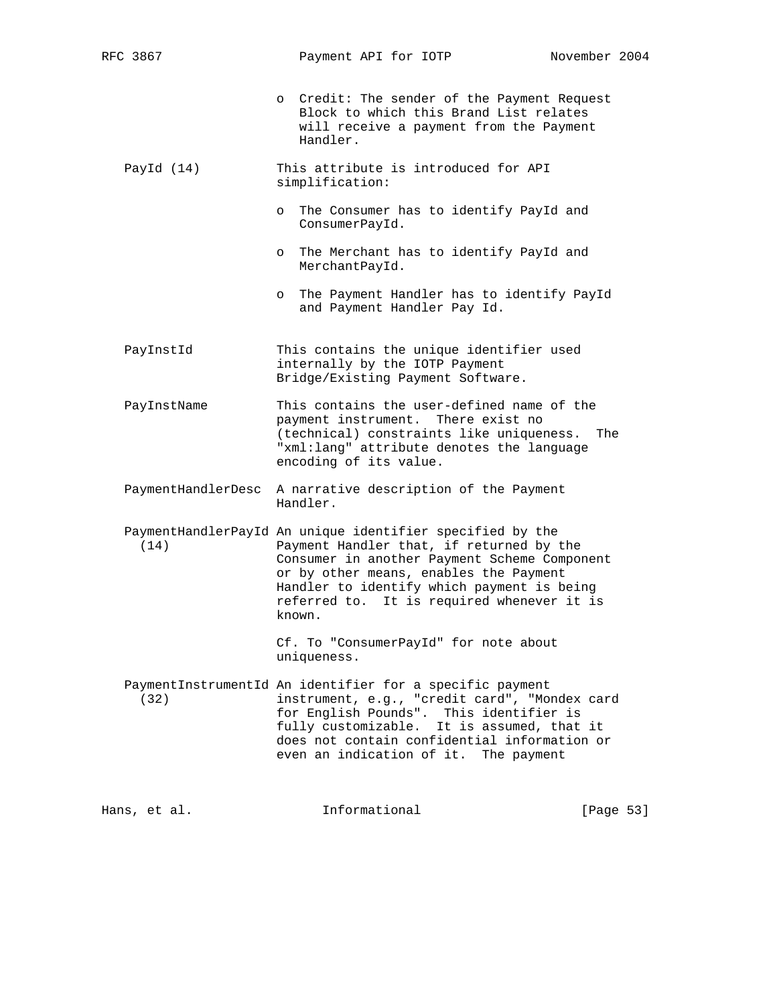o Credit: The sender of the Payment Request Block to which this Brand List relates will receive a payment from the Payment Handler.

- PayId (14) This attribute is introduced for API simplification:
	- o The Consumer has to identify PayId and ConsumerPayId.
	- o The Merchant has to identify PayId and MerchantPayId.
	- o The Payment Handler has to identify PayId and Payment Handler Pay Id.
- PayInstId This contains the unique identifier used internally by the IOTP Payment Bridge/Existing Payment Software.

 PayInstName This contains the user-defined name of the payment instrument. There exist no (technical) constraints like uniqueness. The "xml:lang" attribute denotes the language encoding of its value.

- PaymentHandlerDesc A narrative description of the Payment Handler.
- PaymentHandlerPayId An unique identifier specified by the (14) Payment Handler that, if returned by the Consumer in another Payment Scheme Component or by other means, enables the Payment Handler to identify which payment is being referred to. It is required whenever it is known.

 Cf. To "ConsumerPayId" for note about uniqueness.

 PaymentInstrumentId An identifier for a specific payment (32) instrument, e.g., "credit card", "Mondex card for English Pounds". This identifier is fully customizable. It is assumed, that it does not contain confidential information or even an indication of it. The payment

Hans, et al. **Informational** [Page 53]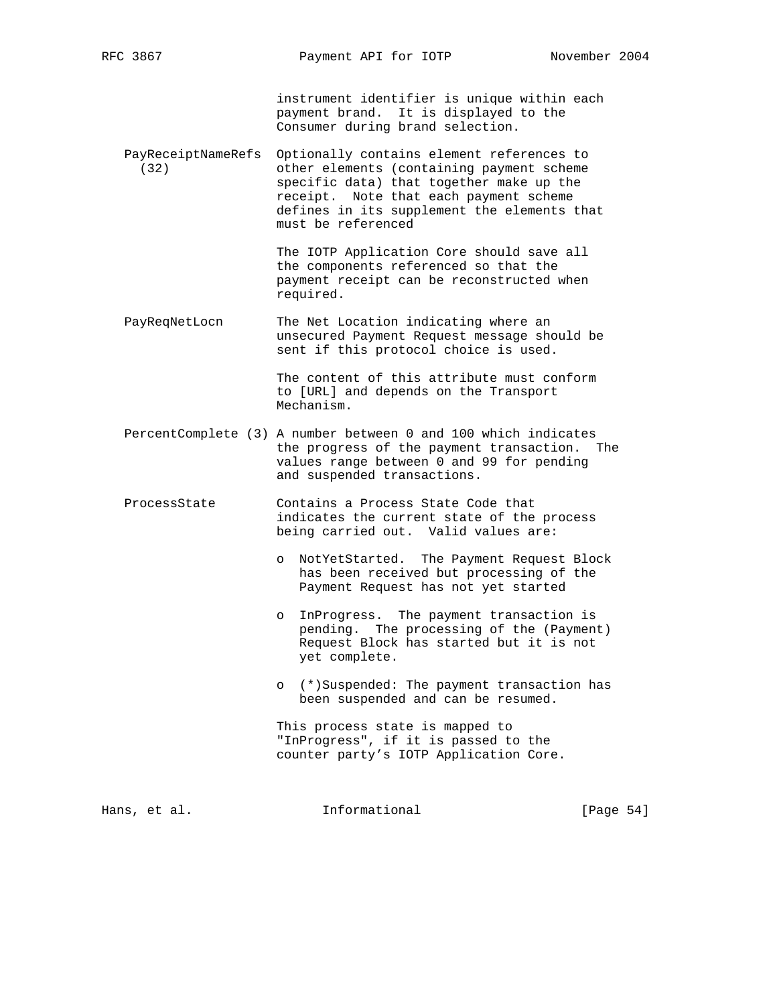instrument identifier is unique within each payment brand. It is displayed to the Consumer during brand selection.

 PayReceiptNameRefs Optionally contains element references to (32) other elements (containing payment scheme specific data) that together make up the receipt. Note that each payment scheme defines in its supplement the elements that must be referenced

> The IOTP Application Core should save all the components referenced so that the payment receipt can be reconstructed when required.

PayReqNetLocn The Net Location indicating where an unsecured Payment Request message should be sent if this protocol choice is used.

> The content of this attribute must conform to [URL] and depends on the Transport Mechanism.

- PercentComplete (3) A number between 0 and 100 which indicates the progress of the payment transaction. The values range between 0 and 99 for pending and suspended transactions.
- ProcessState Contains a Process State Code that indicates the current state of the process being carried out. Valid values are:
	- o NotYetStarted. The Payment Request Block has been received but processing of the Payment Request has not yet started
	- o InProgress. The payment transaction is pending. The processing of the (Payment) Request Block has started but it is not yet complete.
	- o (\*)Suspended: The payment transaction has been suspended and can be resumed.

 This process state is mapped to "InProgress", if it is passed to the counter party's IOTP Application Core.

Hans, et al. **Informational** [Page 54]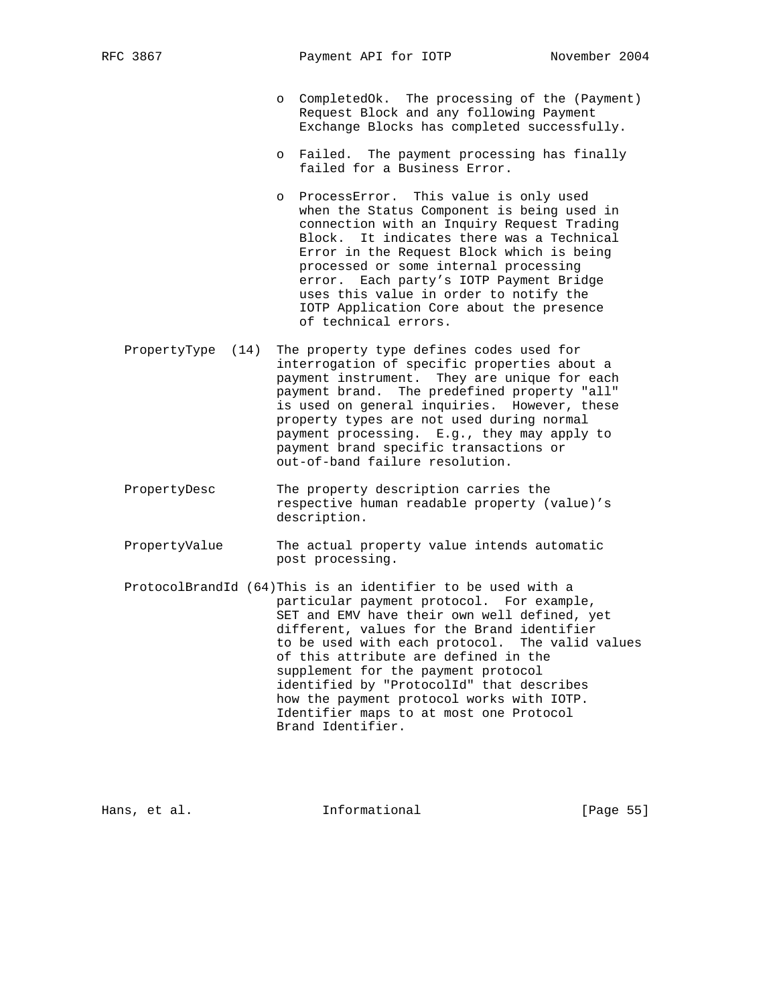- o CompletedOk. The processing of the (Payment) Request Block and any following Payment Exchange Blocks has completed successfully.
- o Failed. The payment processing has finally failed for a Business Error.
- o ProcessError. This value is only used when the Status Component is being used in connection with an Inquiry Request Trading Block. It indicates there was a Technical Error in the Request Block which is being processed or some internal processing error. Each party's IOTP Payment Bridge uses this value in order to notify the IOTP Application Core about the presence of technical errors.
- PropertyType (14) The property type defines codes used for interrogation of specific properties about a payment instrument. They are unique for each payment brand. The predefined property "all" is used on general inquiries. However, these property types are not used during normal payment processing. E.g., they may apply to payment brand specific transactions or out-of-band failure resolution.
- PropertyDesc The property description carries the respective human readable property (value)'s description.
- PropertyValue The actual property value intends automatic post processing.
- ProtocolBrandId (64)This is an identifier to be used with a particular payment protocol. For example, SET and EMV have their own well defined, yet different, values for the Brand identifier to be used with each protocol. The valid values of this attribute are defined in the supplement for the payment protocol identified by "ProtocolId" that describes how the payment protocol works with IOTP. Identifier maps to at most one Protocol Brand Identifier.

Hans, et al. **Informational** [Page 55]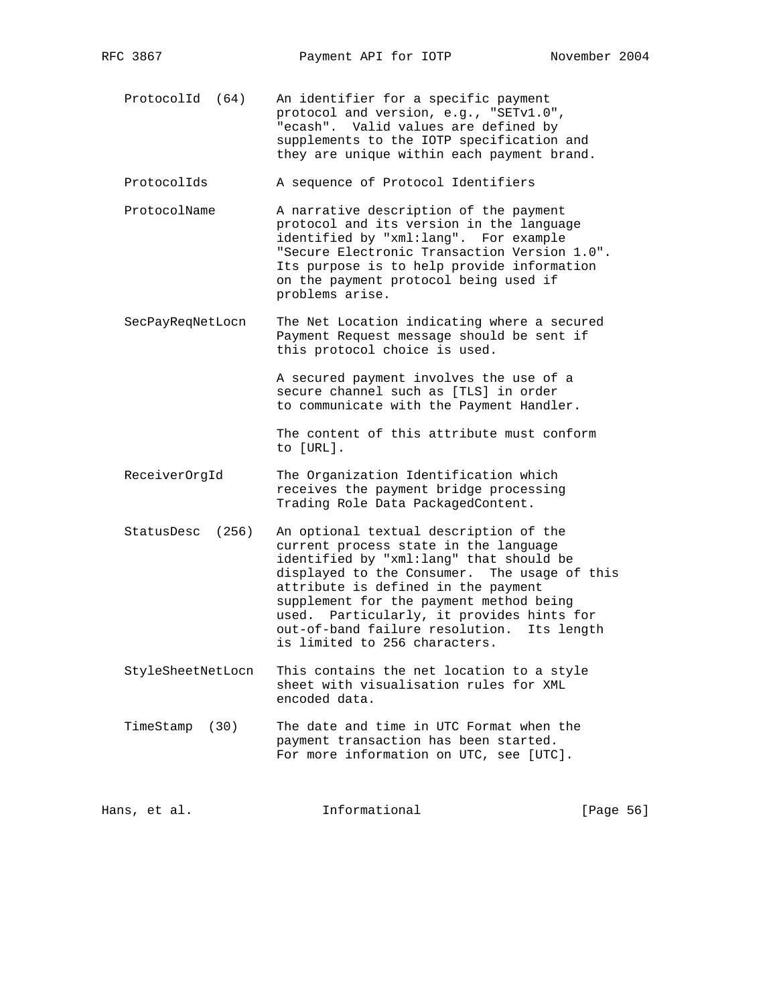ProtocolId (64) An identifier for a specific payment protocol and version, e.g., "SETv1.0", "ecash". Valid values are defined by supplements to the IOTP specification and they are unique within each payment brand.

ProtocolIds A sequence of Protocol Identifiers

- ProtocolName A narrative description of the payment protocol and its version in the language identified by "xml:lang". For example "Secure Electronic Transaction Version 1.0". Its purpose is to help provide information on the payment protocol being used if problems arise.
- SecPayReqNetLocn The Net Location indicating where a secured Payment Request message should be sent if this protocol choice is used.

 A secured payment involves the use of a secure channel such as [TLS] in order to communicate with the Payment Handler.

 The content of this attribute must conform to [URL].

- ReceiverOrgId The Organization Identification which receives the payment bridge processing Trading Role Data PackagedContent.
- StatusDesc (256) An optional textual description of the current process state in the language identified by "xml:lang" that should be displayed to the Consumer. The usage of this attribute is defined in the payment supplement for the payment method being used. Particularly, it provides hints for out-of-band failure resolution. Its length is limited to 256 characters.
- StyleSheetNetLocn This contains the net location to a style sheet with visualisation rules for XML encoded data.
- TimeStamp (30) The date and time in UTC Format when the payment transaction has been started. For more information on UTC, see [UTC].

| Hans, et al. | Informational | [Page 56] |
|--------------|---------------|-----------|
|              |               |           |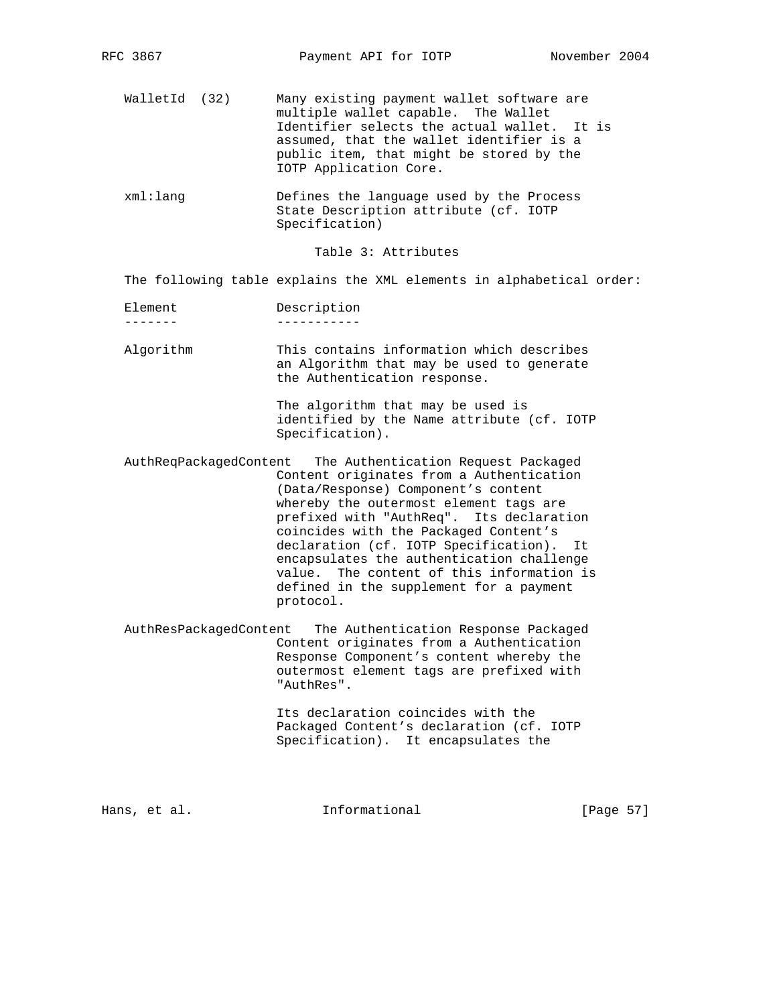- WalletId (32) Many existing payment wallet software are multiple wallet capable. The Wallet Identifier selects the actual wallet. It is assumed, that the wallet identifier is a public item, that might be stored by the IOTP Application Core.
- xml:lang Defines the language used by the Process State Description attribute (cf. IOTP Specification)

Table 3: Attributes

The following table explains the XML elements in alphabetical order:

- Element Description ------- -----------
- Algorithm This contains information which describes an Algorithm that may be used to generate the Authentication response.

 The algorithm that may be used is identified by the Name attribute (cf. IOTP Specification).

- AuthReqPackagedContent The Authentication Request Packaged Content originates from a Authentication (Data/Response) Component's content whereby the outermost element tags are prefixed with "AuthReq". Its declaration coincides with the Packaged Content's declaration (cf. IOTP Specification). It encapsulates the authentication challenge value. The content of this information is defined in the supplement for a payment protocol.
- AuthResPackagedContent The Authentication Response Packaged Content originates from a Authentication Response Component's content whereby the outermost element tags are prefixed with "AuthRes".

 Its declaration coincides with the Packaged Content's declaration (cf. IOTP Specification). It encapsulates the

Hans, et al. **Informational** [Page 57]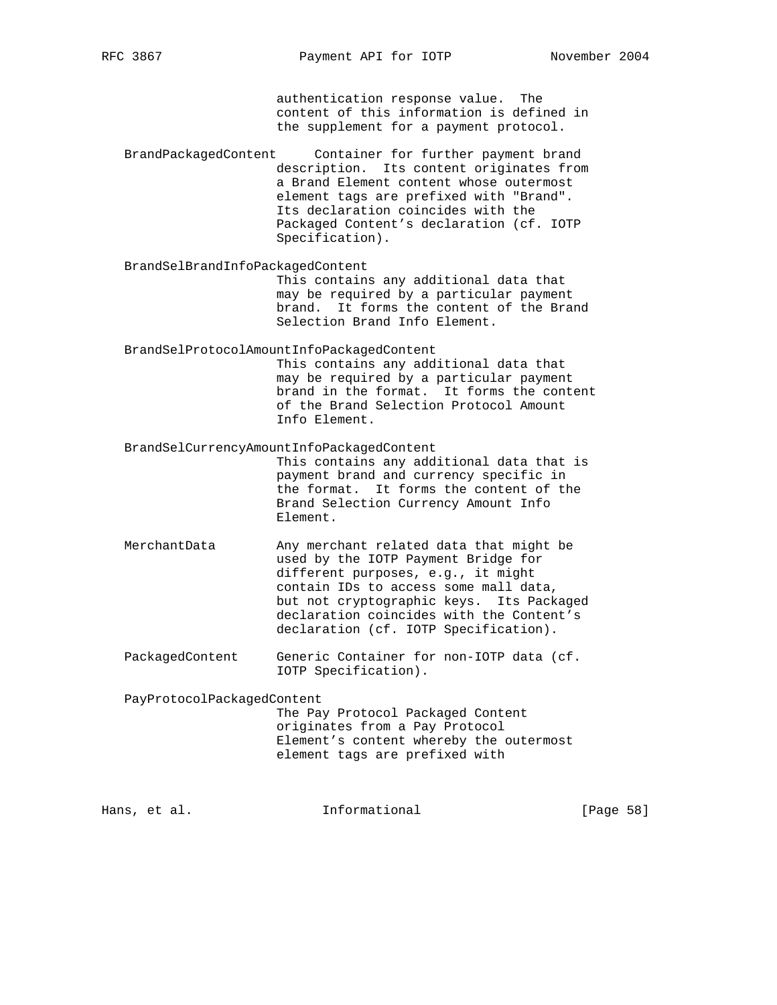authentication response value. The content of this information is defined in the supplement for a payment protocol.

 BrandPackagedContent Container for further payment brand description. Its content originates from a Brand Element content whose outermost element tags are prefixed with "Brand". Its declaration coincides with the Packaged Content's declaration (cf. IOTP Specification).

BrandSelBrandInfoPackagedContent

 This contains any additional data that may be required by a particular payment brand. It forms the content of the Brand Selection Brand Info Element.

BrandSelProtocolAmountInfoPackagedContent

 This contains any additional data that may be required by a particular payment brand in the format. It forms the content of the Brand Selection Protocol Amount Info Element.

BrandSelCurrencyAmountInfoPackagedContent

 This contains any additional data that is payment brand and currency specific in the format. It forms the content of the Brand Selection Currency Amount Info Element.

- MerchantData Any merchant related data that might be used by the IOTP Payment Bridge for different purposes, e.g., it might contain IDs to access some mall data, but not cryptographic keys. Its Packaged declaration coincides with the Content's declaration (cf. IOTP Specification).
- PackagedContent Generic Container for non-IOTP data (cf. IOTP Specification).

PayProtocolPackagedContent

 The Pay Protocol Packaged Content originates from a Pay Protocol Element's content whereby the outermost element tags are prefixed with

Hans, et al. **Informational** [Page 58]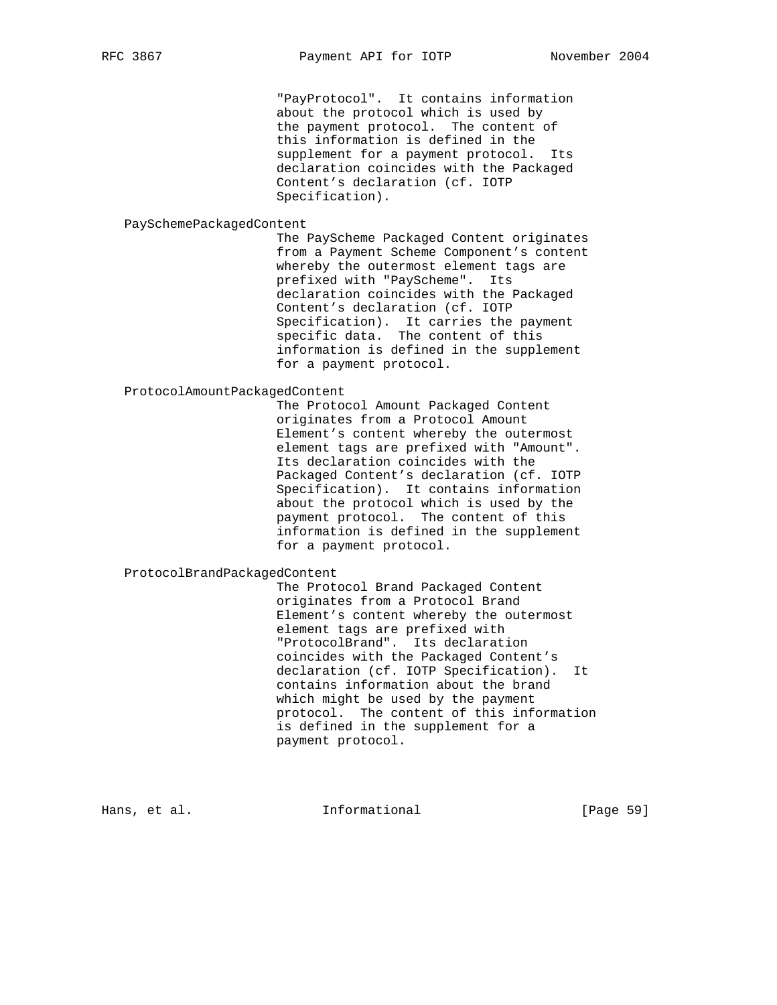"PayProtocol". It contains information about the protocol which is used by the payment protocol. The content of this information is defined in the supplement for a payment protocol. Its declaration coincides with the Packaged Content's declaration (cf. IOTP Specification).

#### PaySchemePackagedContent

 The PayScheme Packaged Content originates from a Payment Scheme Component's content whereby the outermost element tags are prefixed with "PayScheme". Its declaration coincides with the Packaged Content's declaration (cf. IOTP Specification). It carries the payment specific data. The content of this information is defined in the supplement for a payment protocol.

# ProtocolAmountPackagedContent

 The Protocol Amount Packaged Content originates from a Protocol Amount Element's content whereby the outermost element tags are prefixed with "Amount". Its declaration coincides with the Packaged Content's declaration (cf. IOTP Specification). It contains information about the protocol which is used by the payment protocol. The content of this information is defined in the supplement for a payment protocol.

ProtocolBrandPackagedContent

 The Protocol Brand Packaged Content originates from a Protocol Brand Element's content whereby the outermost element tags are prefixed with "ProtocolBrand". Its declaration coincides with the Packaged Content's declaration (cf. IOTP Specification). It contains information about the brand which might be used by the payment protocol. The content of this information is defined in the supplement for a payment protocol.

Hans, et al. **Informational** [Page 59]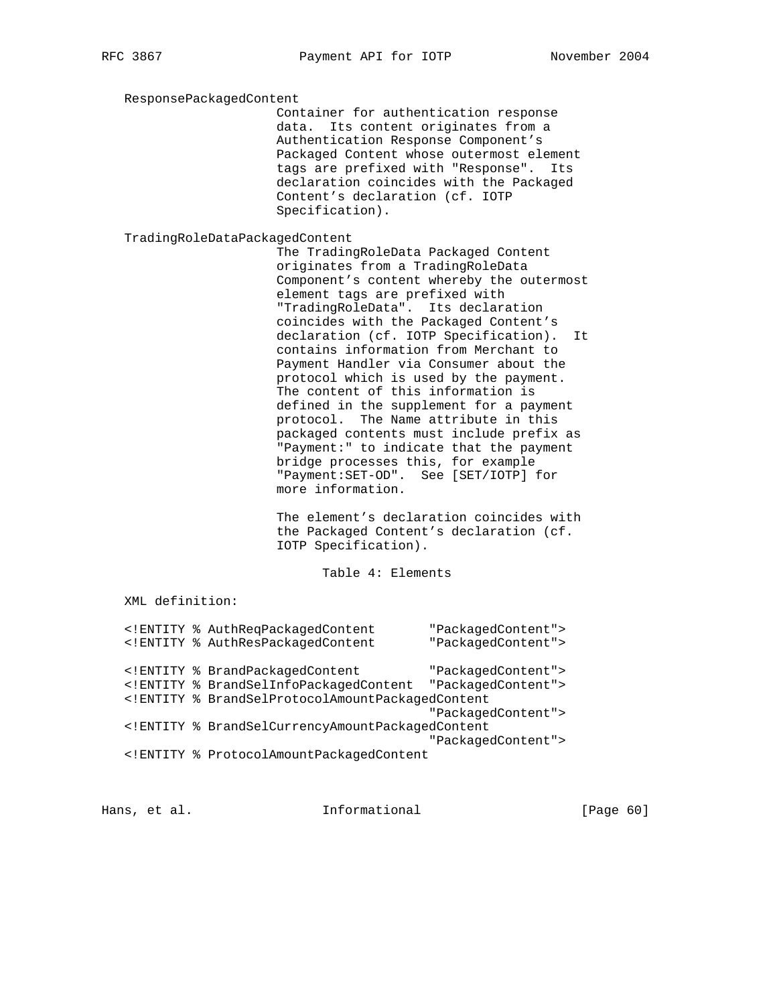ResponsePackagedContent

 Container for authentication response data. Its content originates from a Authentication Response Component's Packaged Content whose outermost element tags are prefixed with "Response". Its declaration coincides with the Packaged Content's declaration (cf. IOTP Specification).

TradingRoleDataPackagedContent

 The TradingRoleData Packaged Content originates from a TradingRoleData Component's content whereby the outermost element tags are prefixed with "TradingRoleData". Its declaration coincides with the Packaged Content's declaration (cf. IOTP Specification). It contains information from Merchant to Payment Handler via Consumer about the protocol which is used by the payment. The content of this information is defined in the supplement for a payment protocol. The Name attribute in this packaged contents must include prefix as "Payment:" to indicate that the payment bridge processes this, for example "Payment:SET-OD". See [SET/IOTP] for more information.

 The element's declaration coincides with the Packaged Content's declaration (cf. IOTP Specification).

Table 4: Elements

XML definition:

|  | ENTITY % AuthRegPackagedContent</th <th>"PackagedContent"&gt;</th>      | "PackagedContent"> |
|--|-------------------------------------------------------------------------|--------------------|
|  | ENTITY % AuthResPackagedContent</td <td>"PackagedContent"&gt;</td>      | "PackagedContent"> |
|  | ENTITY % BrandPackagedContent</td <td>"PackagedContent"&gt;</td>        | "PackagedContent"> |
|  | ENTITY % BrandSelInfoPackagedContent</td <td>"PackagedContent"&gt;</td> | "PackagedContent"> |
|  | ENTITY % BrandSelProtocolAmountPackagedContent</td <td></td>            |                    |
|  |                                                                         | "PackagedContent"> |
|  | ENTITY % BrandSelCurrencyAmountPackagedContent</td <td></td>            |                    |
|  |                                                                         | "PackagedContent"> |
|  | ENTITY % ProtocolAmountPackagedContent</td <td></td>                    |                    |

Hans, et al. **Informational** [Page 60]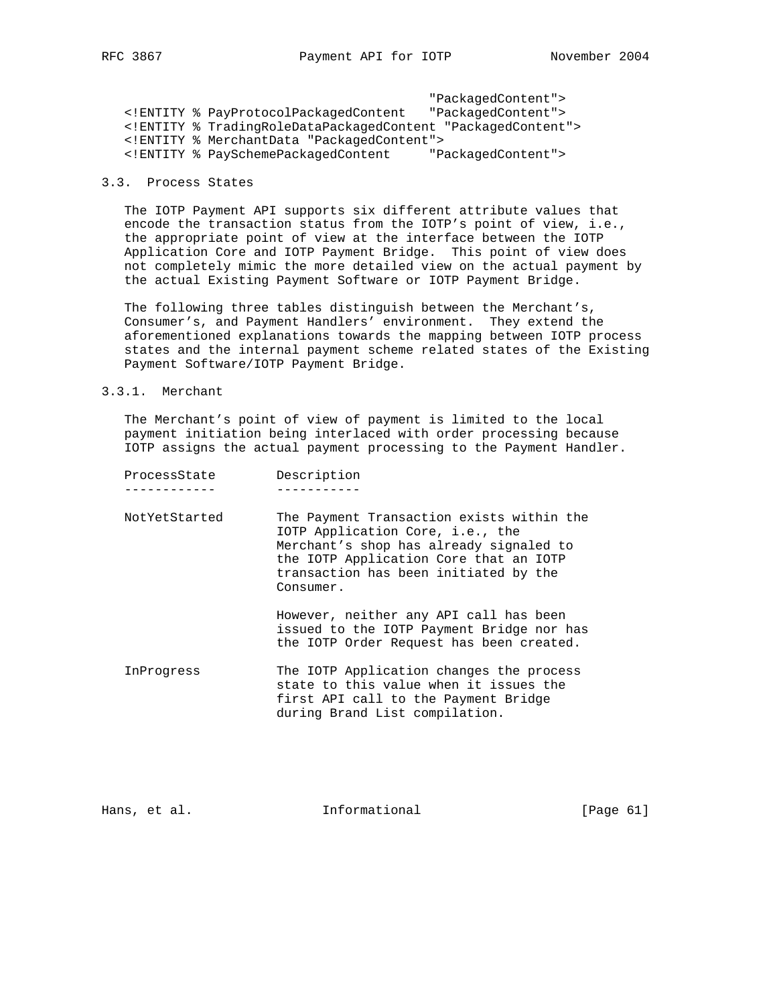"PackagedContent"> <!ENTITY % PayProtocolPackagedContent "PackagedContent"> <!ENTITY % TradingRoleDataPackagedContent "PackagedContent"> <!ENTITY % MerchantData "PackagedContent"> <!ENTITY % PaySchemePackagedContent "PackagedContent">

# 3.3. Process States

 The IOTP Payment API supports six different attribute values that encode the transaction status from the IOTP's point of view, i.e., the appropriate point of view at the interface between the IOTP Application Core and IOTP Payment Bridge. This point of view does not completely mimic the more detailed view on the actual payment by the actual Existing Payment Software or IOTP Payment Bridge.

 The following three tables distinguish between the Merchant's, Consumer's, and Payment Handlers' environment. They extend the aforementioned explanations towards the mapping between IOTP process states and the internal payment scheme related states of the Existing Payment Software/IOTP Payment Bridge.

### 3.3.1. Merchant

 The Merchant's point of view of payment is limited to the local payment initiation being interlaced with order processing because IOTP assigns the actual payment processing to the Payment Handler.

| ProcessState  | Description                                                                                                                                                                                                              |
|---------------|--------------------------------------------------------------------------------------------------------------------------------------------------------------------------------------------------------------------------|
|               |                                                                                                                                                                                                                          |
| NotYetStarted | The Payment Transaction exists within the<br>IOTP Application Core, i.e., the<br>Merchant's shop has already signaled to<br>the IOTP Application Core that an IOTP<br>transaction has been initiated by the<br>Consumer. |
|               | However, neither any API call has been<br>issued to the IOTP Payment Bridge nor has<br>the IOTP Order Request has been created.                                                                                          |
| InProgress    | The IOTP Application changes the process<br>state to this value when it issues the<br>first API call to the Payment Bridge<br>during Brand List compilation.                                                             |

Hans, et al. 10 mm informational 11 mm informational [Page 61]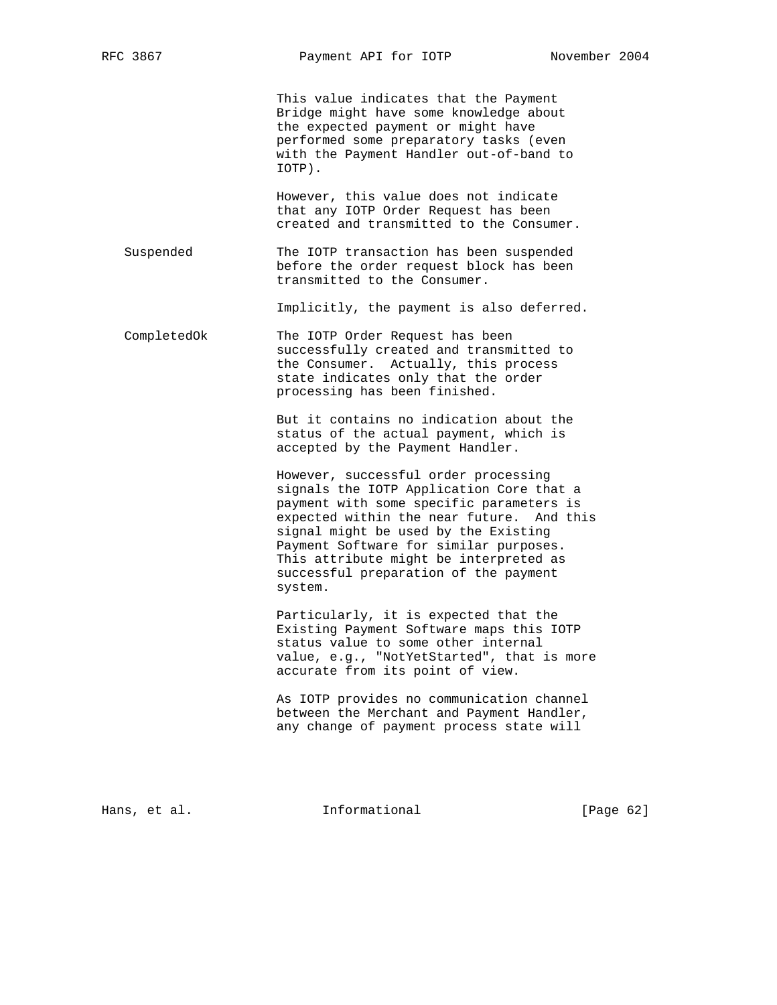This value indicates that the Payment Bridge might have some knowledge about the expected payment or might have performed some preparatory tasks (even with the Payment Handler out-of-band to IOTP).

 However, this value does not indicate that any IOTP Order Request has been created and transmitted to the Consumer.

 Suspended The IOTP transaction has been suspended before the order request block has been transmitted to the Consumer.

Implicitly, the payment is also deferred.

 CompletedOk The IOTP Order Request has been successfully created and transmitted to the Consumer. Actually, this process state indicates only that the order processing has been finished.

> But it contains no indication about the status of the actual payment, which is accepted by the Payment Handler.

 However, successful order processing signals the IOTP Application Core that a payment with some specific parameters is expected within the near future. And this signal might be used by the Existing Payment Software for similar purposes. This attribute might be interpreted as successful preparation of the payment system.

 Particularly, it is expected that the Existing Payment Software maps this IOTP status value to some other internal value, e.g., "NotYetStarted", that is more accurate from its point of view.

 As IOTP provides no communication channel between the Merchant and Payment Handler, any change of payment process state will

Hans, et al. **Informational** [Page 62]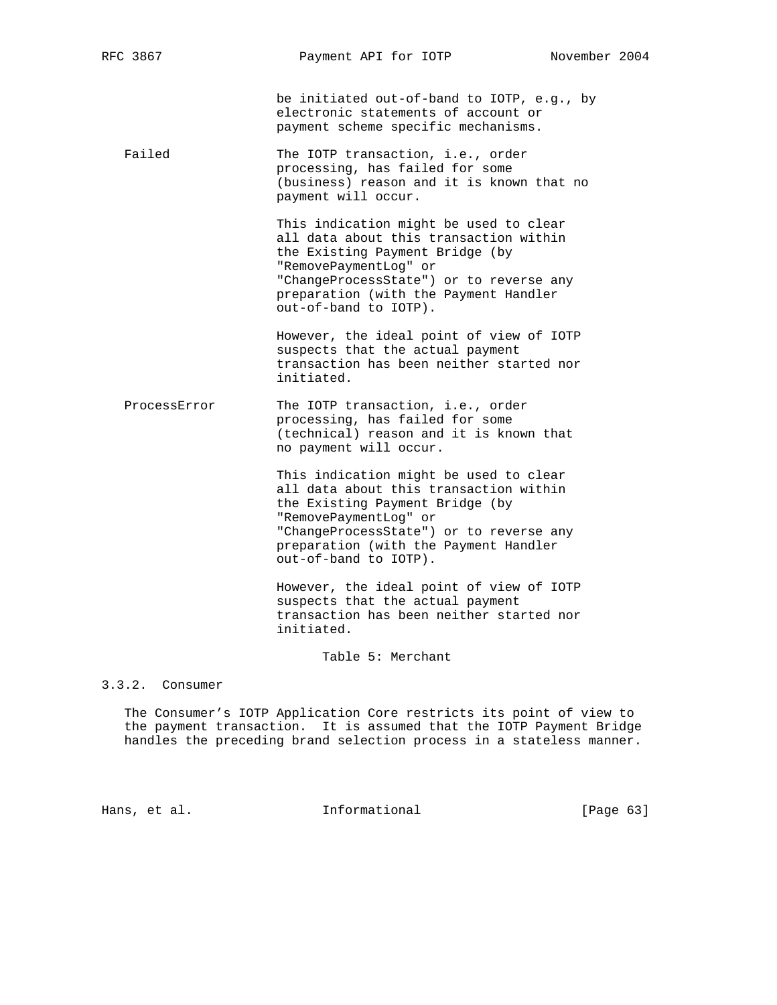be initiated out-of-band to IOTP, e.g., by electronic statements of account or payment scheme specific mechanisms.

Failed The IOTP transaction, i.e., order processing, has failed for some (business) reason and it is known that no payment will occur.

> This indication might be used to clear all data about this transaction within the Existing Payment Bridge (by "RemovePaymentLog" or "ChangeProcessState") or to reverse any preparation (with the Payment Handler out-of-band to IOTP).

 However, the ideal point of view of IOTP suspects that the actual payment transaction has been neither started nor initiated.

ProcessError The IOTP transaction, i.e., order processing, has failed for some (technical) reason and it is known that no payment will occur.

> This indication might be used to clear all data about this transaction within the Existing Payment Bridge (by "RemovePaymentLog" or "ChangeProcessState") or to reverse any preparation (with the Payment Handler out-of-band to IOTP).

 However, the ideal point of view of IOTP suspects that the actual payment transaction has been neither started nor initiated.

Table 5: Merchant

3.3.2. Consumer

 The Consumer's IOTP Application Core restricts its point of view to the payment transaction. It is assumed that the IOTP Payment Bridge handles the preceding brand selection process in a stateless manner.

Hans, et al. **Informational** [Page 63]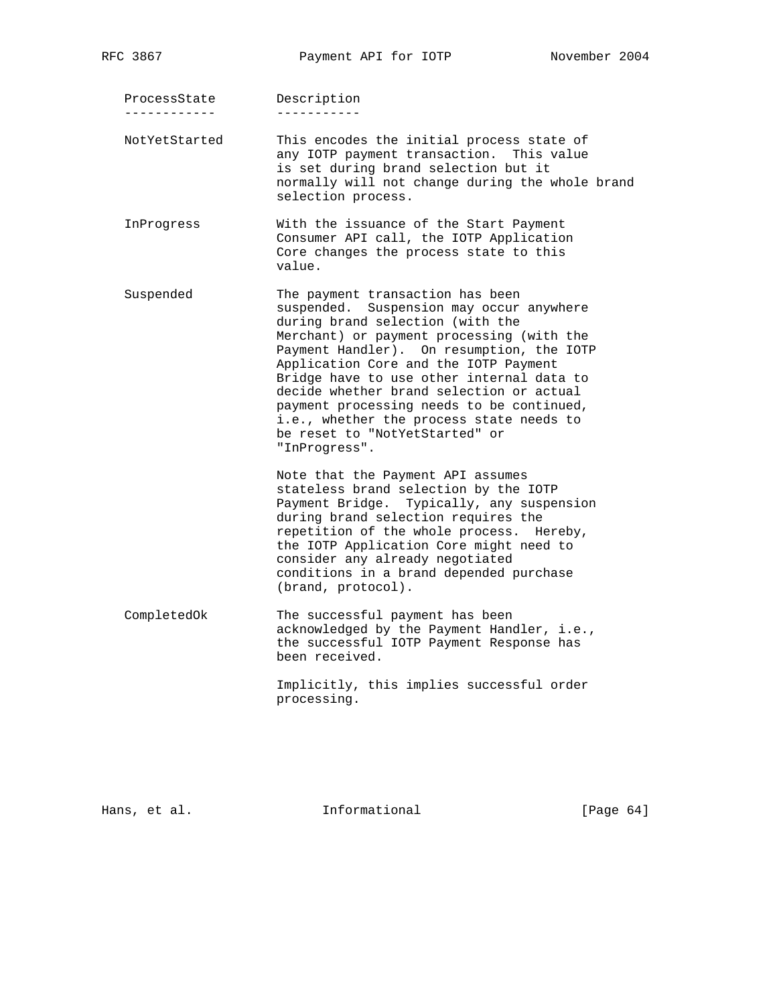ProcessState Description ------------ -----------

 NotYetStarted This encodes the initial process state of any IOTP payment transaction. This value is set during brand selection but it normally will not change during the whole brand selection process.

- InProgress With the issuance of the Start Payment Consumer API call, the IOTP Application Core changes the process state to this value.
- Suspended The payment transaction has been suspended. Suspension may occur anywhere during brand selection (with the Merchant) or payment processing (with the Payment Handler). On resumption, the IOTP Application Core and the IOTP Payment Bridge have to use other internal data to decide whether brand selection or actual payment processing needs to be continued, i.e., whether the process state needs to be reset to "NotYetStarted" or "InProgress".

 Note that the Payment API assumes stateless brand selection by the IOTP Payment Bridge. Typically, any suspension during brand selection requires the repetition of the whole process. Hereby, the IOTP Application Core might need to consider any already negotiated conditions in a brand depended purchase (brand, protocol).

 CompletedOk The successful payment has been acknowledged by the Payment Handler, i.e., the successful IOTP Payment Response has been received.

> Implicitly, this implies successful order processing.

Hans, et al. **Informational** [Page 64]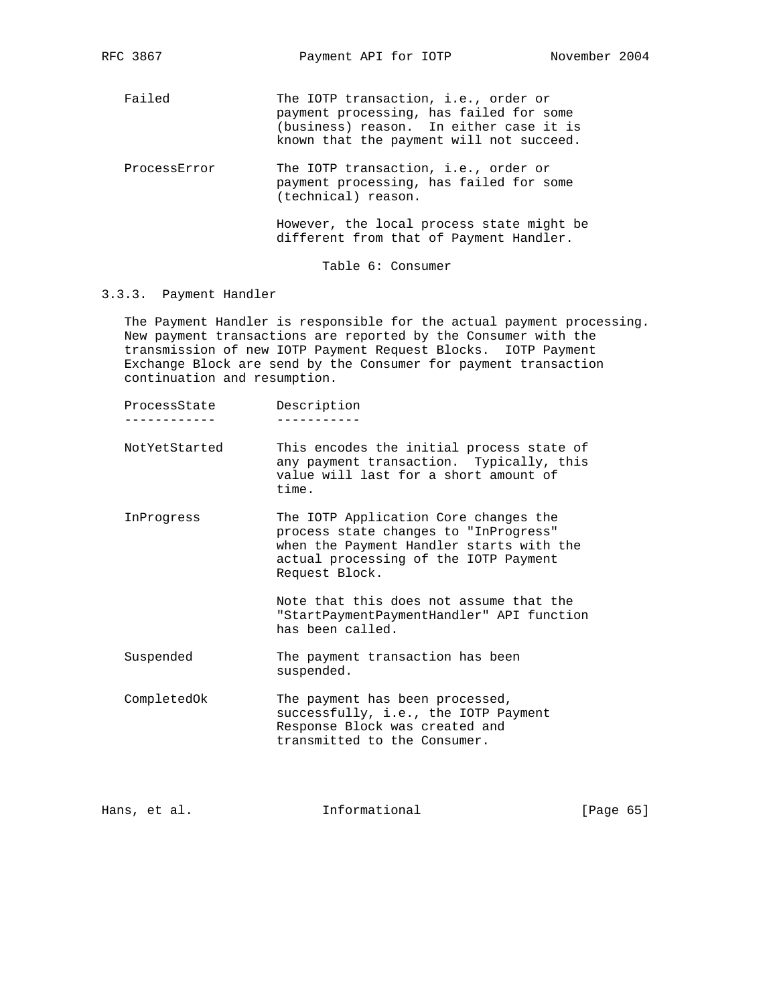Failed The IOTP transaction, i.e., order or payment processing, has failed for some (business) reason. In either case it is known that the payment will not succeed.

ProcessError The IOTP transaction, i.e., order or payment processing, has failed for some (technical) reason.

> However, the local process state might be different from that of Payment Handler.

> > Table 6: Consumer

### 3.3.3. Payment Handler

 The Payment Handler is responsible for the actual payment processing. New payment transactions are reported by the Consumer with the transmission of new IOTP Payment Request Blocks. IOTP Payment Exchange Block are send by the Consumer for payment transaction continuation and resumption.

| ProcessState | Description |
|--------------|-------------|
|--------------|-------------|

------------ -----------

- NotYetStarted This encodes the initial process state of any payment transaction. Typically, this value will last for a short amount of time.
- InProgress The IOTP Application Core changes the process state changes to "InProgress" when the Payment Handler starts with the actual processing of the IOTP Payment Request Block.

 Note that this does not assume that the "StartPaymentPaymentHandler" API function has been called.

- Suspended The payment transaction has been suspended.
- CompletedOk The payment has been processed, successfully, i.e., the IOTP Payment Response Block was created and transmitted to the Consumer.

Hans, et al. **Informational** [Page 65]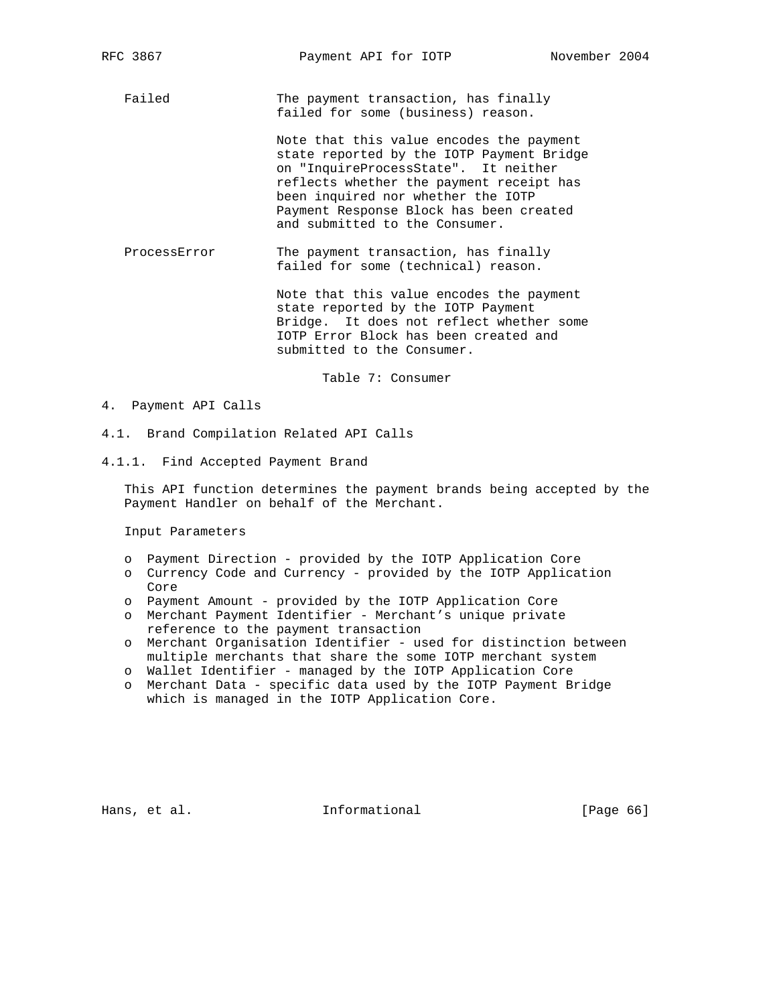Failed The payment transaction, has finally failed for some (business) reason.

> Note that this value encodes the payment state reported by the IOTP Payment Bridge on "InquireProcessState". It neither reflects whether the payment receipt has been inquired nor whether the IOTP Payment Response Block has been created and submitted to the Consumer.

ProcessError The payment transaction, has finally failed for some (technical) reason.

> Note that this value encodes the payment state reported by the IOTP Payment Bridge. It does not reflect whether some IOTP Error Block has been created and submitted to the Consumer.

> > Table 7: Consumer

- 4. Payment API Calls
- 4.1. Brand Compilation Related API Calls
- 4.1.1. Find Accepted Payment Brand

 This API function determines the payment brands being accepted by the Payment Handler on behalf of the Merchant.

Input Parameters

- o Payment Direction provided by the IOTP Application Core
- o Currency Code and Currency provided by the IOTP Application Core
- o Payment Amount provided by the IOTP Application Core
- o Merchant Payment Identifier Merchant's unique private reference to the payment transaction
- o Merchant Organisation Identifier used for distinction between multiple merchants that share the some IOTP merchant system
- o Wallet Identifier managed by the IOTP Application Core
- o Merchant Data specific data used by the IOTP Payment Bridge which is managed in the IOTP Application Core.

Hans, et al. **Informational** [Page 66]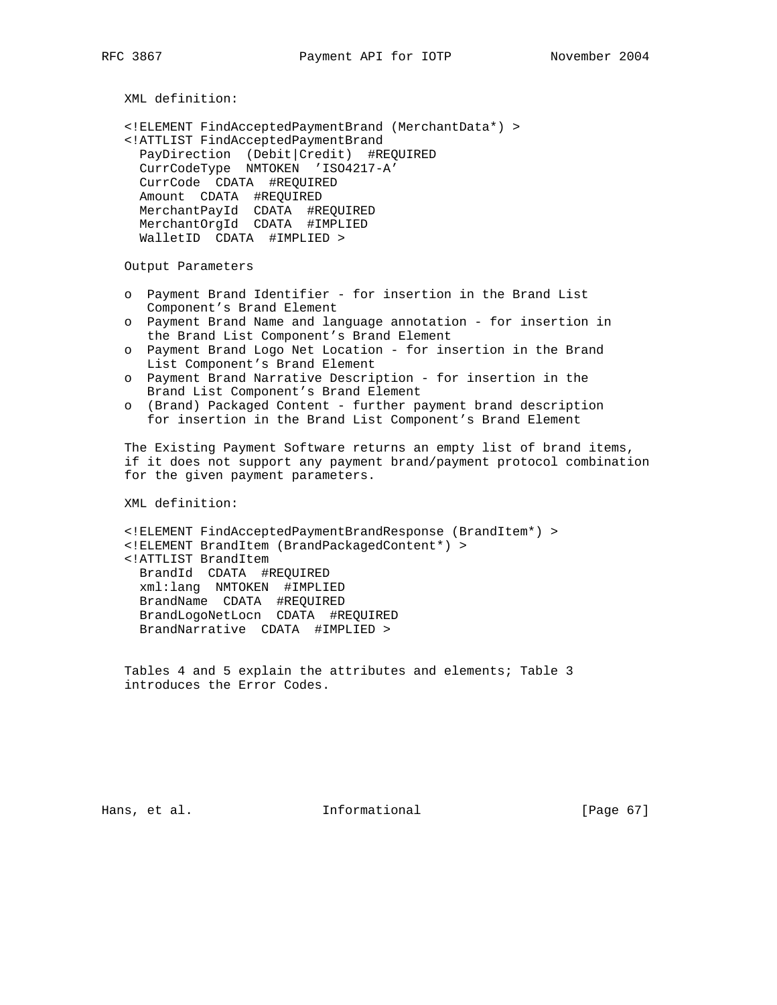XML definition: <!ELEMENT FindAcceptedPaymentBrand (MerchantData\*) > <!ATTLIST FindAcceptedPaymentBrand PayDirection (Debit|Credit) #REQUIRED CurrCodeType NMTOKEN 'ISO4217-A' CurrCode CDATA #REQUIRED Amount CDATA #REQUIRED MerchantPayId CDATA #REQUIRED MerchantOrgId CDATA #IMPLIED WalletID CDATA #IMPLIED > Output Parameters o Payment Brand Identifier - for insertion in the Brand List Component's Brand Element o Payment Brand Name and language annotation - for insertion in the Brand List Component's Brand Element o Payment Brand Logo Net Location - for insertion in the Brand List Component's Brand Element o Payment Brand Narrative Description - for insertion in the Brand List Component's Brand Element o (Brand) Packaged Content - further payment brand description for insertion in the Brand List Component's Brand Element The Existing Payment Software returns an empty list of brand items, if it does not support any payment brand/payment protocol combination for the given payment parameters. XML definition: <!ELEMENT FindAcceptedPaymentBrandResponse (BrandItem\*) > <!ELEMENT BrandItem (BrandPackagedContent\*) > <!ATTLIST BrandItem BrandId CDATA #REQUIRED xml:lang NMTOKEN #IMPLIED BrandName CDATA #REQUIRED BrandLogoNetLocn CDATA #REQUIRED BrandNarrative CDATA #IMPLIED > Tables 4 and 5 explain the attributes and elements; Table 3

introduces the Error Codes.

Hans, et al. 10 Informational 10 [Page 67]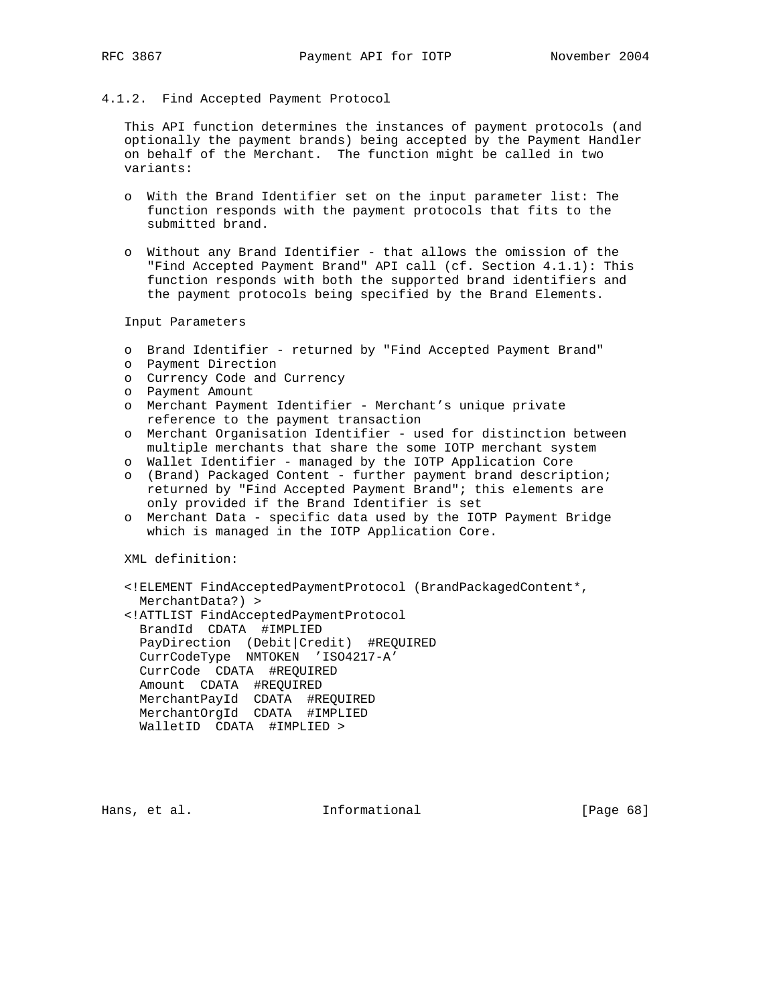# 4.1.2. Find Accepted Payment Protocol

 This API function determines the instances of payment protocols (and optionally the payment brands) being accepted by the Payment Handler on behalf of the Merchant. The function might be called in two variants:

- o With the Brand Identifier set on the input parameter list: The function responds with the payment protocols that fits to the submitted brand.
- o Without any Brand Identifier that allows the omission of the "Find Accepted Payment Brand" API call (cf. Section 4.1.1): This function responds with both the supported brand identifiers and the payment protocols being specified by the Brand Elements.

Input Parameters

- o Brand Identifier returned by "Find Accepted Payment Brand"
- o Payment Direction
- o Currency Code and Currency
- o Payment Amount
- o Merchant Payment Identifier Merchant's unique private reference to the payment transaction
- o Merchant Organisation Identifier used for distinction between multiple merchants that share the some IOTP merchant system
- o Wallet Identifier managed by the IOTP Application Core
- o (Brand) Packaged Content further payment brand description; returned by "Find Accepted Payment Brand"; this elements are only provided if the Brand Identifier is set
- o Merchant Data specific data used by the IOTP Payment Bridge which is managed in the IOTP Application Core.

XML definition:

- <!ELEMENT FindAcceptedPaymentProtocol (BrandPackagedContent\*, MerchantData?) >
- <!ATTLIST FindAcceptedPaymentProtocol BrandId CDATA #IMPLIED PayDirection (Debit|Credit) #REQUIRED CurrCodeType NMTOKEN 'ISO4217-A' CurrCode CDATA #REQUIRED Amount CDATA #REQUIRED MerchantPayId CDATA #REQUIRED MerchantOrgId CDATA #IMPLIED WalletID CDATA #IMPLIED >

Hans, et al.  $I_n$  Informational [Page 68]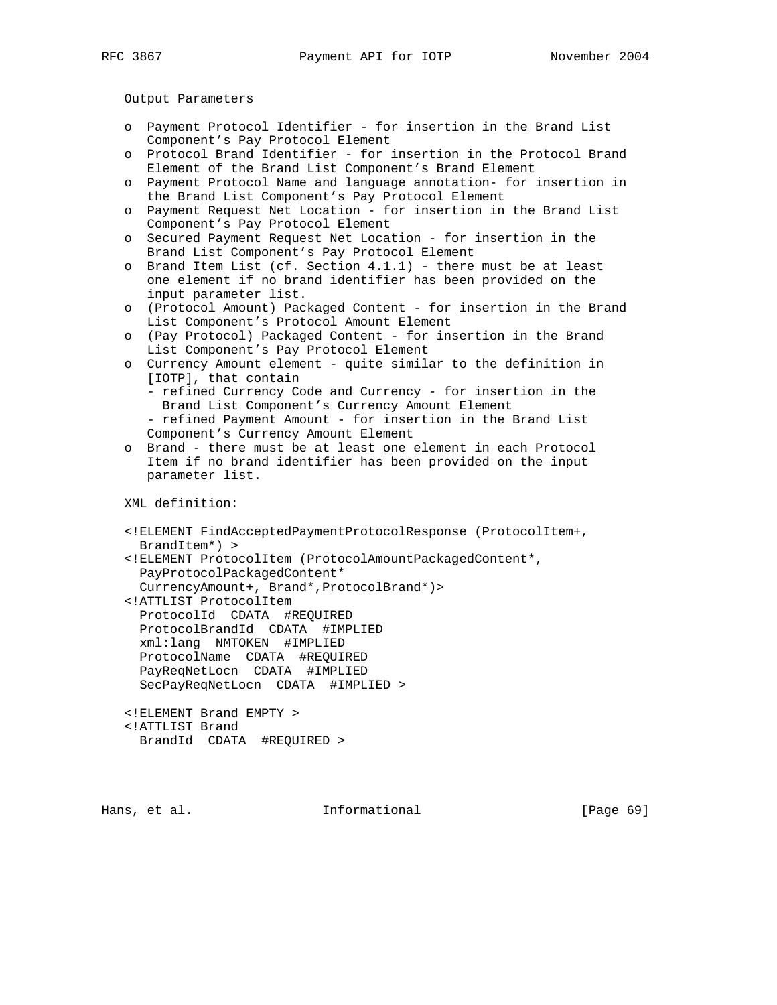Output Parameters

- o Payment Protocol Identifier for insertion in the Brand List Component's Pay Protocol Element
- o Protocol Brand Identifier for insertion in the Protocol Brand Element of the Brand List Component's Brand Element
- o Payment Protocol Name and language annotation- for insertion in the Brand List Component's Pay Protocol Element
- o Payment Request Net Location for insertion in the Brand List Component's Pay Protocol Element
- o Secured Payment Request Net Location for insertion in the Brand List Component's Pay Protocol Element
- o Brand Item List (cf. Section  $4.1.1$ ) there must be at least one element if no brand identifier has been provided on the input parameter list.
- o (Protocol Amount) Packaged Content for insertion in the Brand List Component's Protocol Amount Element
- o (Pay Protocol) Packaged Content for insertion in the Brand List Component's Pay Protocol Element
- o Currency Amount element quite similar to the definition in [IOTP], that contain - refined Currency Code and Currency - for insertion in the Brand List Component's Currency Amount Element
	- refined Payment Amount for insertion in the Brand List Component's Currency Amount Element
- o Brand there must be at least one element in each Protocol Item if no brand identifier has been provided on the input parameter list.

XML definition:

- <!ELEMENT FindAcceptedPaymentProtocolResponse (ProtocolItem+, BrandItem\*) >
- <!ELEMENT ProtocolItem (ProtocolAmountPackagedContent\*, PayProtocolPackagedContent\* CurrencyAmount+, Brand\*,ProtocolBrand\*)>
- <!ATTLIST ProtocolItem
- ProtocolId CDATA #REQUIRED ProtocolBrandId CDATA #IMPLIED xml:lang NMTOKEN #IMPLIED ProtocolName CDATA #REQUIRED PayReqNetLocn CDATA #IMPLIED SecPayReqNetLocn CDATA #IMPLIED >
- <!ELEMENT Brand EMPTY > <!ATTLIST Brand BrandId CDATA #REQUIRED >

Hans, et al. **Informational** [Page 69]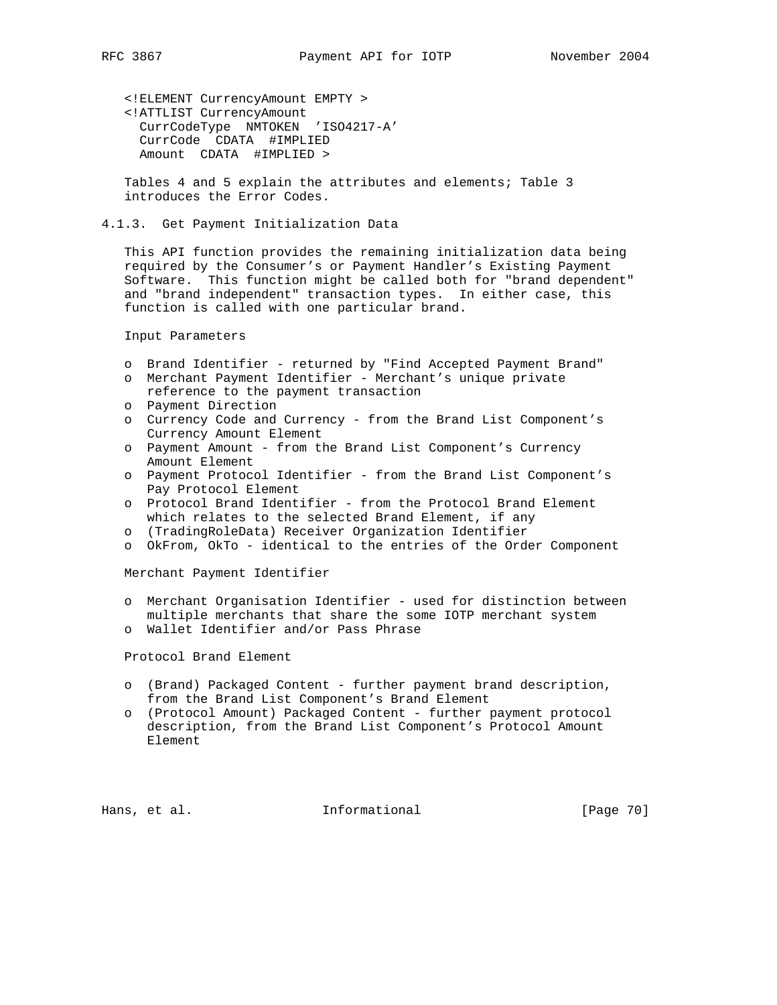<!ELEMENT CurrencyAmount EMPTY > <!ATTLIST CurrencyAmount CurrCodeType NMTOKEN 'ISO4217-A' CurrCode CDATA #IMPLIED Amount CDATA #IMPLIED >

 Tables 4 and 5 explain the attributes and elements; Table 3 introduces the Error Codes.

# 4.1.3. Get Payment Initialization Data

 This API function provides the remaining initialization data being required by the Consumer's or Payment Handler's Existing Payment Software. This function might be called both for "brand dependent" and "brand independent" transaction types. In either case, this function is called with one particular brand.

Input Parameters

- o Brand Identifier returned by "Find Accepted Payment Brand"
- o Merchant Payment Identifier Merchant's unique private reference to the payment transaction
- o Payment Direction
- o Currency Code and Currency from the Brand List Component's Currency Amount Element
- o Payment Amount from the Brand List Component's Currency Amount Element
- o Payment Protocol Identifier from the Brand List Component's Pay Protocol Element
- o Protocol Brand Identifier from the Protocol Brand Element which relates to the selected Brand Element, if any
- o (TradingRoleData) Receiver Organization Identifier
- o OkFrom, OkTo identical to the entries of the Order Component

Merchant Payment Identifier

- o Merchant Organisation Identifier used for distinction between multiple merchants that share the some IOTP merchant system
- o Wallet Identifier and/or Pass Phrase

Protocol Brand Element

- o (Brand) Packaged Content further payment brand description, from the Brand List Component's Brand Element
- o (Protocol Amount) Packaged Content further payment protocol description, from the Brand List Component's Protocol Amount Element

Hans, et al. **Informational** [Page 70]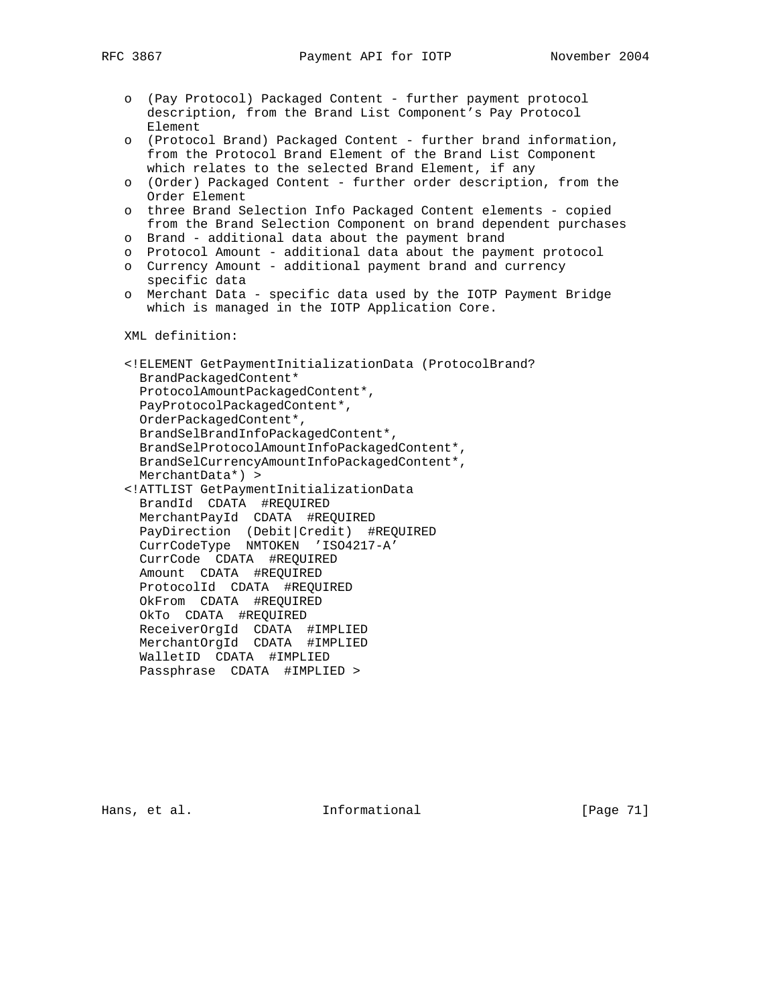- o (Pay Protocol) Packaged Content further payment protocol description, from the Brand List Component's Pay Protocol Element
- o (Protocol Brand) Packaged Content further brand information, from the Protocol Brand Element of the Brand List Component which relates to the selected Brand Element, if any
- o (Order) Packaged Content further order description, from the Order Element
- o three Brand Selection Info Packaged Content elements copied from the Brand Selection Component on brand dependent purchases
- o Brand additional data about the payment brand
- o Protocol Amount additional data about the payment protocol
- o Currency Amount additional payment brand and currency specific data
- o Merchant Data specific data used by the IOTP Payment Bridge which is managed in the IOTP Application Core.

XML definition:

 <!ELEMENT GetPaymentInitializationData (ProtocolBrand? BrandPackagedContent\* ProtocolAmountPackagedContent\*, PayProtocolPackagedContent\*, OrderPackagedContent\*, BrandSelBrandInfoPackagedContent\*, BrandSelProtocolAmountInfoPackagedContent\*, BrandSelCurrencyAmountInfoPackagedContent\*, MerchantData\*) > <!ATTLIST GetPaymentInitializationData BrandId CDATA #REQUIRED MerchantPayId CDATA #REQUIRED PayDirection (Debit|Credit) #REQUIRED CurrCodeType NMTOKEN 'ISO4217-A' CurrCode CDATA #REQUIRED Amount CDATA #REQUIRED ProtocolId CDATA #REQUIRED OkFrom CDATA #REQUIRED OkTo CDATA #REQUIRED ReceiverOrgId CDATA #IMPLIED MerchantOrgId CDATA #IMPLIED WalletID CDATA #IMPLIED

Passphrase CDATA #IMPLIED >

Hans, et al. 10 1nformational 11 [Page 71]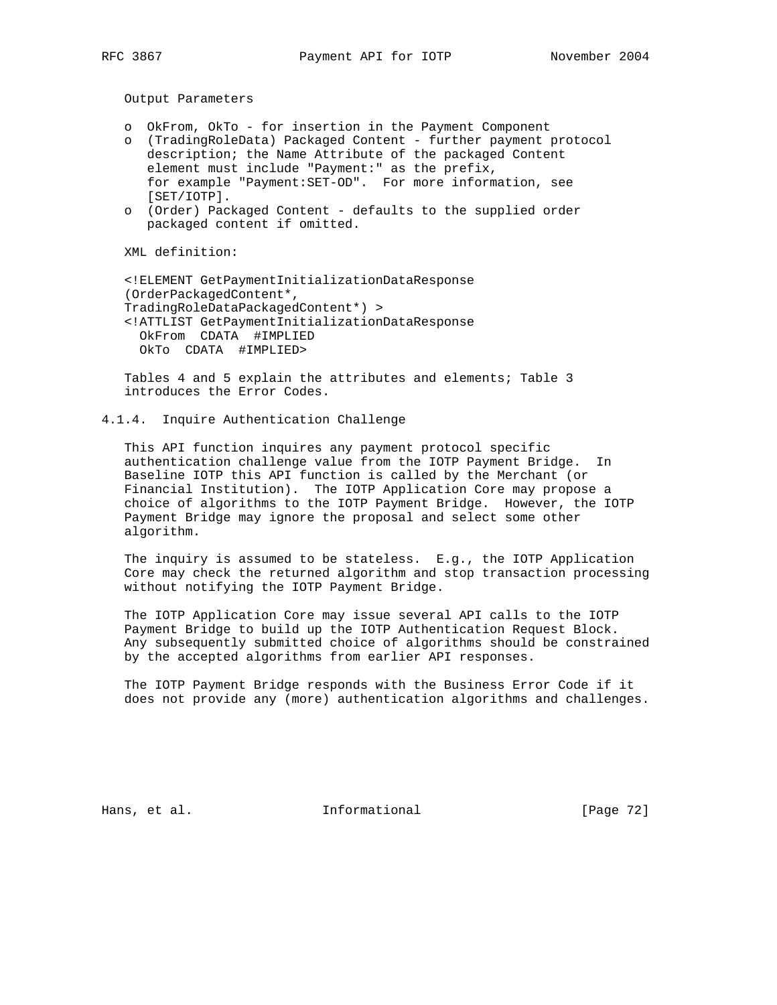Output Parameters

- o OkFrom, OkTo for insertion in the Payment Component
- o (TradingRoleData) Packaged Content further payment protocol description; the Name Attribute of the packaged Content element must include "Payment:" as the prefix, for example "Payment:SET-OD". For more information, see [SET/IOTP].
- o (Order) Packaged Content defaults to the supplied order packaged content if omitted.

XML definition:

 <!ELEMENT GetPaymentInitializationDataResponse (OrderPackagedContent\*, TradingRoleDataPackagedContent\*) > <!ATTLIST GetPaymentInitializationDataResponse OkFrom CDATA #IMPLIED OkTo CDATA #IMPLIED>

 Tables 4 and 5 explain the attributes and elements; Table 3 introduces the Error Codes.

4.1.4. Inquire Authentication Challenge

 This API function inquires any payment protocol specific authentication challenge value from the IOTP Payment Bridge. In Baseline IOTP this API function is called by the Merchant (or Financial Institution). The IOTP Application Core may propose a choice of algorithms to the IOTP Payment Bridge. However, the IOTP Payment Bridge may ignore the proposal and select some other algorithm.

 The inquiry is assumed to be stateless. E.g., the IOTP Application Core may check the returned algorithm and stop transaction processing without notifying the IOTP Payment Bridge.

 The IOTP Application Core may issue several API calls to the IOTP Payment Bridge to build up the IOTP Authentication Request Block. Any subsequently submitted choice of algorithms should be constrained by the accepted algorithms from earlier API responses.

 The IOTP Payment Bridge responds with the Business Error Code if it does not provide any (more) authentication algorithms and challenges.

Hans, et al. 10 Informational 11 [Page 72]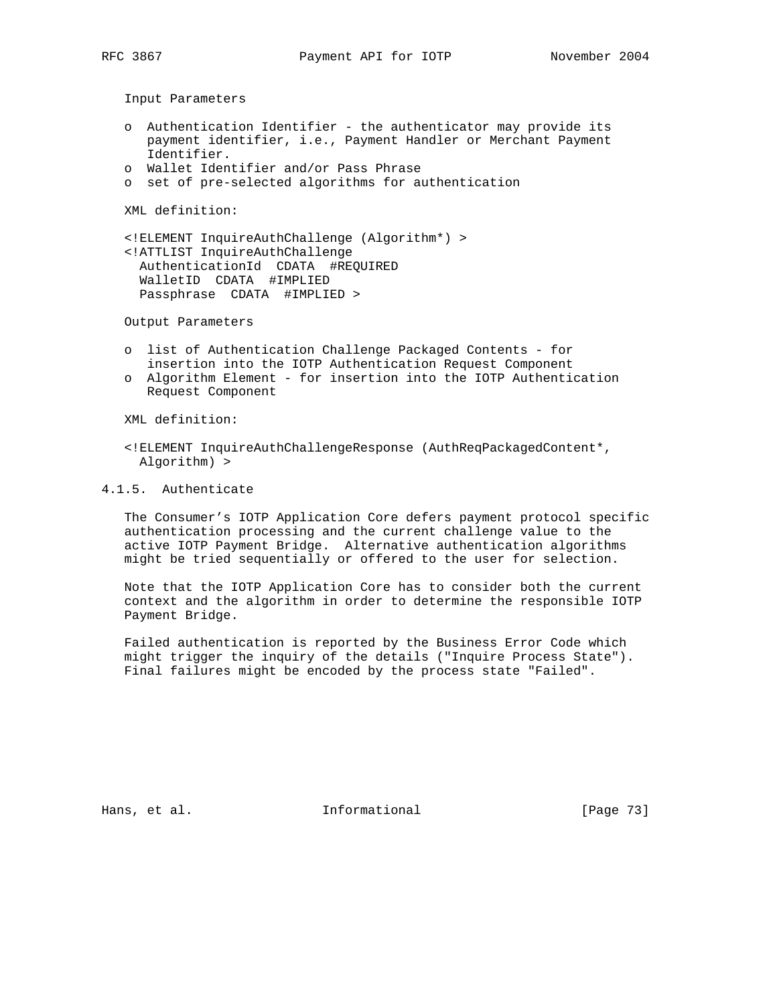- o Authentication Identifier the authenticator may provide its payment identifier, i.e., Payment Handler or Merchant Payment Identifier.
- o Wallet Identifier and/or Pass Phrase
- o set of pre-selected algorithms for authentication

XML definition:

 <!ELEMENT InquireAuthChallenge (Algorithm\*) > <!ATTLIST InquireAuthChallenge AuthenticationId CDATA #REQUIRED WalletID CDATA #IMPLIED Passphrase CDATA #IMPLIED >

Output Parameters

- o list of Authentication Challenge Packaged Contents for insertion into the IOTP Authentication Request Component
- o Algorithm Element for insertion into the IOTP Authentication Request Component

XML definition:

 <!ELEMENT InquireAuthChallengeResponse (AuthReqPackagedContent\*, Algorithm) >

4.1.5. Authenticate

 The Consumer's IOTP Application Core defers payment protocol specific authentication processing and the current challenge value to the active IOTP Payment Bridge. Alternative authentication algorithms might be tried sequentially or offered to the user for selection.

 Note that the IOTP Application Core has to consider both the current context and the algorithm in order to determine the responsible IOTP Payment Bridge.

 Failed authentication is reported by the Business Error Code which might trigger the inquiry of the details ("Inquire Process State"). Final failures might be encoded by the process state "Failed".

Hans, et al. 10. Informational 1. [Page 73]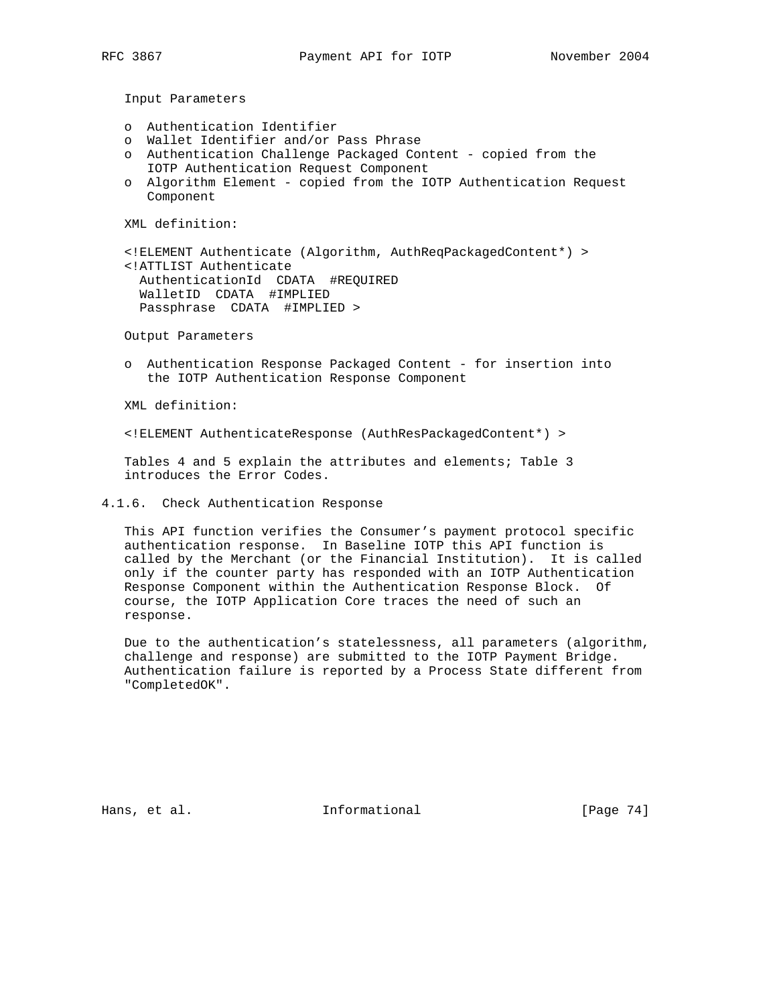- o Authentication Identifier
- o Wallet Identifier and/or Pass Phrase
- o Authentication Challenge Packaged Content copied from the IOTP Authentication Request Component
- o Algorithm Element copied from the IOTP Authentication Request Component

XML definition:

 <!ELEMENT Authenticate (Algorithm, AuthReqPackagedContent\*) > <!ATTLIST Authenticate AuthenticationId CDATA #REQUIRED WalletID CDATA #IMPLIED Passphrase CDATA #IMPLIED >

Output Parameters

 o Authentication Response Packaged Content - for insertion into the IOTP Authentication Response Component

XML definition:

<!ELEMENT AuthenticateResponse (AuthResPackagedContent\*) >

 Tables 4 and 5 explain the attributes and elements; Table 3 introduces the Error Codes.

4.1.6. Check Authentication Response

 This API function verifies the Consumer's payment protocol specific authentication response. In Baseline IOTP this API function is called by the Merchant (or the Financial Institution). It is called only if the counter party has responded with an IOTP Authentication Response Component within the Authentication Response Block. Of course, the IOTP Application Core traces the need of such an response.

 Due to the authentication's statelessness, all parameters (algorithm, challenge and response) are submitted to the IOTP Payment Bridge. Authentication failure is reported by a Process State different from "CompletedOK".

Hans, et al. 10. Informational 1. [Page 74]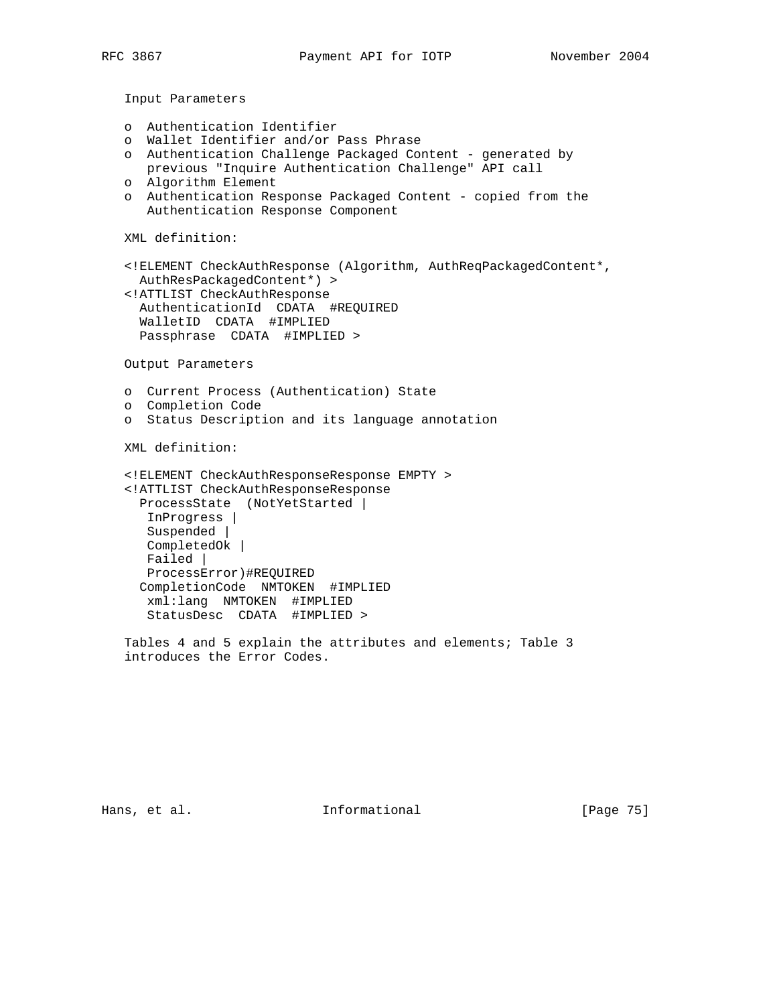- o Authentication Identifier
- o Wallet Identifier and/or Pass Phrase
- o Authentication Challenge Packaged Content generated by
- previous "Inquire Authentication Challenge" API call
- o Algorithm Element
- o Authentication Response Packaged Content copied from the Authentication Response Component

XML definition:

 <!ELEMENT CheckAuthResponse (Algorithm, AuthReqPackagedContent\*, AuthResPackagedContent\*) >

 <!ATTLIST CheckAuthResponse AuthenticationId CDATA #REQUIRED WalletID CDATA #IMPLIED Passphrase CDATA #IMPLIED >

Output Parameters

- o Current Process (Authentication) State
- o Completion Code
- o Status Description and its language annotation

XML definition:

```
 <!ELEMENT CheckAuthResponseResponse EMPTY >
 <!ATTLIST CheckAuthResponseResponse
  ProcessState (NotYetStarted |
   InProgress |
   Suspended |
   CompletedOk |
   Failed |
   ProcessError)#REQUIRED
  CompletionCode NMTOKEN #IMPLIED
   xml:lang NMTOKEN #IMPLIED
   StatusDesc CDATA #IMPLIED >
```
 Tables 4 and 5 explain the attributes and elements; Table 3 introduces the Error Codes.

Hans, et al. 10 1nformational 11 [Page 75]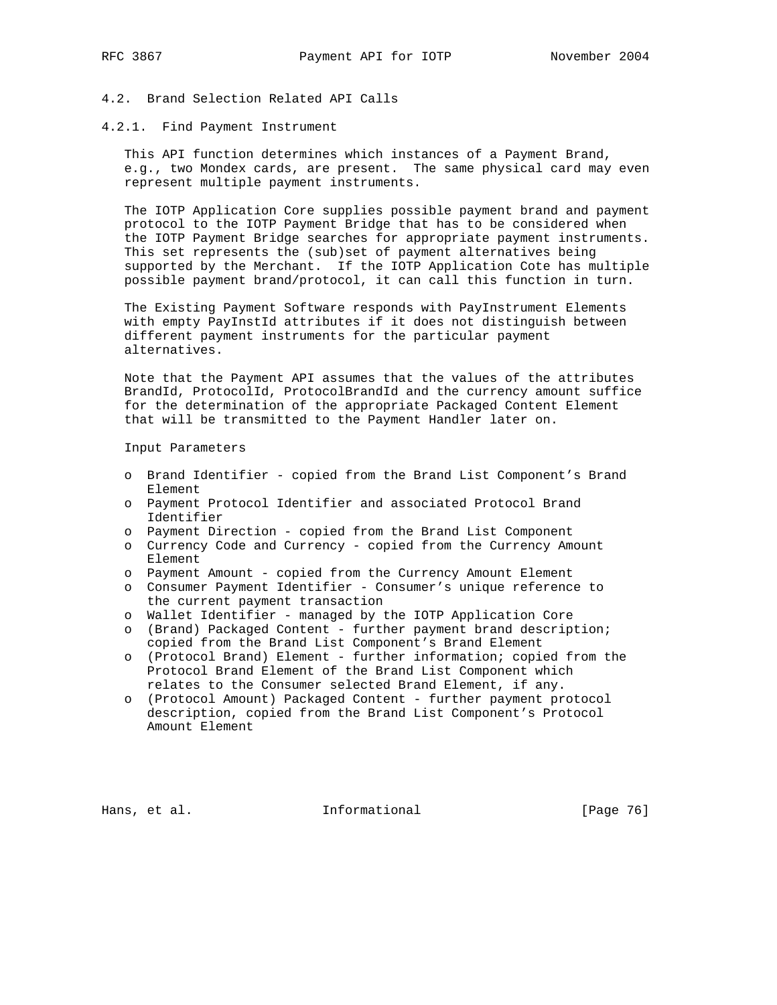4.2. Brand Selection Related API Calls

4.2.1. Find Payment Instrument

 This API function determines which instances of a Payment Brand, e.g., two Mondex cards, are present. The same physical card may even represent multiple payment instruments.

 The IOTP Application Core supplies possible payment brand and payment protocol to the IOTP Payment Bridge that has to be considered when the IOTP Payment Bridge searches for appropriate payment instruments. This set represents the (sub)set of payment alternatives being supported by the Merchant. If the IOTP Application Cote has multiple possible payment brand/protocol, it can call this function in turn.

 The Existing Payment Software responds with PayInstrument Elements with empty PayInstId attributes if it does not distinguish between different payment instruments for the particular payment alternatives.

 Note that the Payment API assumes that the values of the attributes BrandId, ProtocolId, ProtocolBrandId and the currency amount suffice for the determination of the appropriate Packaged Content Element that will be transmitted to the Payment Handler later on.

Input Parameters

- o Brand Identifier copied from the Brand List Component's Brand Element
- o Payment Protocol Identifier and associated Protocol Brand Identifier
- o Payment Direction copied from the Brand List Component
- o Currency Code and Currency copied from the Currency Amount Element
- o Payment Amount copied from the Currency Amount Element
- o Consumer Payment Identifier Consumer's unique reference to the current payment transaction
- o Wallet Identifier managed by the IOTP Application Core
- o (Brand) Packaged Content further payment brand description; copied from the Brand List Component's Brand Element
- o (Protocol Brand) Element further information; copied from the Protocol Brand Element of the Brand List Component which relates to the Consumer selected Brand Element, if any.
- o (Protocol Amount) Packaged Content further payment protocol description, copied from the Brand List Component's Protocol Amount Element

Hans, et al. 10 Informational 11 [Page 76]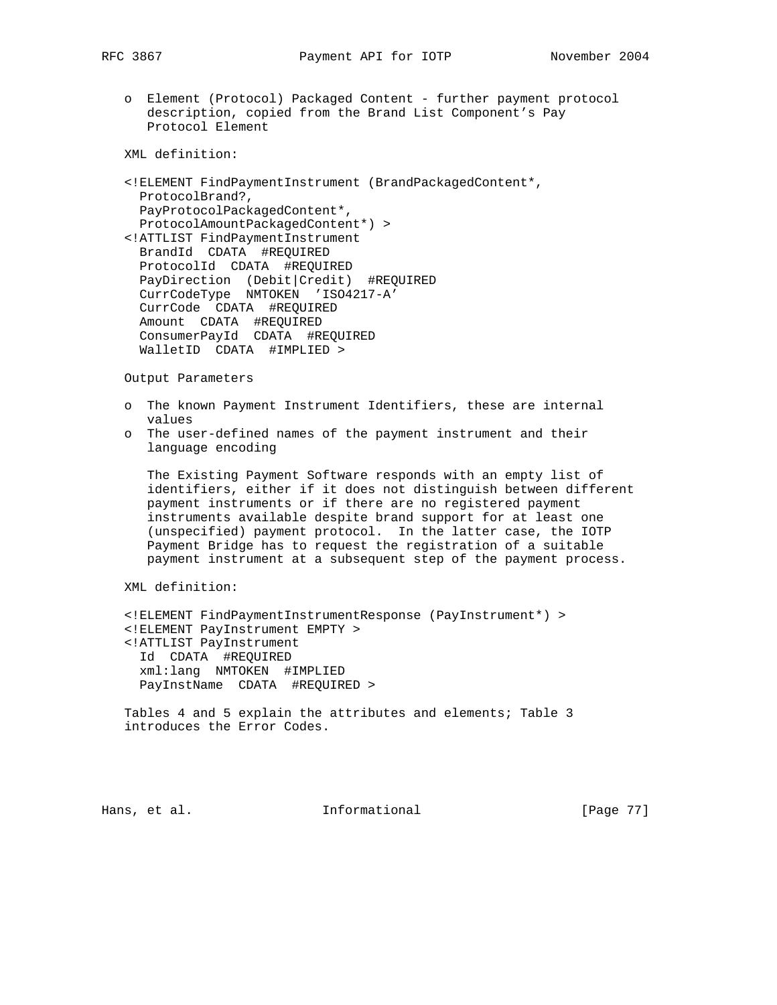- - o Element (Protocol) Packaged Content further payment protocol description, copied from the Brand List Component's Pay Protocol Element

- <!ELEMENT FindPaymentInstrument (BrandPackagedContent\*, ProtocolBrand?, PayProtocolPackagedContent\*, ProtocolAmountPackagedContent\*) >
- <!ATTLIST FindPaymentInstrument BrandId CDATA #REQUIRED ProtocolId CDATA #REQUIRED PayDirection (Debit|Credit) #REQUIRED CurrCodeType NMTOKEN 'ISO4217-A' CurrCode CDATA #REQUIRED Amount CDATA #REQUIRED ConsumerPayId CDATA #REQUIRED WalletID CDATA #IMPLIED >

Output Parameters

- o The known Payment Instrument Identifiers, these are internal values
- o The user-defined names of the payment instrument and their language encoding

 The Existing Payment Software responds with an empty list of identifiers, either if it does not distinguish between different payment instruments or if there are no registered payment instruments available despite brand support for at least one (unspecified) payment protocol. In the latter case, the IOTP Payment Bridge has to request the registration of a suitable payment instrument at a subsequent step of the payment process.

XML definition:

```
 <!ELEMENT FindPaymentInstrumentResponse (PayInstrument*) >
 <!ELEMENT PayInstrument EMPTY >
 <!ATTLIST PayInstrument
  Id CDATA #REQUIRED
  xml:lang NMTOKEN #IMPLIED
  PayInstName CDATA #REQUIRED >
```
 Tables 4 and 5 explain the attributes and elements; Table 3 introduces the Error Codes.

Hans, et al. **Informational** [Page 77]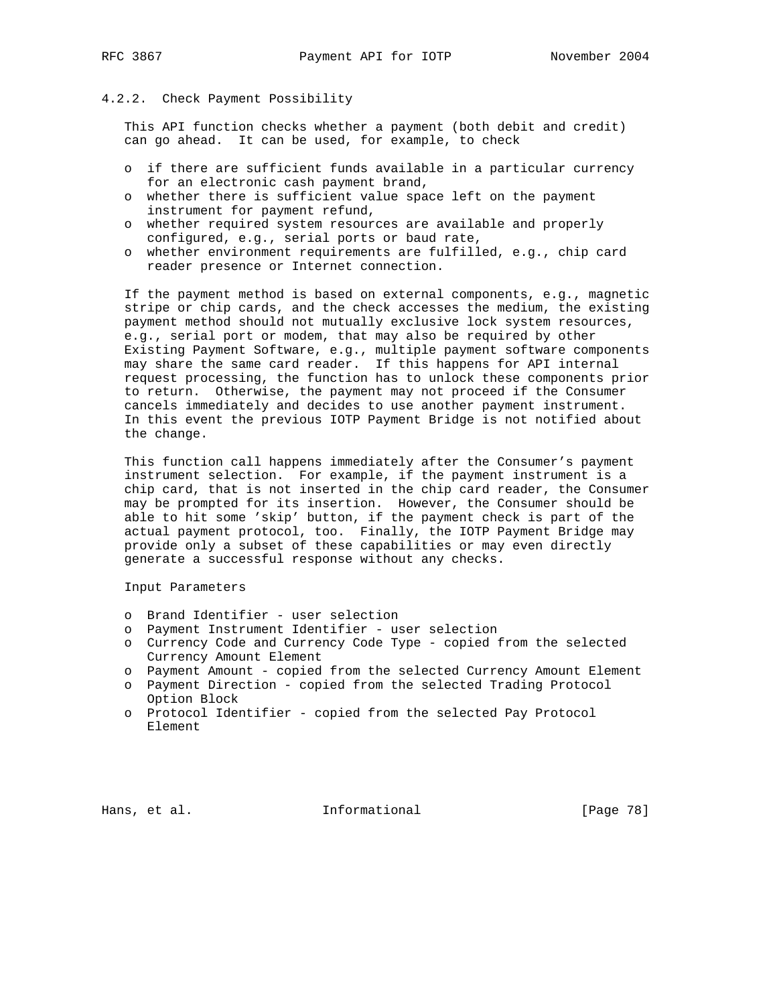# 4.2.2. Check Payment Possibility

 This API function checks whether a payment (both debit and credit) can go ahead. It can be used, for example, to check

- o if there are sufficient funds available in a particular currency for an electronic cash payment brand,
- o whether there is sufficient value space left on the payment instrument for payment refund,
- o whether required system resources are available and properly configured, e.g., serial ports or baud rate,
- o whether environment requirements are fulfilled, e.g., chip card reader presence or Internet connection.

 If the payment method is based on external components, e.g., magnetic stripe or chip cards, and the check accesses the medium, the existing payment method should not mutually exclusive lock system resources, e.g., serial port or modem, that may also be required by other Existing Payment Software, e.g., multiple payment software components may share the same card reader. If this happens for API internal request processing, the function has to unlock these components prior to return. Otherwise, the payment may not proceed if the Consumer cancels immediately and decides to use another payment instrument. In this event the previous IOTP Payment Bridge is not notified about the change.

 This function call happens immediately after the Consumer's payment instrument selection. For example, if the payment instrument is a chip card, that is not inserted in the chip card reader, the Consumer may be prompted for its insertion. However, the Consumer should be able to hit some 'skip' button, if the payment check is part of the actual payment protocol, too. Finally, the IOTP Payment Bridge may provide only a subset of these capabilities or may even directly generate a successful response without any checks.

Input Parameters

- o Brand Identifier user selection
- o Payment Instrument Identifier user selection
- o Currency Code and Currency Code Type copied from the selected Currency Amount Element
- o Payment Amount copied from the selected Currency Amount Element
- o Payment Direction copied from the selected Trading Protocol Option Block
- o Protocol Identifier copied from the selected Pay Protocol Element

Hans, et al. 10. Informational 1. [Page 78]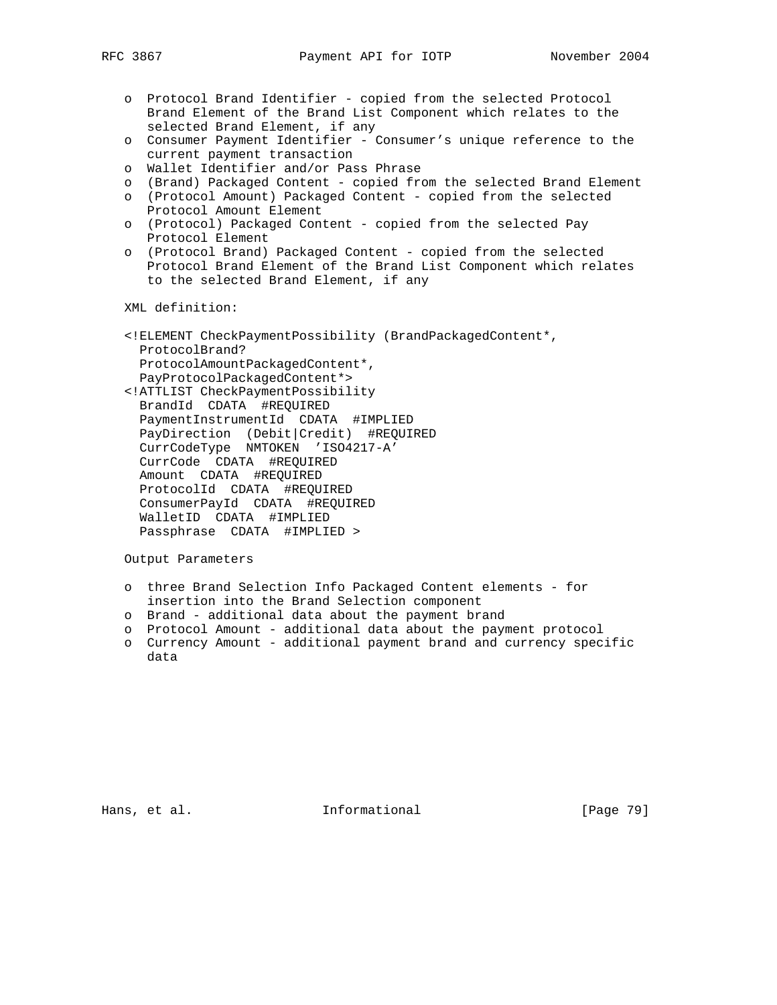- o Protocol Brand Identifier copied from the selected Protocol Brand Element of the Brand List Component which relates to the selected Brand Element, if any
- o Consumer Payment Identifier Consumer's unique reference to the current payment transaction
- o Wallet Identifier and/or Pass Phrase
- o (Brand) Packaged Content copied from the selected Brand Element
- o (Protocol Amount) Packaged Content copied from the selected Protocol Amount Element
- o (Protocol) Packaged Content copied from the selected Pay Protocol Element
- o (Protocol Brand) Packaged Content copied from the selected Protocol Brand Element of the Brand List Component which relates to the selected Brand Element, if any

- <!ELEMENT CheckPaymentPossibility (BrandPackagedContent\*, ProtocolBrand? ProtocolAmountPackagedContent\*, PayProtocolPackagedContent\*>
- <!ATTLIST CheckPaymentPossibility BrandId CDATA #REQUIRED PaymentInstrumentId CDATA #IMPLIED PayDirection (Debit|Credit) #REQUIRED CurrCodeType NMTOKEN 'ISO4217-A' CurrCode CDATA #REQUIRED Amount CDATA #REQUIRED ProtocolId CDATA #REQUIRED ConsumerPayId CDATA #REQUIRED WalletID CDATA #IMPLIED Passphrase CDATA #IMPLIED >

Output Parameters

- o three Brand Selection Info Packaged Content elements for insertion into the Brand Selection component
- o Brand additional data about the payment brand
- o Protocol Amount additional data about the payment protocol
- o Currency Amount additional payment brand and currency specific data

Hans, et al. 10. Informational 1. [Page 79]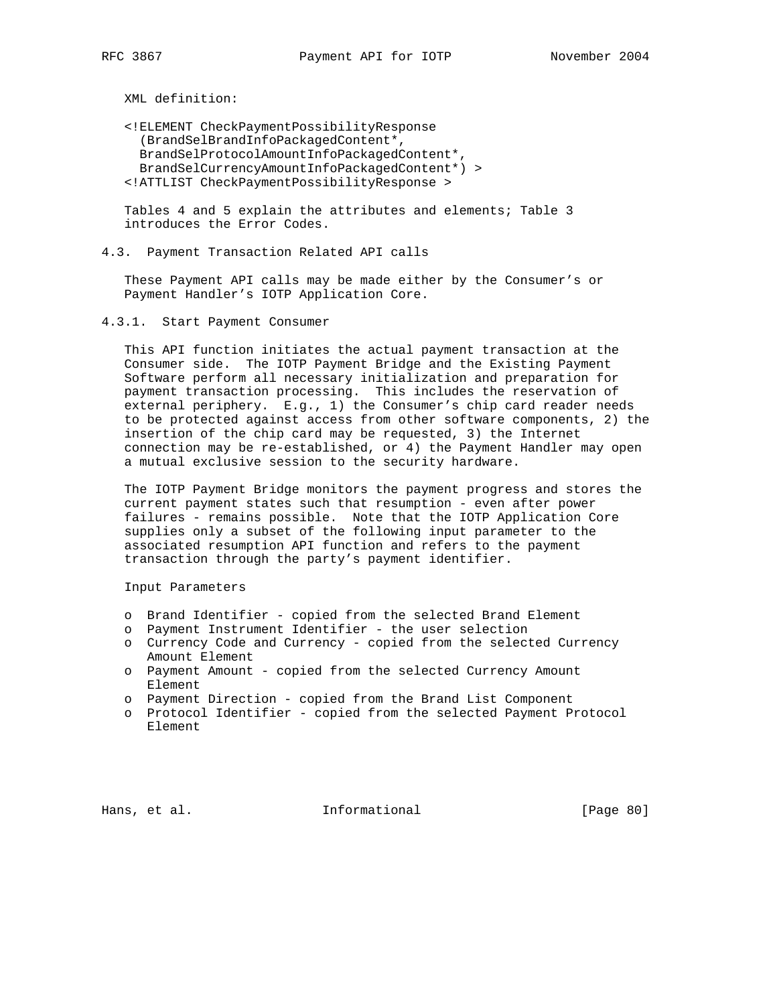<!ELEMENT CheckPaymentPossibilityResponse (BrandSelBrandInfoPackagedContent\*, BrandSelProtocolAmountInfoPackagedContent\*, BrandSelCurrencyAmountInfoPackagedContent\*) > <!ATTLIST CheckPaymentPossibilityResponse >

 Tables 4 and 5 explain the attributes and elements; Table 3 introduces the Error Codes.

4.3. Payment Transaction Related API calls

 These Payment API calls may be made either by the Consumer's or Payment Handler's IOTP Application Core.

4.3.1. Start Payment Consumer

 This API function initiates the actual payment transaction at the Consumer side. The IOTP Payment Bridge and the Existing Payment Software perform all necessary initialization and preparation for payment transaction processing. This includes the reservation of external periphery. E.g., 1) the Consumer's chip card reader needs to be protected against access from other software components, 2) the insertion of the chip card may be requested, 3) the Internet connection may be re-established, or 4) the Payment Handler may open a mutual exclusive session to the security hardware.

 The IOTP Payment Bridge monitors the payment progress and stores the current payment states such that resumption - even after power failures - remains possible. Note that the IOTP Application Core supplies only a subset of the following input parameter to the associated resumption API function and refers to the payment transaction through the party's payment identifier.

Input Parameters

- o Brand Identifier copied from the selected Brand Element
- o Payment Instrument Identifier the user selection
- o Currency Code and Currency copied from the selected Currency Amount Element
- o Payment Amount copied from the selected Currency Amount Element
- o Payment Direction copied from the Brand List Component
- o Protocol Identifier copied from the selected Payment Protocol Element

Hans, et al. **Informational** [Page 80]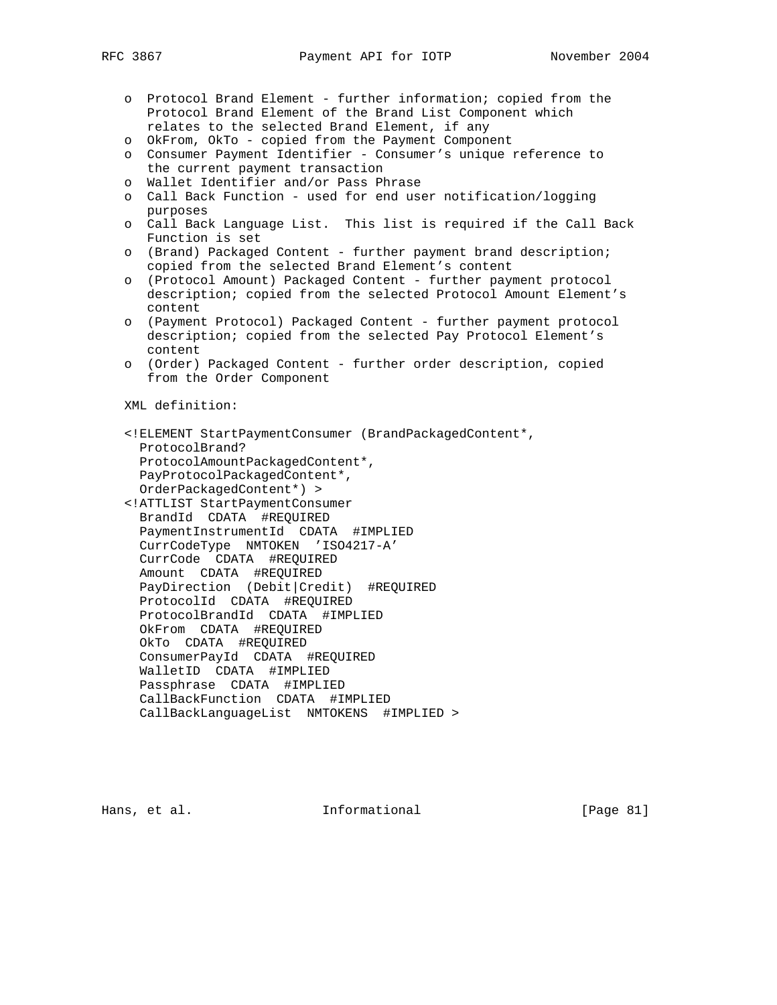- o Protocol Brand Element further information; copied from the Protocol Brand Element of the Brand List Component which relates to the selected Brand Element, if any
- o OkFrom, OkTo copied from the Payment Component
- o Consumer Payment Identifier Consumer's unique reference to the current payment transaction
- o Wallet Identifier and/or Pass Phrase
- o Call Back Function used for end user notification/logging purposes
- o Call Back Language List. This list is required if the Call Back Function is set
- o (Brand) Packaged Content further payment brand description; copied from the selected Brand Element's content
- o (Protocol Amount) Packaged Content further payment protocol description; copied from the selected Protocol Amount Element's content
- o (Payment Protocol) Packaged Content further payment protocol description; copied from the selected Pay Protocol Element's content
- o (Order) Packaged Content further order description, copied from the Order Component

- <!ELEMENT StartPaymentConsumer (BrandPackagedContent\*, ProtocolBrand? ProtocolAmountPackagedContent\*, PayProtocolPackagedContent\*, OrderPackagedContent\*) > <!ATTLIST StartPaymentConsumer
- BrandId CDATA #REQUIRED PaymentInstrumentId CDATA #IMPLIED CurrCodeType NMTOKEN 'ISO4217-A' CurrCode CDATA #REQUIRED Amount CDATA #REQUIRED PayDirection (Debit|Credit) #REQUIRED ProtocolId CDATA #REQUIRED ProtocolBrandId CDATA #IMPLIED OkFrom CDATA #REQUIRED OkTo CDATA #REQUIRED ConsumerPayId CDATA #REQUIRED WalletID CDATA #IMPLIED Passphrase CDATA #IMPLIED CallBackFunction CDATA #IMPLIED CallBackLanguageList NMTOKENS #IMPLIED >

Hans, et al. **Informational** [Page 81]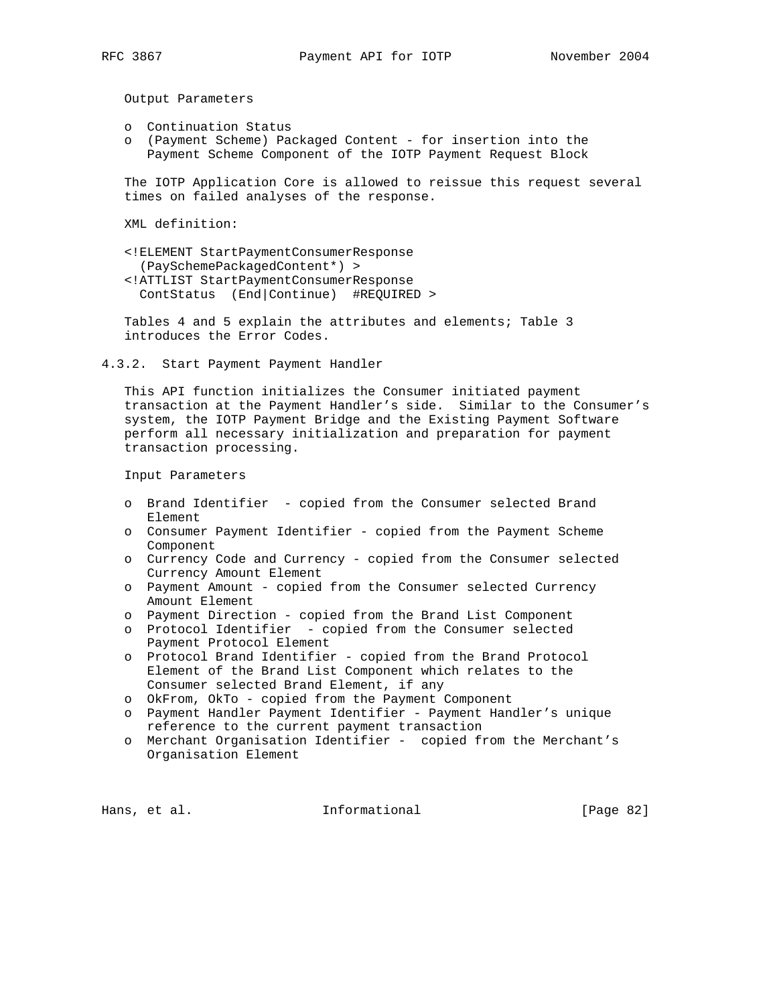Output Parameters

- o Continuation Status
- o (Payment Scheme) Packaged Content for insertion into the Payment Scheme Component of the IOTP Payment Request Block

 The IOTP Application Core is allowed to reissue this request several times on failed analyses of the response.

XML definition:

 <!ELEMENT StartPaymentConsumerResponse (PaySchemePackagedContent\*) > <!ATTLIST StartPaymentConsumerResponse ContStatus (End|Continue) #REQUIRED >

 Tables 4 and 5 explain the attributes and elements; Table 3 introduces the Error Codes.

4.3.2. Start Payment Payment Handler

 This API function initializes the Consumer initiated payment transaction at the Payment Handler's side. Similar to the Consumer's system, the IOTP Payment Bridge and the Existing Payment Software perform all necessary initialization and preparation for payment transaction processing.

Input Parameters

- o Brand Identifier copied from the Consumer selected Brand Element
- o Consumer Payment Identifier copied from the Payment Scheme Component
- o Currency Code and Currency copied from the Consumer selected Currency Amount Element
- o Payment Amount copied from the Consumer selected Currency Amount Element
- o Payment Direction copied from the Brand List Component
- o Protocol Identifier copied from the Consumer selected Payment Protocol Element
- o Protocol Brand Identifier copied from the Brand Protocol Element of the Brand List Component which relates to the Consumer selected Brand Element, if any
- o OkFrom, OkTo copied from the Payment Component
- o Payment Handler Payment Identifier Payment Handler's unique reference to the current payment transaction
- o Merchant Organisation Identifier copied from the Merchant's Organisation Element

Hans, et al. **Informational** [Page 82]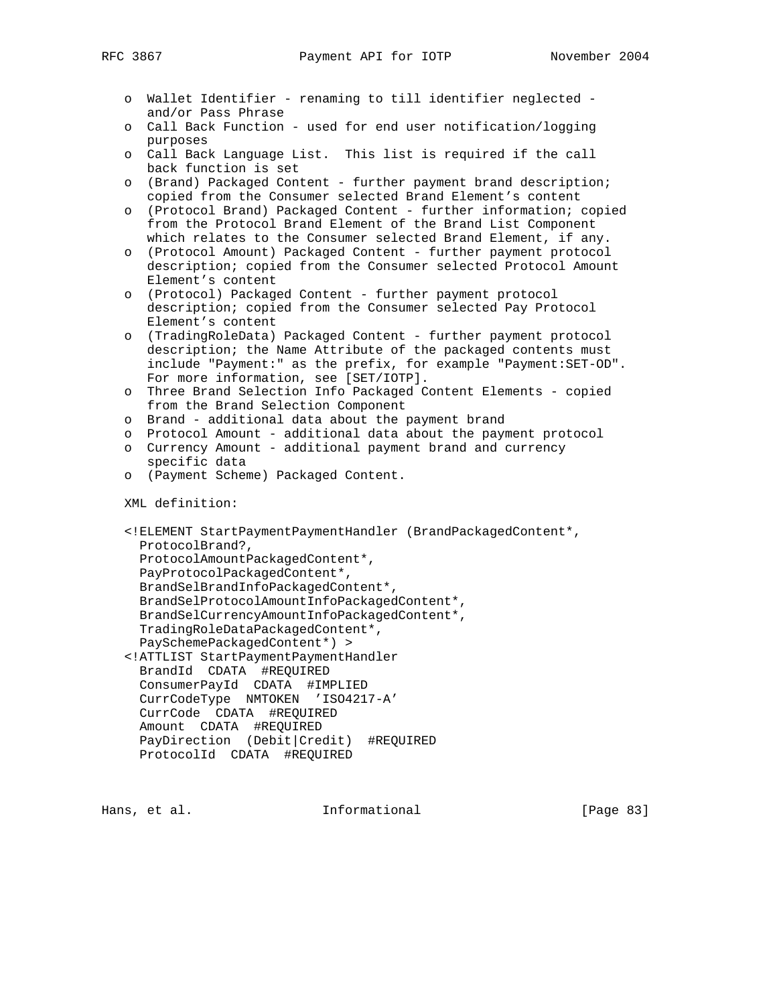- o Wallet Identifier renaming to till identifier neglected and/or Pass Phrase
- o Call Back Function used for end user notification/logging purposes
- o Call Back Language List. This list is required if the call back function is set
- o (Brand) Packaged Content further payment brand description; copied from the Consumer selected Brand Element's content
- o (Protocol Brand) Packaged Content further information; copied from the Protocol Brand Element of the Brand List Component which relates to the Consumer selected Brand Element, if any.
- o (Protocol Amount) Packaged Content further payment protocol description; copied from the Consumer selected Protocol Amount Element's content
- o (Protocol) Packaged Content further payment protocol description; copied from the Consumer selected Pay Protocol Element's content
- o (TradingRoleData) Packaged Content further payment protocol description; the Name Attribute of the packaged contents must include "Payment:" as the prefix, for example "Payment:SET-OD". For more information, see [SET/IOTP].
- o Three Brand Selection Info Packaged Content Elements copied from the Brand Selection Component
- o Brand additional data about the payment brand
- o Protocol Amount additional data about the payment protocol
- o Currency Amount additional payment brand and currency specific data
- o (Payment Scheme) Packaged Content.

```
 <!ELEMENT StartPaymentPaymentHandler (BrandPackagedContent*,
  ProtocolBrand?,
  ProtocolAmountPackagedContent*,
  PayProtocolPackagedContent*,
  BrandSelBrandInfoPackagedContent*,
  BrandSelProtocolAmountInfoPackagedContent*,
   BrandSelCurrencyAmountInfoPackagedContent*,
   TradingRoleDataPackagedContent*,
  PaySchemePackagedContent*) >
 <!ATTLIST StartPaymentPaymentHandler
  BrandId CDATA #REQUIRED
  ConsumerPayId CDATA #IMPLIED
  CurrCodeType NMTOKEN 'ISO4217-A'
  CurrCode CDATA #REQUIRED
  Amount CDATA #REQUIRED
  PayDirection (Debit|Credit) #REQUIRED
```

```
 ProtocolId CDATA #REQUIRED
```
Hans, et al. 10 Informational 10 [Page 83]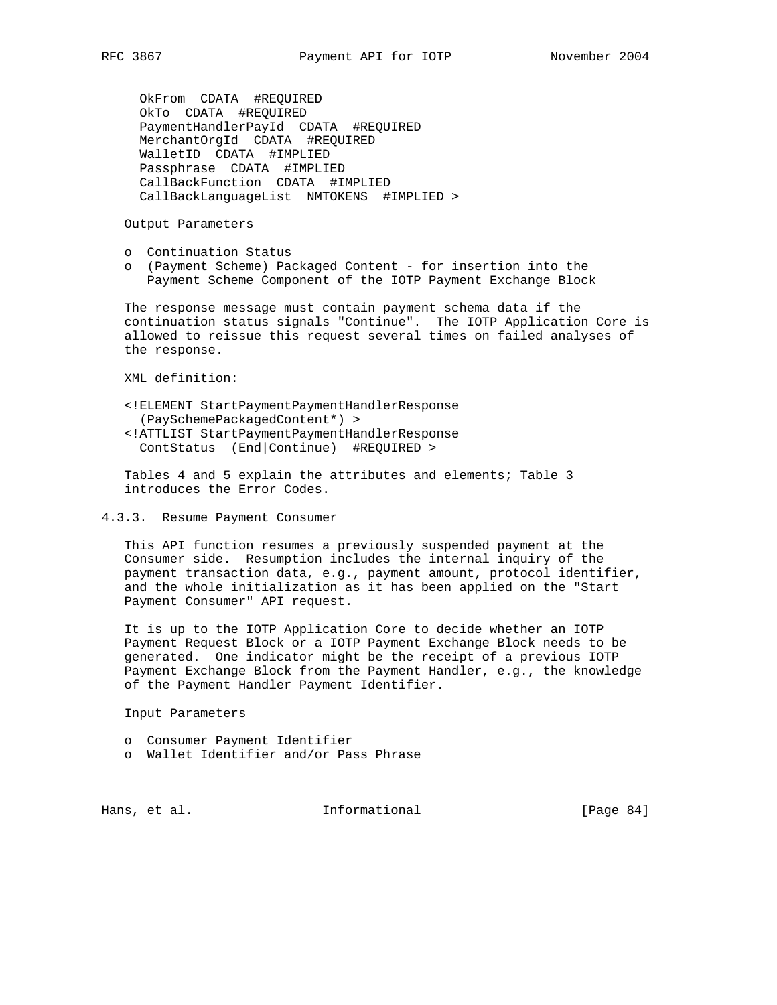OkFrom CDATA #REQUIRED OkTo CDATA #REQUIRED PaymentHandlerPayId CDATA #REQUIRED MerchantOrgId CDATA #REQUIRED WalletID CDATA #IMPLIED Passphrase CDATA #IMPLIED CallBackFunction CDATA #IMPLIED CallBackLanguageList NMTOKENS #IMPLIED >

Output Parameters

- o Continuation Status
- o (Payment Scheme) Packaged Content for insertion into the Payment Scheme Component of the IOTP Payment Exchange Block

 The response message must contain payment schema data if the continuation status signals "Continue". The IOTP Application Core is allowed to reissue this request several times on failed analyses of the response.

XML definition:

- <!ELEMENT StartPaymentPaymentHandlerResponse (PaySchemePackagedContent\*) > <!ATTLIST StartPaymentPaymentHandlerResponse
- ContStatus (End|Continue) #REQUIRED >

 Tables 4 and 5 explain the attributes and elements; Table 3 introduces the Error Codes.

4.3.3. Resume Payment Consumer

 This API function resumes a previously suspended payment at the Consumer side. Resumption includes the internal inquiry of the payment transaction data, e.g., payment amount, protocol identifier, and the whole initialization as it has been applied on the "Start Payment Consumer" API request.

 It is up to the IOTP Application Core to decide whether an IOTP Payment Request Block or a IOTP Payment Exchange Block needs to be generated. One indicator might be the receipt of a previous IOTP Payment Exchange Block from the Payment Handler, e.g., the knowledge of the Payment Handler Payment Identifier.

Input Parameters

- o Consumer Payment Identifier
- o Wallet Identifier and/or Pass Phrase

Hans, et al. 10 Informational 11 [Page 84]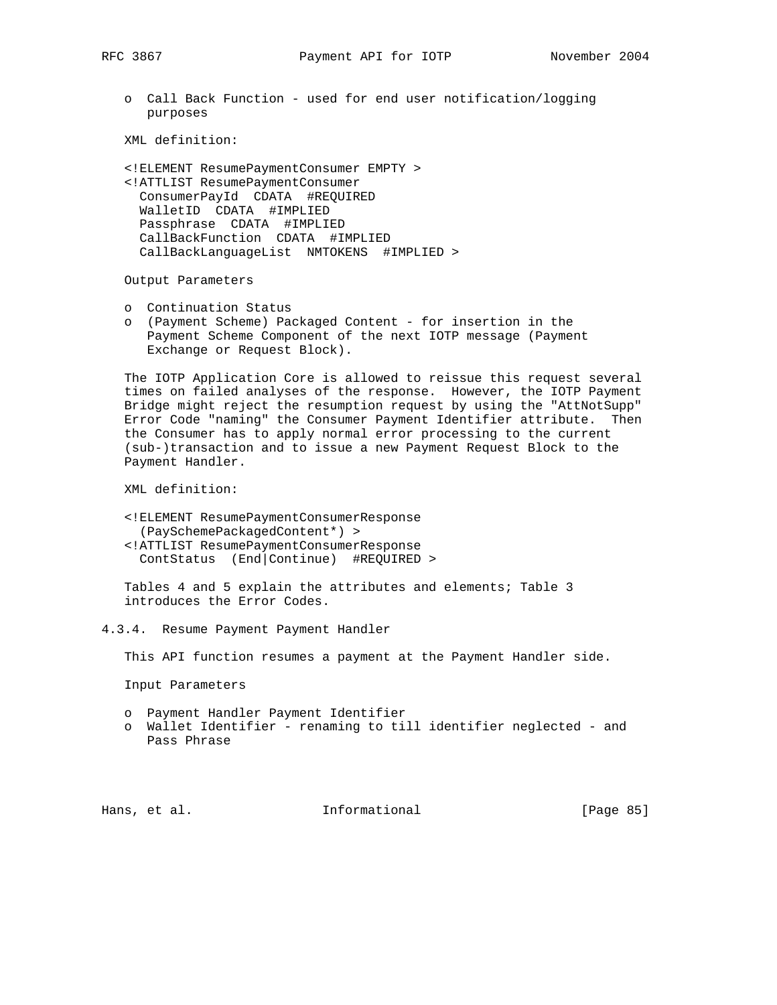o Call Back Function - used for end user notification/logging purposes

XML definition:

 <!ELEMENT ResumePaymentConsumer EMPTY > <!ATTLIST ResumePaymentConsumer ConsumerPayId CDATA #REQUIRED WalletID CDATA #IMPLIED Passphrase CDATA #IMPLIED CallBackFunction CDATA #IMPLIED CallBackLanguageList NMTOKENS #IMPLIED >

Output Parameters

- o Continuation Status
- o (Payment Scheme) Packaged Content for insertion in the Payment Scheme Component of the next IOTP message (Payment Exchange or Request Block).

 The IOTP Application Core is allowed to reissue this request several times on failed analyses of the response. However, the IOTP Payment Bridge might reject the resumption request by using the "AttNotSupp" Error Code "naming" the Consumer Payment Identifier attribute. Then the Consumer has to apply normal error processing to the current (sub-)transaction and to issue a new Payment Request Block to the Payment Handler.

XML definition:

 <!ELEMENT ResumePaymentConsumerResponse (PaySchemePackagedContent\*) > <!ATTLIST ResumePaymentConsumerResponse ContStatus (End|Continue) #REQUIRED >

 Tables 4 and 5 explain the attributes and elements; Table 3 introduces the Error Codes.

4.3.4. Resume Payment Payment Handler

This API function resumes a payment at the Payment Handler side.

Input Parameters

- o Payment Handler Payment Identifier
- o Wallet Identifier renaming to till identifier neglected and Pass Phrase

Hans, et al. 10 1nformational 11 [Page 85]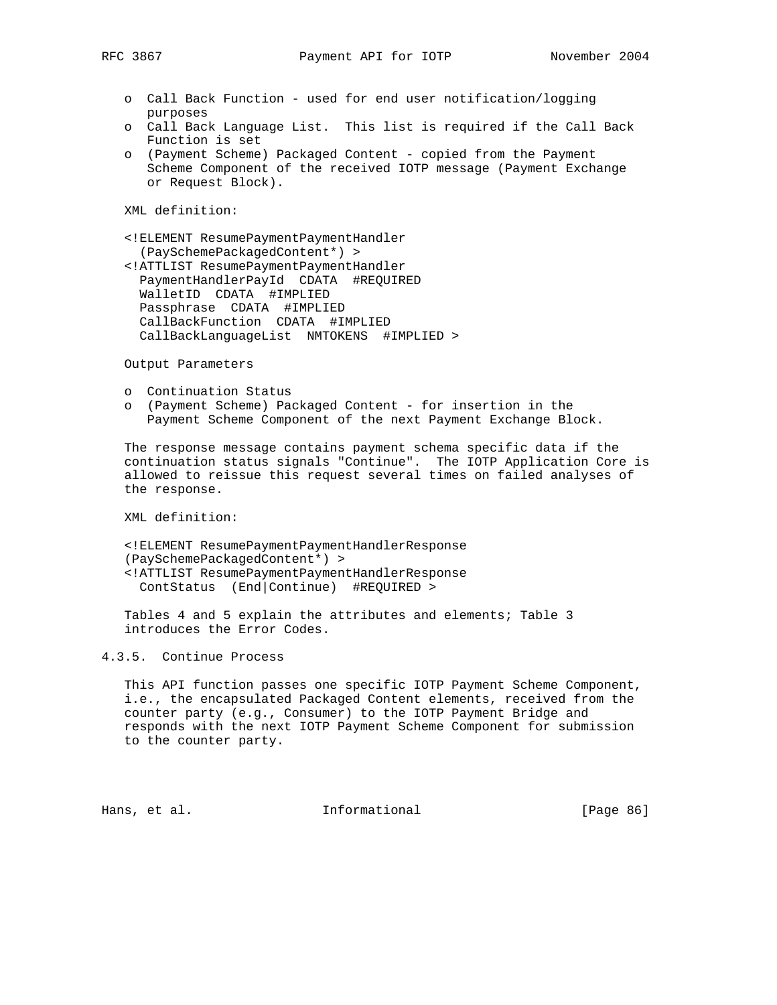- o Call Back Function used for end user notification/logging purposes
- o Call Back Language List. This list is required if the Call Back Function is set
- o (Payment Scheme) Packaged Content copied from the Payment Scheme Component of the received IOTP message (Payment Exchange or Request Block).

 <!ELEMENT ResumePaymentPaymentHandler (PaySchemePackagedContent\*) >

 <!ATTLIST ResumePaymentPaymentHandler PaymentHandlerPayId CDATA #REQUIRED WalletID CDATA #IMPLIED Passphrase CDATA #IMPLIED CallBackFunction CDATA #IMPLIED CallBackLanguageList NMTOKENS #IMPLIED >

Output Parameters

- o Continuation Status
- o (Payment Scheme) Packaged Content for insertion in the Payment Scheme Component of the next Payment Exchange Block.

 The response message contains payment schema specific data if the continuation status signals "Continue". The IOTP Application Core is allowed to reissue this request several times on failed analyses of the response.

XML definition:

 <!ELEMENT ResumePaymentPaymentHandlerResponse (PaySchemePackagedContent\*) > <!ATTLIST ResumePaymentPaymentHandlerResponse ContStatus (End|Continue) #REQUIRED >

 Tables 4 and 5 explain the attributes and elements; Table 3 introduces the Error Codes.

# 4.3.5. Continue Process

 This API function passes one specific IOTP Payment Scheme Component, i.e., the encapsulated Packaged Content elements, received from the counter party (e.g., Consumer) to the IOTP Payment Bridge and responds with the next IOTP Payment Scheme Component for submission to the counter party.

Hans, et al. **Informational** [Page 86]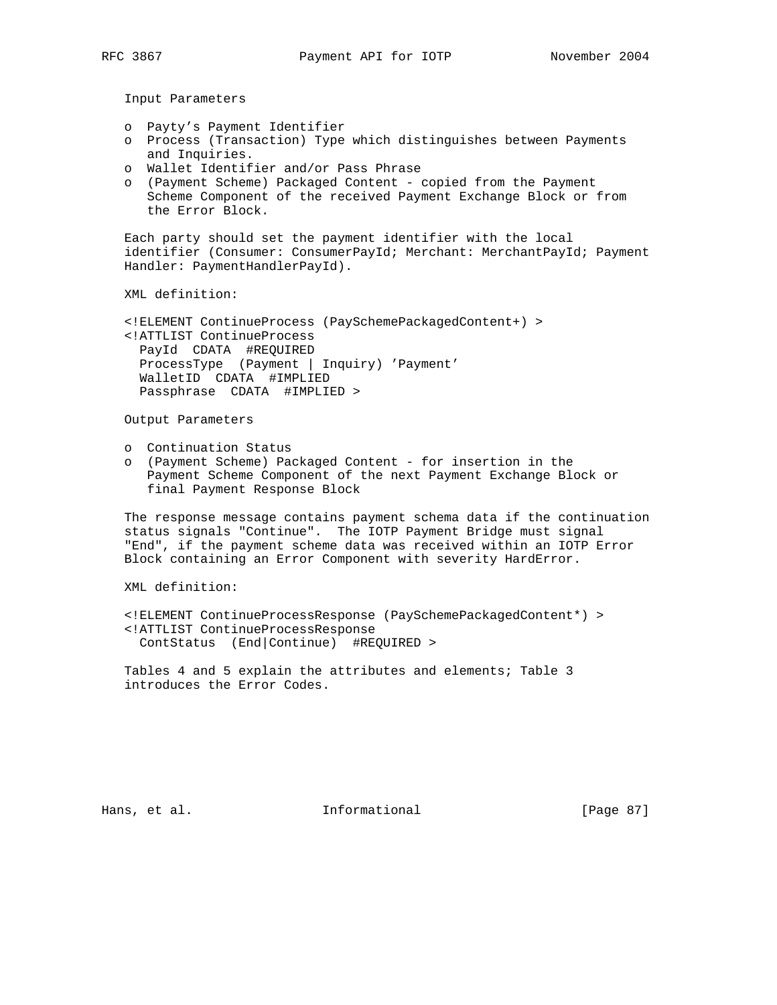- o Payty's Payment Identifier
- o Process (Transaction) Type which distinguishes between Payments and Inquiries.
- o Wallet Identifier and/or Pass Phrase
- o (Payment Scheme) Packaged Content copied from the Payment Scheme Component of the received Payment Exchange Block or from the Error Block.

 Each party should set the payment identifier with the local identifier (Consumer: ConsumerPayId; Merchant: MerchantPayId; Payment Handler: PaymentHandlerPayId).

XML definition:

 <!ELEMENT ContinueProcess (PaySchemePackagedContent+) > <!ATTLIST ContinueProcess PayId CDATA #REQUIRED ProcessType (Payment | Inquiry) 'Payment' WalletID CDATA #IMPLIED Passphrase CDATA #IMPLIED >

Output Parameters

- o Continuation Status
- o (Payment Scheme) Packaged Content for insertion in the Payment Scheme Component of the next Payment Exchange Block or final Payment Response Block

 The response message contains payment schema data if the continuation status signals "Continue". The IOTP Payment Bridge must signal "End", if the payment scheme data was received within an IOTP Error Block containing an Error Component with severity HardError.

XML definition:

 <!ELEMENT ContinueProcessResponse (PaySchemePackagedContent\*) > <!ATTLIST ContinueProcessResponse ContStatus (End|Continue) #REQUIRED >

 Tables 4 and 5 explain the attributes and elements; Table 3 introduces the Error Codes.

Hans, et al. 10 Informational 11 [Page 87]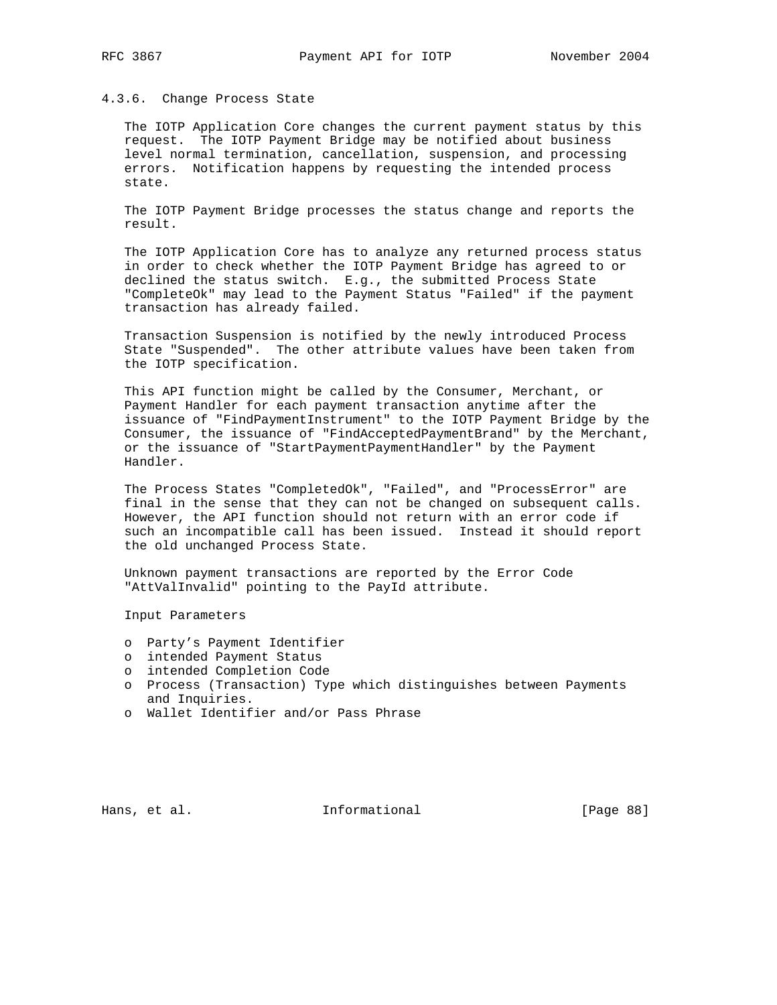## 4.3.6. Change Process State

 The IOTP Application Core changes the current payment status by this request. The IOTP Payment Bridge may be notified about business level normal termination, cancellation, suspension, and processing errors. Notification happens by requesting the intended process state.

 The IOTP Payment Bridge processes the status change and reports the result.

 The IOTP Application Core has to analyze any returned process status in order to check whether the IOTP Payment Bridge has agreed to or declined the status switch. E.g., the submitted Process State "CompleteOk" may lead to the Payment Status "Failed" if the payment transaction has already failed.

 Transaction Suspension is notified by the newly introduced Process State "Suspended". The other attribute values have been taken from the IOTP specification.

 This API function might be called by the Consumer, Merchant, or Payment Handler for each payment transaction anytime after the issuance of "FindPaymentInstrument" to the IOTP Payment Bridge by the Consumer, the issuance of "FindAcceptedPaymentBrand" by the Merchant, or the issuance of "StartPaymentPaymentHandler" by the Payment Handler.

 The Process States "CompletedOk", "Failed", and "ProcessError" are final in the sense that they can not be changed on subsequent calls. However, the API function should not return with an error code if such an incompatible call has been issued. Instead it should report the old unchanged Process State.

 Unknown payment transactions are reported by the Error Code "AttValInvalid" pointing to the PayId attribute.

Input Parameters

- o Party's Payment Identifier
- o intended Payment Status
- o intended Completion Code
- o Process (Transaction) Type which distinguishes between Payments and Inquiries.
- o Wallet Identifier and/or Pass Phrase

Hans, et al. 10. Informational 1. [Page 88]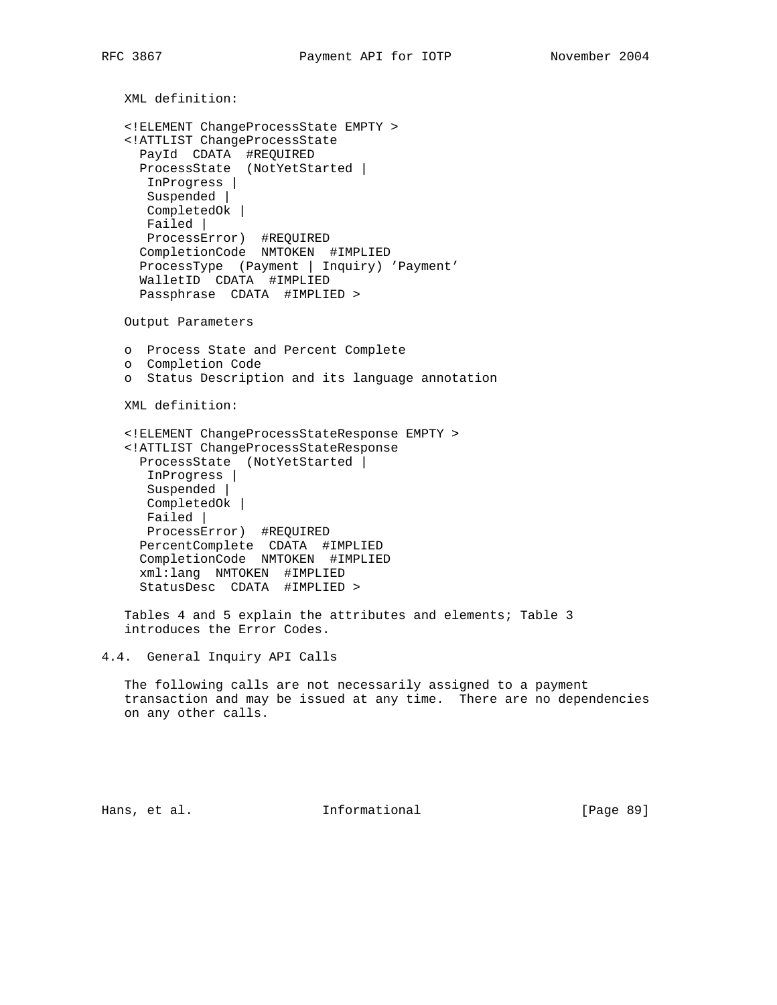```
 XML definition:
    <!ELEMENT ChangeProcessState EMPTY >
    <!ATTLIST ChangeProcessState
 PayId CDATA #REQUIRED
 ProcessState (NotYetStarted |
      InProgress |
      Suspended |
      CompletedOk |
      Failed |
      ProcessError) #REQUIRED
      CompletionCode NMTOKEN #IMPLIED
     ProcessType (Payment | Inquiry) 'Payment'
      WalletID CDATA #IMPLIED
      Passphrase CDATA #IMPLIED >
   Output Parameters
   o Process State and Percent Complete
   o Completion Code
   o Status Description and its language annotation
   XML definition:
    <!ELEMENT ChangeProcessStateResponse EMPTY >
    <!ATTLIST ChangeProcessStateResponse
     ProcessState (NotYetStarted |
      InProgress |
      Suspended |
      CompletedOk |
      Failed |
      ProcessError) #REQUIRED
     PercentComplete CDATA #IMPLIED
     CompletionCode NMTOKEN #IMPLIED
     xml:lang NMTOKEN #IMPLIED
     StatusDesc CDATA #IMPLIED >
    Tables 4 and 5 explain the attributes and elements; Table 3
    introduces the Error Codes.
4.4. General Inquiry API Calls
   The following calls are not necessarily assigned to a payment
    transaction and may be issued at any time. There are no dependencies
   on any other calls.
```
Hans, et al. **Informational** [Page 89]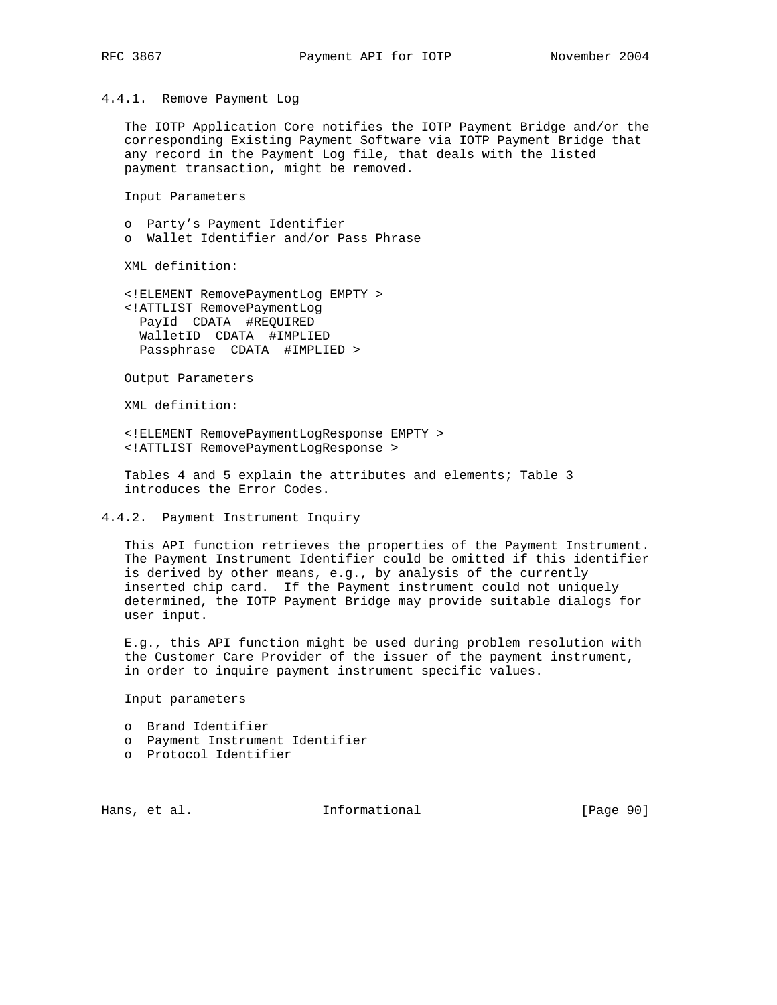4.4.1. Remove Payment Log

 The IOTP Application Core notifies the IOTP Payment Bridge and/or the corresponding Existing Payment Software via IOTP Payment Bridge that any record in the Payment Log file, that deals with the listed payment transaction, might be removed.

Input Parameters

 o Party's Payment Identifier o Wallet Identifier and/or Pass Phrase

XML definition:

 <!ELEMENT RemovePaymentLog EMPTY > <!ATTLIST RemovePaymentLog PayId CDATA #REQUIRED WalletID CDATA #IMPLIED Passphrase CDATA #IMPLIED >

Output Parameters

XML definition:

 <!ELEMENT RemovePaymentLogResponse EMPTY > <!ATTLIST RemovePaymentLogResponse >

 Tables 4 and 5 explain the attributes and elements; Table 3 introduces the Error Codes.

### 4.4.2. Payment Instrument Inquiry

 This API function retrieves the properties of the Payment Instrument. The Payment Instrument Identifier could be omitted if this identifier is derived by other means, e.g., by analysis of the currently inserted chip card. If the Payment instrument could not uniquely determined, the IOTP Payment Bridge may provide suitable dialogs for user input.

 E.g., this API function might be used during problem resolution with the Customer Care Provider of the issuer of the payment instrument, in order to inquire payment instrument specific values.

Input parameters

o Brand Identifier

- o Payment Instrument Identifier
- o Protocol Identifier

Hans, et al. **Informational** [Page 90]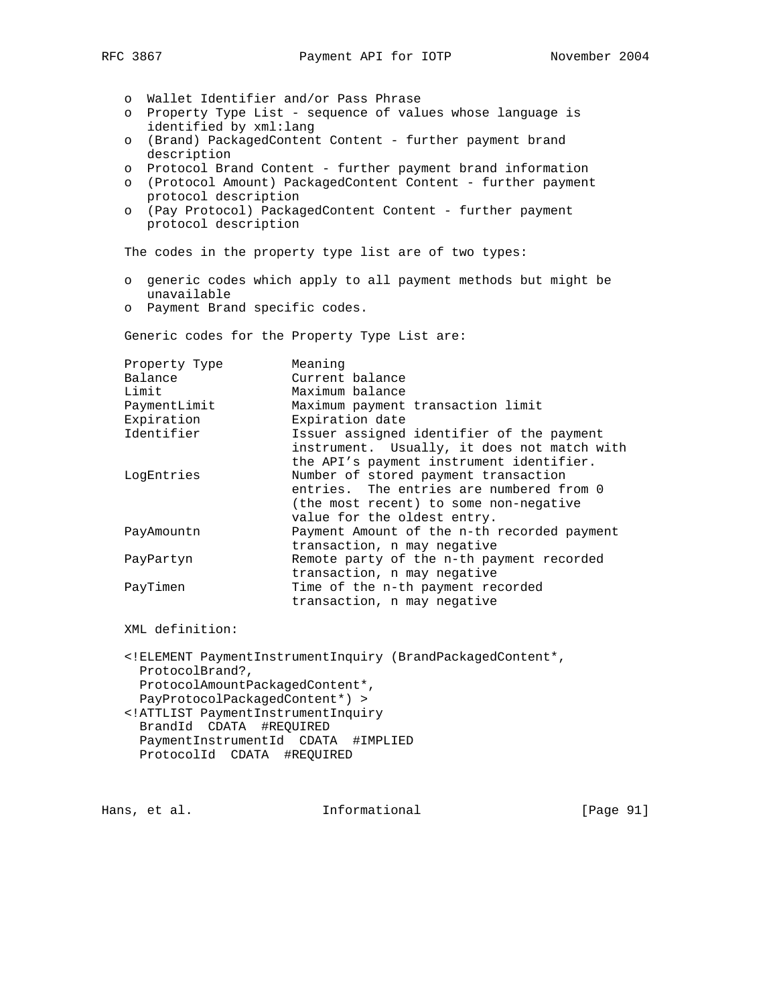o Wallet Identifier and/or Pass Phrase

- o Property Type List sequence of values whose language is identified by xml:lang
- o (Brand) PackagedContent Content further payment brand description
- o Protocol Brand Content further payment brand information
- o (Protocol Amount) PackagedContent Content further payment protocol description
- o (Pay Protocol) PackagedContent Content further payment protocol description

The codes in the property type list are of two types:

- o generic codes which apply to all payment methods but might be unavailable
- o Payment Brand specific codes.

Generic codes for the Property Type List are:

| Property Type | Meaning                                     |
|---------------|---------------------------------------------|
| Balance       | Current balance                             |
| Limit         | Maximum balance                             |
| PaymentLimit  | Maximum payment transaction limit           |
| Expiration    | Expiration date                             |
| Identifier    | Issuer assigned identifier of the payment   |
|               | instrument. Usually, it does not match with |
|               | the API's payment instrument identifier.    |
| LogEntries    | Number of stored payment transaction        |
|               | entries. The entries are numbered from 0    |
|               | (the most recent) to some non-negative      |
|               | value for the oldest entry.                 |
| PayAmountn    | Payment Amount of the n-th recorded payment |
|               | transaction, n may negative                 |
| PayPartyn     | Remote party of the n-th payment recorded   |
|               | transaction, n may negative                 |
| PayTimen      | Time of the n-th payment recorded           |
|               | transaction, n may negative                 |
|               |                                             |

XML definition:

 <!ELEMENT PaymentInstrumentInquiry (BrandPackagedContent\*, ProtocolBrand?, ProtocolAmountPackagedContent\*, PayProtocolPackagedContent\*) > <!ATTLIST PaymentInstrumentInquiry BrandId CDATA #REQUIRED PaymentInstrumentId CDATA #IMPLIED ProtocolId CDATA #REQUIRED

Hans, et al. 10 1nformational 11 [Page 91]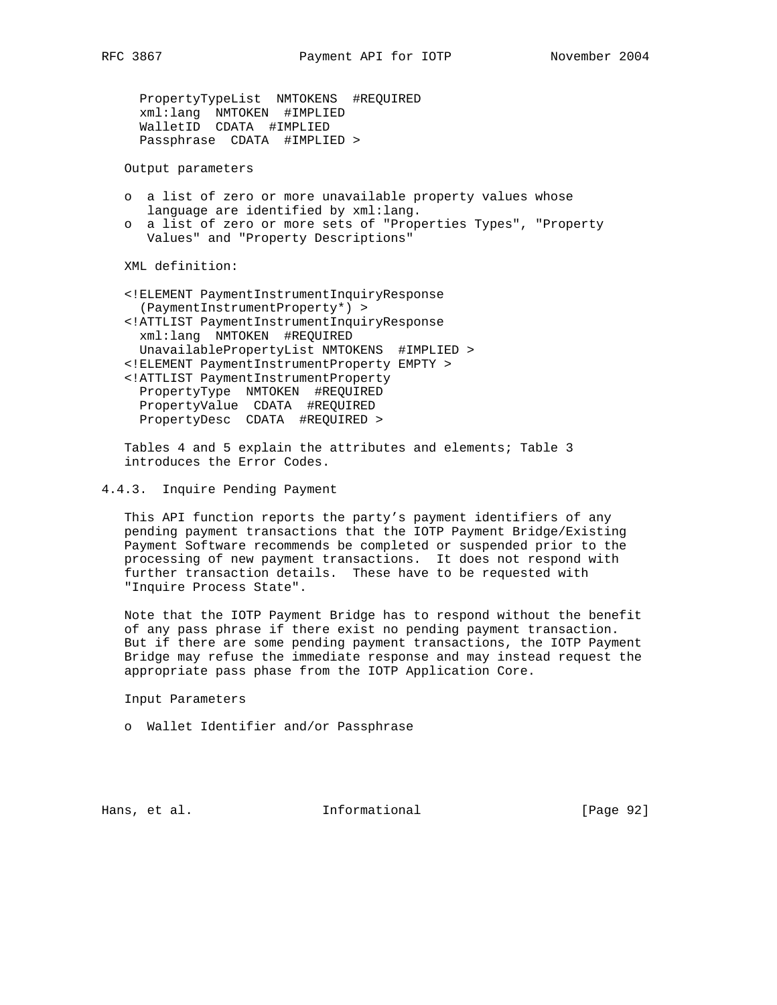PropertyTypeList NMTOKENS #REQUIRED xml:lang NMTOKEN #IMPLIED WalletID CDATA #IMPLIED Passphrase CDATA #IMPLIED >

Output parameters

- o a list of zero or more unavailable property values whose language are identified by xml:lang.
- o a list of zero or more sets of "Properties Types", "Property Values" and "Property Descriptions"

XML definition:

 <!ELEMENT PaymentInstrumentInquiryResponse (PaymentInstrumentProperty\*) > <!ATTLIST PaymentInstrumentInquiryResponse xml:lang NMTOKEN #REQUIRED UnavailablePropertyList NMTOKENS #IMPLIED > <!ELEMENT PaymentInstrumentProperty EMPTY > <!ATTLIST PaymentInstrumentProperty PropertyType NMTOKEN #REQUIRED PropertyValue CDATA #REQUIRED PropertyDesc CDATA #REQUIRED >

 Tables 4 and 5 explain the attributes and elements; Table 3 introduces the Error Codes.

4.4.3. Inquire Pending Payment

 This API function reports the party's payment identifiers of any pending payment transactions that the IOTP Payment Bridge/Existing Payment Software recommends be completed or suspended prior to the processing of new payment transactions. It does not respond with further transaction details. These have to be requested with "Inquire Process State".

 Note that the IOTP Payment Bridge has to respond without the benefit of any pass phrase if there exist no pending payment transaction. But if there are some pending payment transactions, the IOTP Payment Bridge may refuse the immediate response and may instead request the appropriate pass phase from the IOTP Application Core.

Input Parameters

o Wallet Identifier and/or Passphrase

Hans, et al.  $I_n$  Informational [Page 92]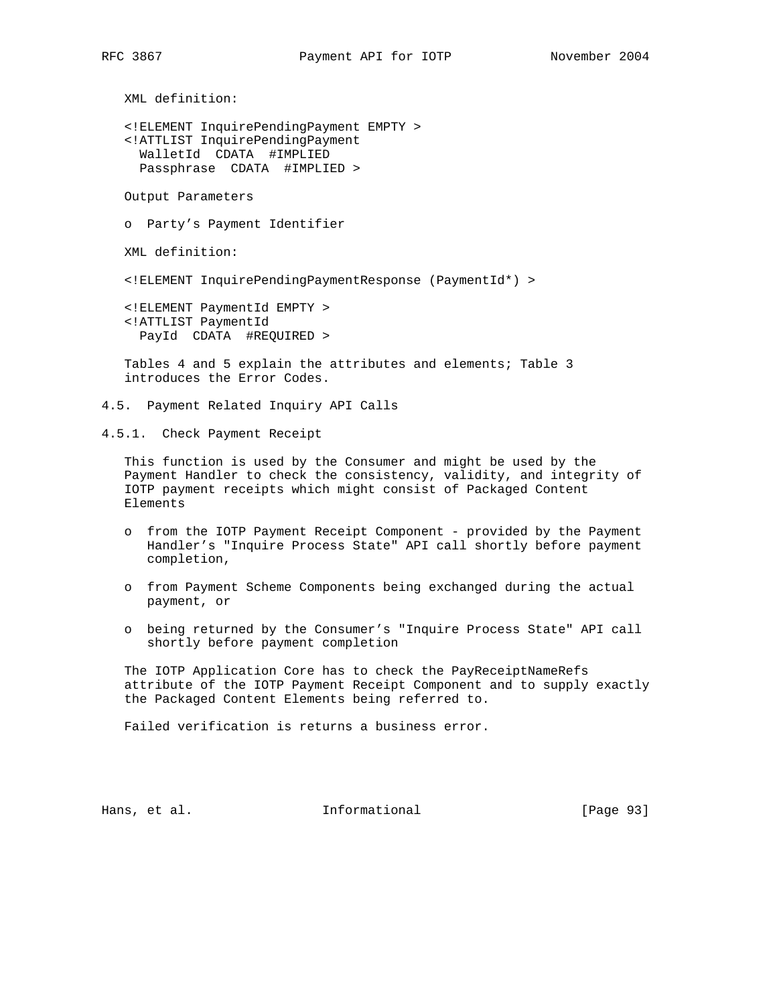<!ELEMENT InquirePendingPayment EMPTY > <!ATTLIST InquirePendingPayment WalletId CDATA #IMPLIED Passphrase CDATA #IMPLIED >

Output Parameters

o Party's Payment Identifier

XML definition:

<!ELEMENT InquirePendingPaymentResponse (PaymentId\*) >

 <!ELEMENT PaymentId EMPTY > <!ATTLIST PaymentId PayId CDATA #REQUIRED >

 Tables 4 and 5 explain the attributes and elements; Table 3 introduces the Error Codes.

4.5. Payment Related Inquiry API Calls

4.5.1. Check Payment Receipt

 This function is used by the Consumer and might be used by the Payment Handler to check the consistency, validity, and integrity of IOTP payment receipts which might consist of Packaged Content Elements

- o from the IOTP Payment Receipt Component provided by the Payment Handler's "Inquire Process State" API call shortly before payment completion,
- o from Payment Scheme Components being exchanged during the actual payment, or
- o being returned by the Consumer's "Inquire Process State" API call shortly before payment completion

 The IOTP Application Core has to check the PayReceiptNameRefs attribute of the IOTP Payment Receipt Component and to supply exactly the Packaged Content Elements being referred to.

Failed verification is returns a business error.

Hans, et al. 10 1nformational 11 [Page 93]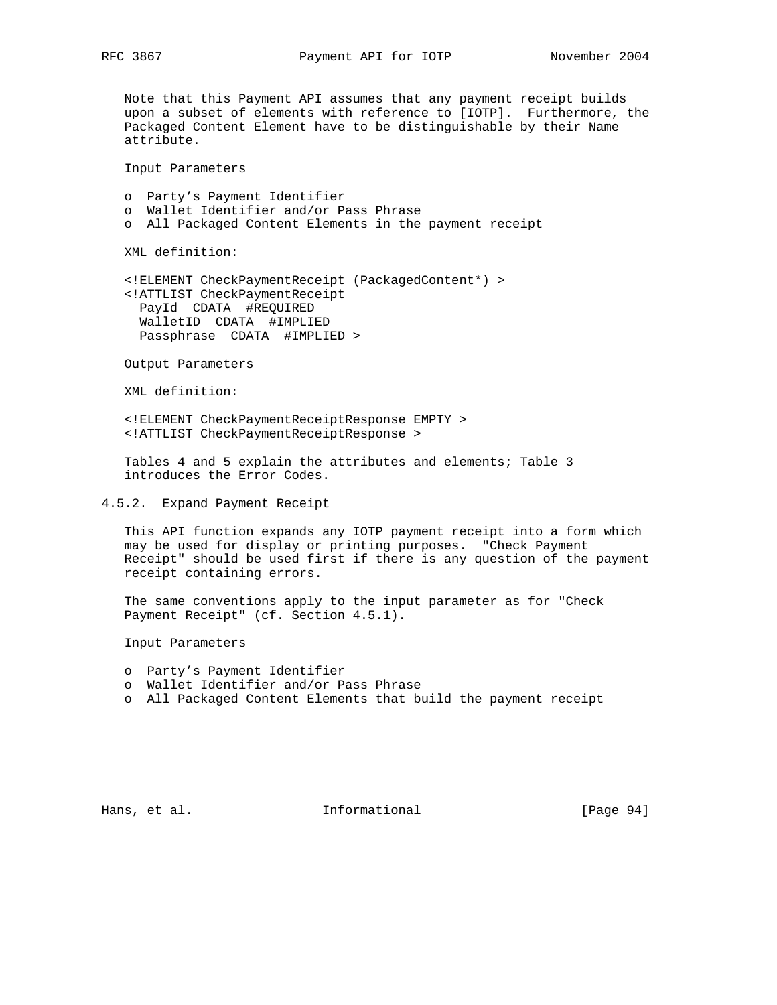Note that this Payment API assumes that any payment receipt builds upon a subset of elements with reference to [IOTP]. Furthermore, the Packaged Content Element have to be distinguishable by their Name attribute.

Input Parameters

 o Party's Payment Identifier o Wallet Identifier and/or Pass Phrase o All Packaged Content Elements in the payment receipt

XML definition:

 <!ELEMENT CheckPaymentReceipt (PackagedContent\*) > <!ATTLIST CheckPaymentReceipt PayId CDATA #REQUIRED WalletID CDATA #IMPLIED Passphrase CDATA #IMPLIED >

Output Parameters

XML definition:

 <!ELEMENT CheckPaymentReceiptResponse EMPTY > <!ATTLIST CheckPaymentReceiptResponse >

 Tables 4 and 5 explain the attributes and elements; Table 3 introduces the Error Codes.

4.5.2. Expand Payment Receipt

 This API function expands any IOTP payment receipt into a form which may be used for display or printing purposes. "Check Payment Receipt" should be used first if there is any question of the payment receipt containing errors.

 The same conventions apply to the input parameter as for "Check Payment Receipt" (cf. Section 4.5.1).

Input Parameters

- o Party's Payment Identifier
- o Wallet Identifier and/or Pass Phrase
- o All Packaged Content Elements that build the payment receipt

Hans, et al. 10 Informational 11 [Page 94]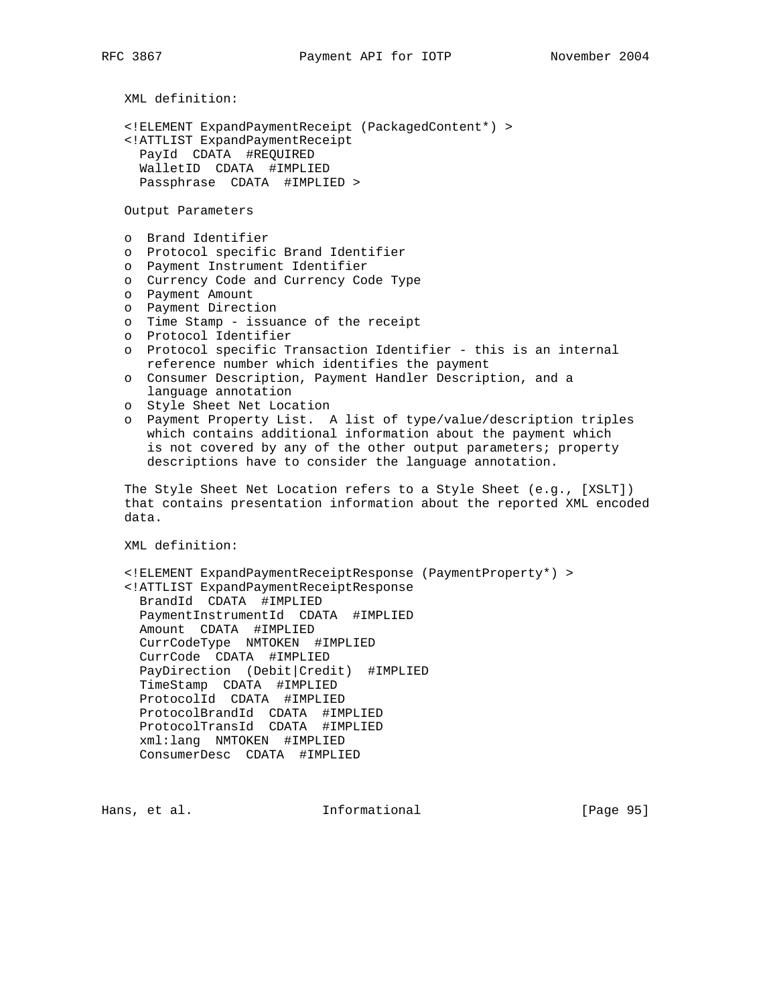```
 XML definition:
```

```
 <!ELEMENT ExpandPaymentReceipt (PackagedContent*) >
 <!ATTLIST ExpandPaymentReceipt
  PayId CDATA #REQUIRED
  WalletID CDATA #IMPLIED
  Passphrase CDATA #IMPLIED >
```
Output Parameters

- o Brand Identifier
- o Protocol specific Brand Identifier
- o Payment Instrument Identifier
- o Currency Code and Currency Code Type
- o Payment Amount
- o Payment Direction
	- o Time Stamp issuance of the receipt
	- o Protocol Identifier
	- o Protocol specific Transaction Identifier this is an internal reference number which identifies the payment
	- o Consumer Description, Payment Handler Description, and a language annotation
	- o Style Sheet Net Location
	- o Payment Property List. A list of type/value/description triples which contains additional information about the payment which is not covered by any of the other output parameters; property descriptions have to consider the language annotation.

 The Style Sheet Net Location refers to a Style Sheet (e.g., [XSLT]) that contains presentation information about the reported XML encoded data.

XML definition:

```
 <!ELEMENT ExpandPaymentReceiptResponse (PaymentProperty*) >
 <!ATTLIST ExpandPaymentReceiptResponse
  BrandId CDATA #IMPLIED
  PaymentInstrumentId CDATA #IMPLIED
  Amount CDATA #IMPLIED
  CurrCodeType NMTOKEN #IMPLIED
  CurrCode CDATA #IMPLIED
  PayDirection (Debit|Credit) #IMPLIED
  TimeStamp CDATA #IMPLIED
  ProtocolId CDATA #IMPLIED
  ProtocolBrandId CDATA #IMPLIED
  ProtocolTransId CDATA #IMPLIED
  xml:lang NMTOKEN #IMPLIED
  ConsumerDesc CDATA #IMPLIED
```
Hans, et al. **Informational** [Page 95]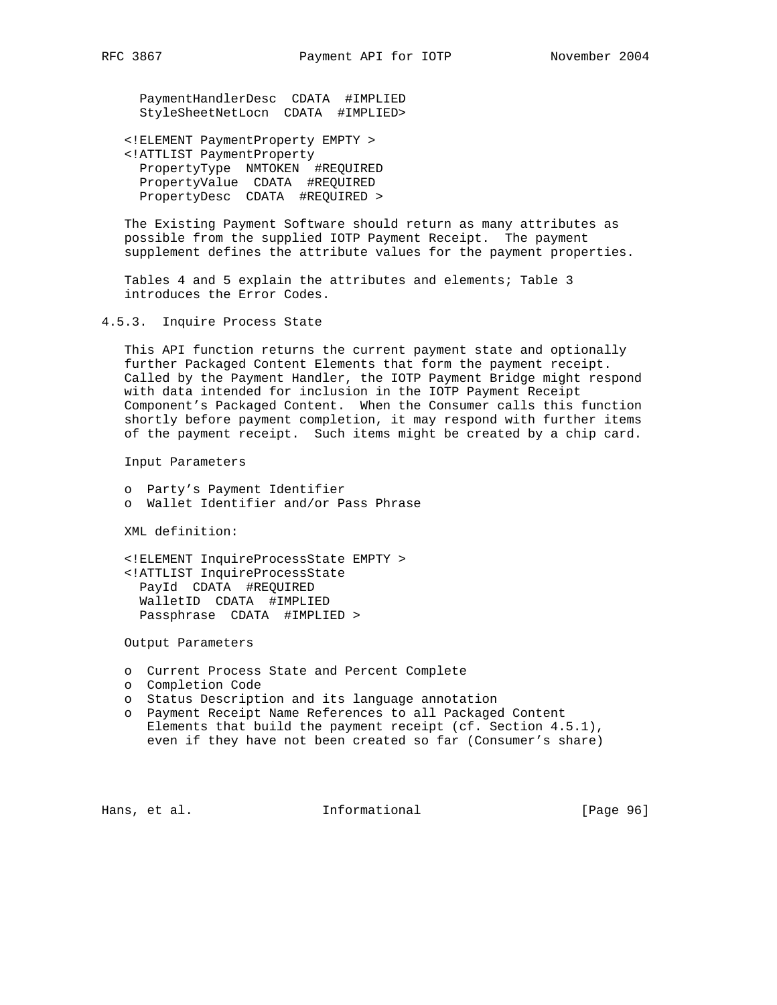PaymentHandlerDesc CDATA #IMPLIED StyleSheetNetLocn CDATA #IMPLIED>

 <!ELEMENT PaymentProperty EMPTY > <!ATTLIST PaymentProperty PropertyType NMTOKEN #REQUIRED PropertyValue CDATA #REQUIRED PropertyDesc CDATA #REQUIRED >

 The Existing Payment Software should return as many attributes as possible from the supplied IOTP Payment Receipt. The payment supplement defines the attribute values for the payment properties.

 Tables 4 and 5 explain the attributes and elements; Table 3 introduces the Error Codes.

## 4.5.3. Inquire Process State

 This API function returns the current payment state and optionally further Packaged Content Elements that form the payment receipt. Called by the Payment Handler, the IOTP Payment Bridge might respond with data intended for inclusion in the IOTP Payment Receipt Component's Packaged Content. When the Consumer calls this function shortly before payment completion, it may respond with further items of the payment receipt. Such items might be created by a chip card.

Input Parameters

 o Party's Payment Identifier o Wallet Identifier and/or Pass Phrase

XML definition:

 <!ELEMENT InquireProcessState EMPTY > <!ATTLIST InquireProcessState PayId CDATA #REQUIRED WalletID CDATA #IMPLIED Passphrase CDATA #IMPLIED >

Output Parameters

- o Current Process State and Percent Complete
- o Completion Code
- o Status Description and its language annotation
- o Payment Receipt Name References to all Packaged Content Elements that build the payment receipt (cf. Section 4.5.1), even if they have not been created so far (Consumer's share)

Hans, et al. **Informational** [Page 96]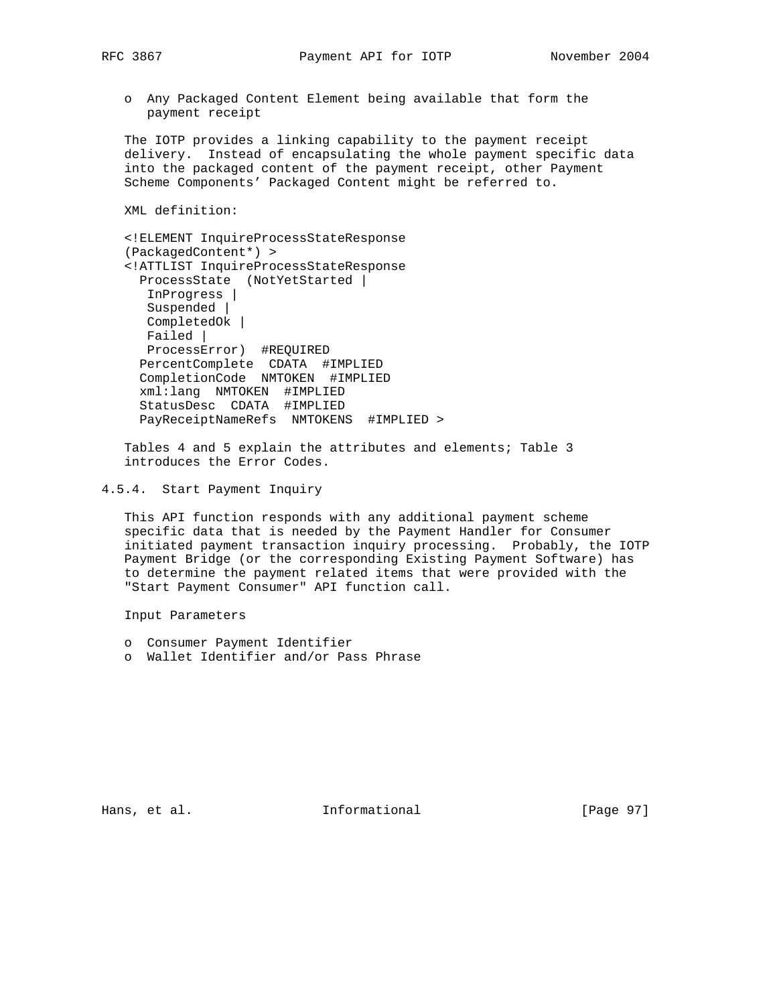o Any Packaged Content Element being available that form the payment receipt

 The IOTP provides a linking capability to the payment receipt delivery. Instead of encapsulating the whole payment specific data into the packaged content of the payment receipt, other Payment Scheme Components' Packaged Content might be referred to.

XML definition:

 <!ELEMENT InquireProcessStateResponse (PackagedContent\*) > <!ATTLIST InquireProcessStateResponse ProcessState (NotYetStarted | InProgress | Suspended | CompletedOk | Failed | ProcessError) #REQUIRED PercentComplete CDATA #IMPLIED CompletionCode NMTOKEN #IMPLIED xml:lang NMTOKEN #IMPLIED StatusDesc CDATA #IMPLIED PayReceiptNameRefs NMTOKENS #IMPLIED >

 Tables 4 and 5 explain the attributes and elements; Table 3 introduces the Error Codes.

 This API function responds with any additional payment scheme specific data that is needed by the Payment Handler for Consumer initiated payment transaction inquiry processing. Probably, the IOTP Payment Bridge (or the corresponding Existing Payment Software) has to determine the payment related items that were provided with the "Start Payment Consumer" API function call.

Input Parameters

- o Consumer Payment Identifier
- o Wallet Identifier and/or Pass Phrase

Hans, et al. 10 1nformational 11 [Page 97]

<sup>4.5.4.</sup> Start Payment Inquiry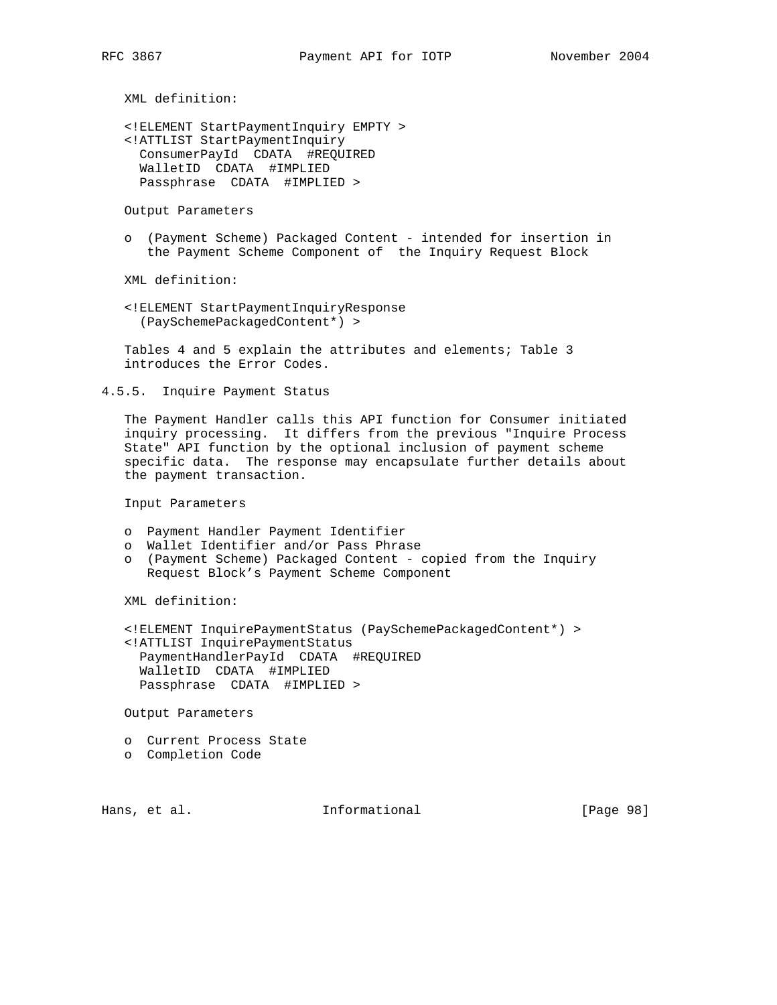<!ELEMENT StartPaymentInquiry EMPTY > <!ATTLIST StartPaymentInquiry ConsumerPayId CDATA #REQUIRED WalletID CDATA #IMPLIED Passphrase CDATA #IMPLIED >

Output Parameters

 o (Payment Scheme) Packaged Content - intended for insertion in the Payment Scheme Component of the Inquiry Request Block

XML definition:

 <!ELEMENT StartPaymentInquiryResponse (PaySchemePackagedContent\*) >

 Tables 4 and 5 explain the attributes and elements; Table 3 introduces the Error Codes.

4.5.5. Inquire Payment Status

 The Payment Handler calls this API function for Consumer initiated inquiry processing. It differs from the previous "Inquire Process State" API function by the optional inclusion of payment scheme specific data. The response may encapsulate further details about the payment transaction.

Input Parameters

- o Payment Handler Payment Identifier
- o Wallet Identifier and/or Pass Phrase
- o (Payment Scheme) Packaged Content copied from the Inquiry Request Block's Payment Scheme Component

XML definition:

 <!ELEMENT InquirePaymentStatus (PaySchemePackagedContent\*) > <!ATTLIST InquirePaymentStatus PaymentHandlerPayId CDATA #REQUIRED WalletID CDATA #IMPLIED Passphrase CDATA #IMPLIED >

Output Parameters

- o Current Process State
- o Completion Code

Hans, et al. 10 1nformational 11 [Page 98]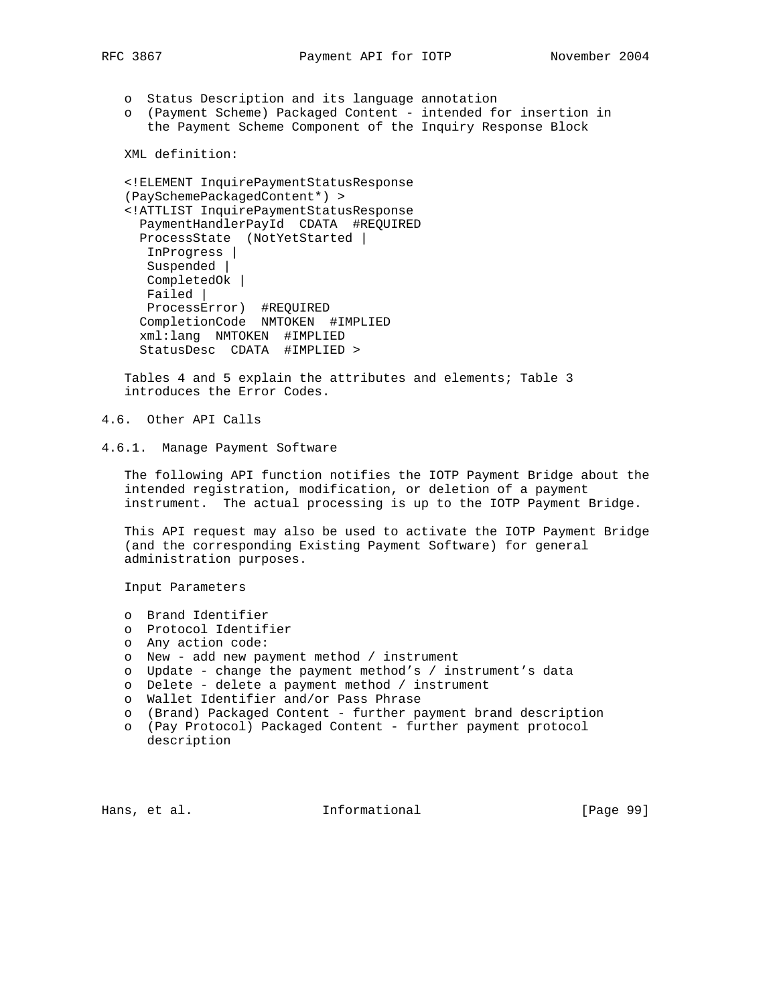o Status Description and its language annotation

 o (Payment Scheme) Packaged Content - intended for insertion in the Payment Scheme Component of the Inquiry Response Block

```
 XML definition:
```

```
 <!ELEMENT InquirePaymentStatusResponse
 (PaySchemePackagedContent*) >
 <!ATTLIST InquirePaymentStatusResponse
  PaymentHandlerPayId CDATA #REQUIRED
  ProcessState (NotYetStarted |
   InProgress |
   Suspended |
   CompletedOk |
   Failed |
   ProcessError) #REQUIRED
   CompletionCode NMTOKEN #IMPLIED
  xml:lang NMTOKEN #IMPLIED
  StatusDesc CDATA #IMPLIED >
```
 Tables 4 and 5 explain the attributes and elements; Table 3 introduces the Error Codes.

4.6. Other API Calls

4.6.1. Manage Payment Software

 The following API function notifies the IOTP Payment Bridge about the intended registration, modification, or deletion of a payment instrument. The actual processing is up to the IOTP Payment Bridge.

 This API request may also be used to activate the IOTP Payment Bridge (and the corresponding Existing Payment Software) for general administration purposes.

Input Parameters

- o Brand Identifier
- o Protocol Identifier
- o Any action code:
- o New add new payment method / instrument
- o Update change the payment method's / instrument's data
- o Delete delete a payment method / instrument
- o Wallet Identifier and/or Pass Phrase
- o (Brand) Packaged Content further payment brand description
- o (Pay Protocol) Packaged Content further payment protocol description

Hans, et al. **Informational** [Page 99]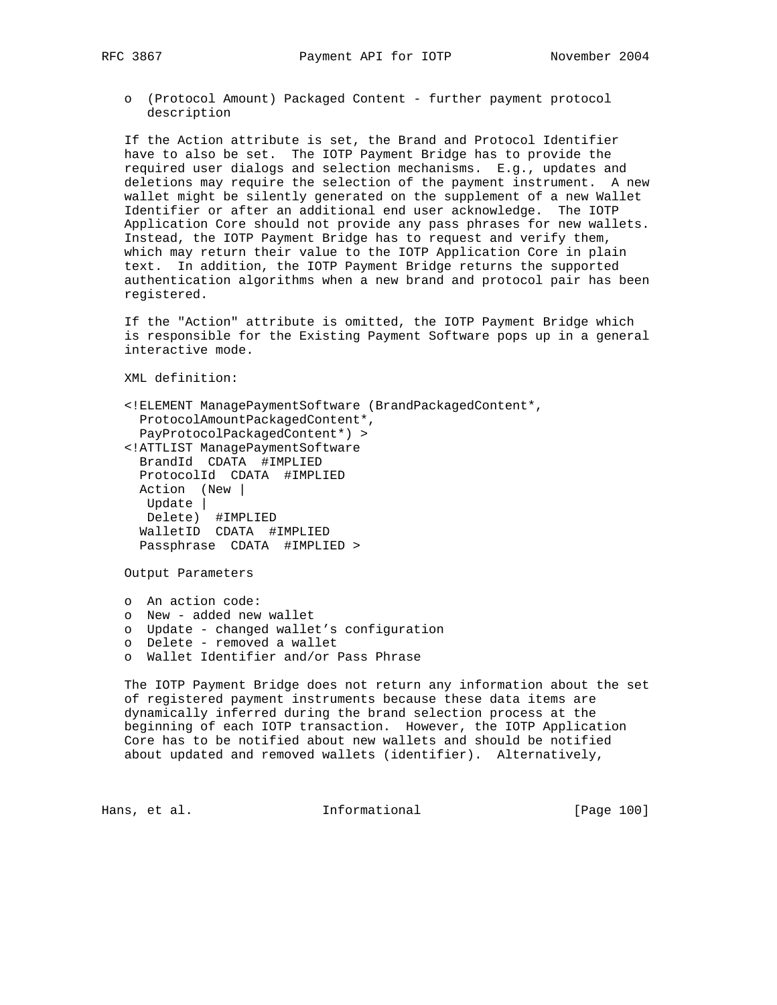o (Protocol Amount) Packaged Content - further payment protocol description

 If the Action attribute is set, the Brand and Protocol Identifier have to also be set. The IOTP Payment Bridge has to provide the required user dialogs and selection mechanisms. E.g., updates and deletions may require the selection of the payment instrument. A new wallet might be silently generated on the supplement of a new Wallet Identifier or after an additional end user acknowledge. The IOTP Application Core should not provide any pass phrases for new wallets. Instead, the IOTP Payment Bridge has to request and verify them, which may return their value to the IOTP Application Core in plain text. In addition, the IOTP Payment Bridge returns the supported authentication algorithms when a new brand and protocol pair has been registered.

 If the "Action" attribute is omitted, the IOTP Payment Bridge which is responsible for the Existing Payment Software pops up in a general interactive mode.

XML definition:

| ELEMENT ManagePaymentSoftware (BrandPackagedContent*,</th |
|-----------------------------------------------------------|
| ProtocolAmountPackagedContent*,                           |
| PayProtocolPackagedContent*) >                            |
| ATTLIST ManagePaymentSoftware</td                         |
| BrandId CDATA #IMPLIED                                    |
| ProtocolId CDATA #IMPLIED                                 |
| Action (New                                               |
| Update                                                    |
| Delete) #IMPLIED                                          |
| WalletID CDATA #IMPLIED                                   |
| Passphrase CDATA #IMPLIED >                               |
|                                                           |
| Output Parameters                                         |
|                                                           |
| An action code:<br>$\circ$                                |

- o New added new wallet
- o Update changed wallet's configuration
- o Delete removed a wallet
- o Wallet Identifier and/or Pass Phrase

 The IOTP Payment Bridge does not return any information about the set of registered payment instruments because these data items are dynamically inferred during the brand selection process at the beginning of each IOTP transaction. However, the IOTP Application Core has to be notified about new wallets and should be notified about updated and removed wallets (identifier). Alternatively,

Hans, et al. The Informational The IPage 100]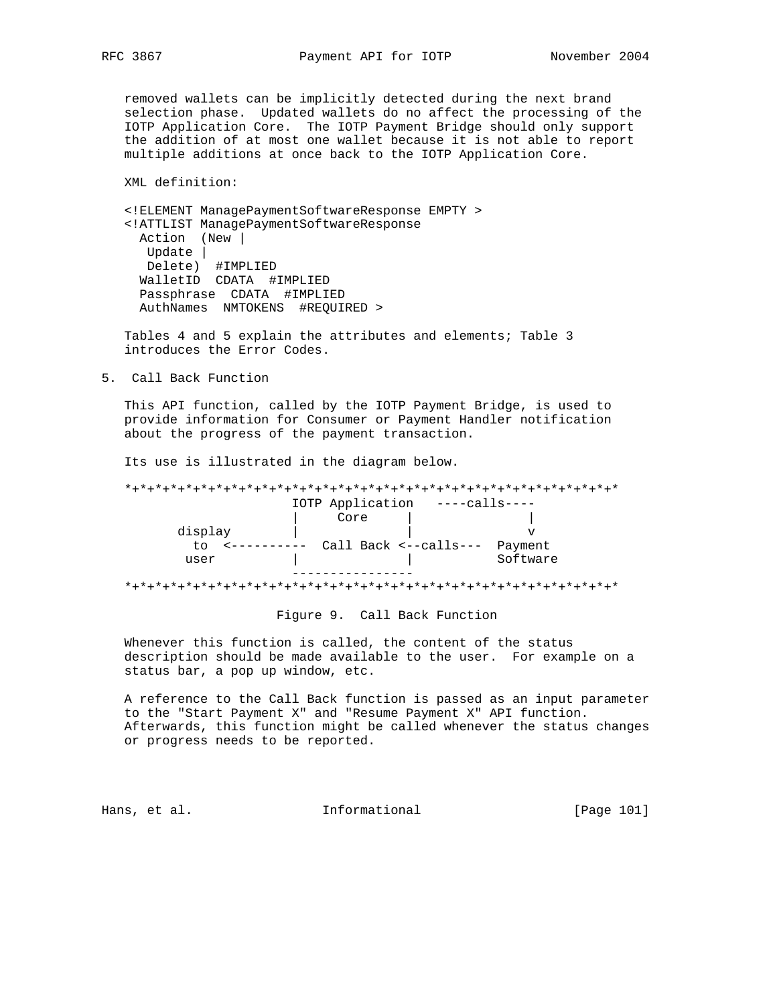removed wallets can be implicitly detected during the next brand selection phase. Updated wallets do no affect the processing of the IOTP Application Core. The IOTP Payment Bridge should only support the addition of at most one wallet because it is not able to report multiple additions at once back to the IOTP Application Core.

XML definition:

 <!ELEMENT ManagePaymentSoftwareResponse EMPTY > <!ATTLIST ManagePaymentSoftwareResponse Action (New | Update | Delete) #IMPLIED WalletID CDATA #IMPLIED Passphrase CDATA #IMPLIED AuthNames NMTOKENS #REQUIRED >

 Tables 4 and 5 explain the attributes and elements; Table 3 introduces the Error Codes.

5. Call Back Function

 This API function, called by the IOTP Payment Bridge, is used to provide information for Consumer or Payment Handler notification about the progress of the payment transaction.

Its use is illustrated in the diagram below.

 \*+\*+\*+\*+\*+\*+\*+\*+\*+\*+\*+\*+\*+\*+\*+\*+\*+\*+\*+\*+\*+\*+\*+\*+\*+\*+\*+\*+\*+\*+\*+\*+\* IOTP Application ----calls---- | Core | | display  $\qquad$  |  $\qquad$  v to <---------- Call Back <--calls--- Payment user | | | | | Software ----------------

\*+\*+\*+\*+\*+\*+\*+\*+\*+\*+\*+\*+\*+\*+\*+\*+\*+\*+\*+\*+\*+\*+\*+\*+\*+\*+\*+\*+\*+\*+\*+\*+\*

Figure 9. Call Back Function

 Whenever this function is called, the content of the status description should be made available to the user. For example on a status bar, a pop up window, etc.

 A reference to the Call Back function is passed as an input parameter to the "Start Payment X" and "Resume Payment X" API function. Afterwards, this function might be called whenever the status changes or progress needs to be reported.

Hans, et al. 10. Informational 1. [Page 101]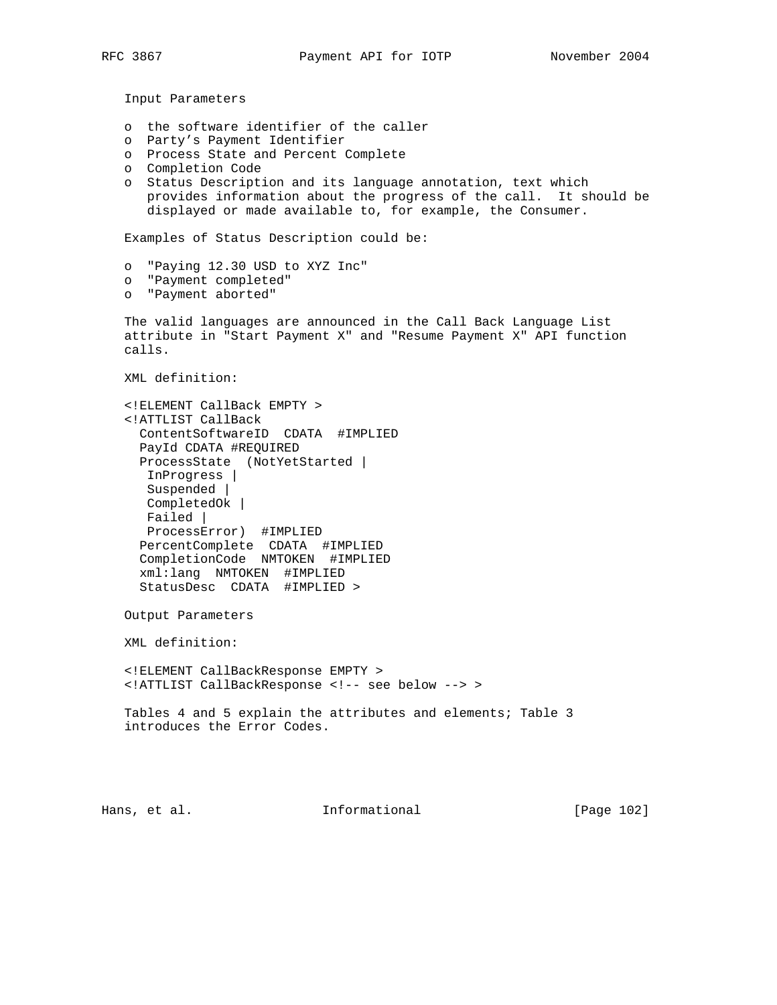- o the software identifier of the caller
- o Party's Payment Identifier
- o Process State and Percent Complete
- o Completion Code
- o Status Description and its language annotation, text which provides information about the progress of the call. It should be displayed or made available to, for example, the Consumer.

Examples of Status Description could be:

- o "Paying 12.30 USD to XYZ Inc"
- o "Payment completed"
- o "Payment aborted"

 The valid languages are announced in the Call Back Language List attribute in "Start Payment X" and "Resume Payment X" API function calls.

XML definition:

```
 <!ELEMENT CallBack EMPTY >
 <!ATTLIST CallBack
  ContentSoftwareID CDATA #IMPLIED
  PayId CDATA #REQUIRED
  ProcessState (NotYetStarted |
   InProgress |
   Suspended |
   CompletedOk |
   Failed |
   ProcessError) #IMPLIED
  PercentComplete CDATA #IMPLIED
  CompletionCode NMTOKEN #IMPLIED
  xml:lang NMTOKEN #IMPLIED
  StatusDesc CDATA #IMPLIED >
```
Output Parameters

XML definition:

 <!ELEMENT CallBackResponse EMPTY > <!ATTLIST CallBackResponse <!-- see below --> >

 Tables 4 and 5 explain the attributes and elements; Table 3 introduces the Error Codes.

Hans, et al. **Informational** [Page 102]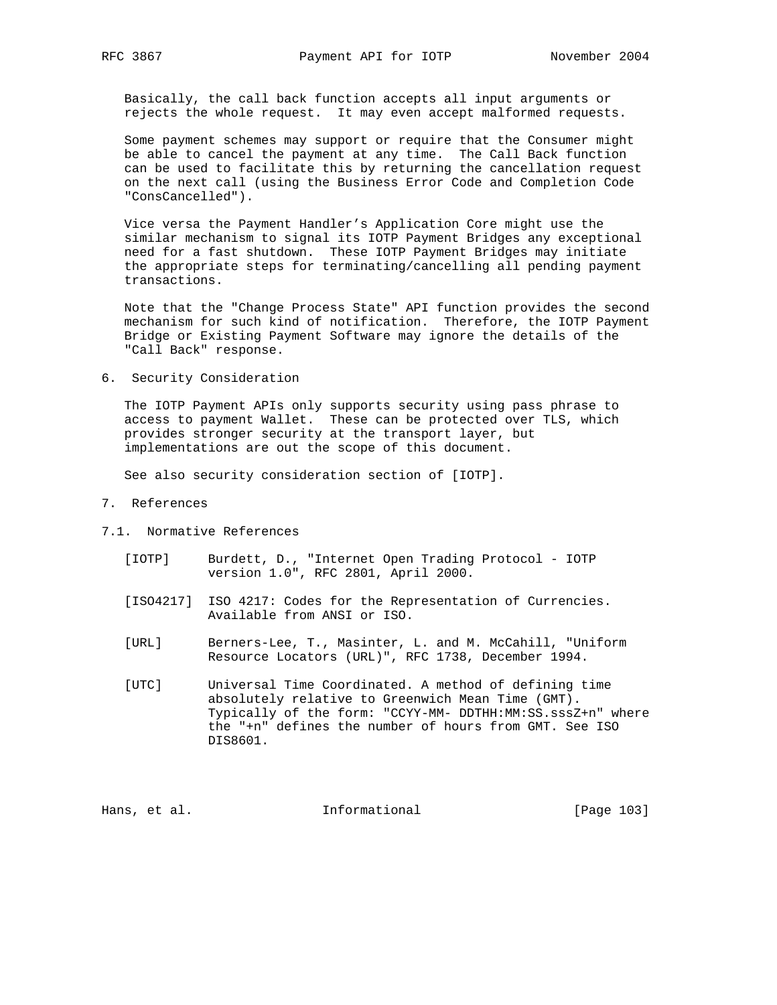Basically, the call back function accepts all input arguments or rejects the whole request. It may even accept malformed requests.

 Some payment schemes may support or require that the Consumer might be able to cancel the payment at any time. The Call Back function can be used to facilitate this by returning the cancellation request on the next call (using the Business Error Code and Completion Code "ConsCancelled").

 Vice versa the Payment Handler's Application Core might use the similar mechanism to signal its IOTP Payment Bridges any exceptional need for a fast shutdown. These IOTP Payment Bridges may initiate the appropriate steps for terminating/cancelling all pending payment transactions.

 Note that the "Change Process State" API function provides the second mechanism for such kind of notification. Therefore, the IOTP Payment Bridge or Existing Payment Software may ignore the details of the "Call Back" response.

6. Security Consideration

 The IOTP Payment APIs only supports security using pass phrase to access to payment Wallet. These can be protected over TLS, which provides stronger security at the transport layer, but implementations are out the scope of this document.

See also security consideration section of [IOTP].

- 7. References
- 7.1. Normative References
	- [IOTP] Burdett, D., "Internet Open Trading Protocol IOTP version 1.0", RFC 2801, April 2000.
	- [ISO4217] ISO 4217: Codes for the Representation of Currencies. Available from ANSI or ISO.
	- [URL] Berners-Lee, T., Masinter, L. and M. McCahill, "Uniform Resource Locators (URL)", RFC 1738, December 1994.
	- [UTC] Universal Time Coordinated. A method of defining time absolutely relative to Greenwich Mean Time (GMT). Typically of the form: "CCYY-MM- DDTHH:MM:SS.sssZ+n" where the "+n" defines the number of hours from GMT. See ISO DIS8601.

Hans, et al. 100 mm informational 100 mm informational [Page 103]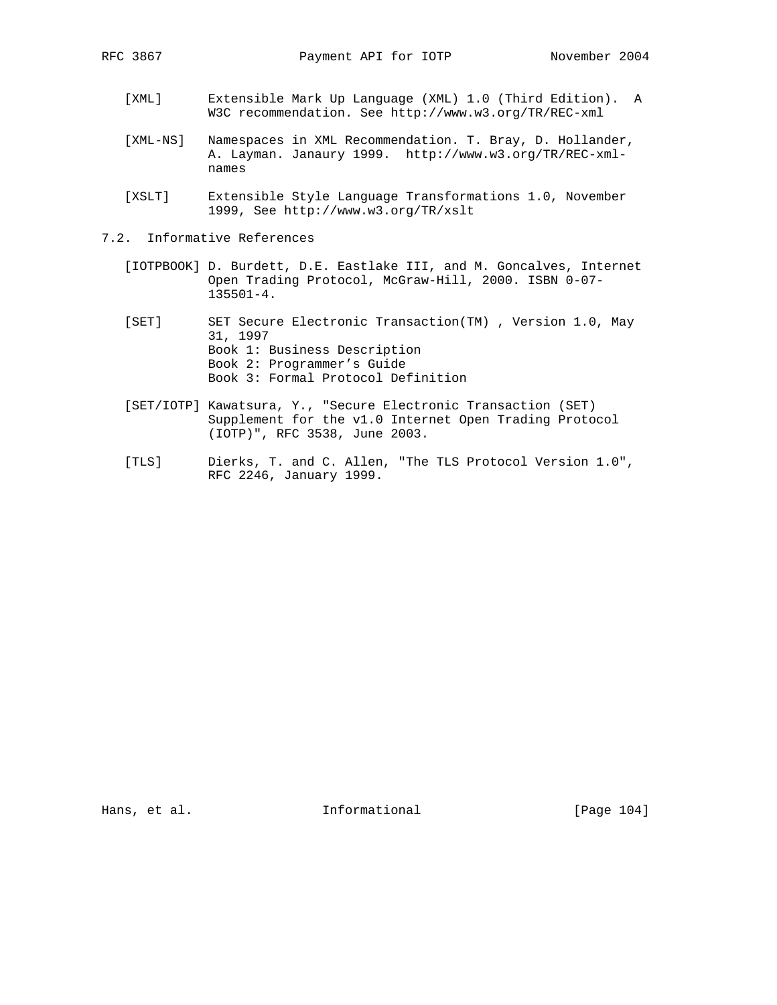- [XML] Extensible Mark Up Language (XML) 1.0 (Third Edition). A W3C recommendation. See http://www.w3.org/TR/REC-xml
- [XML-NS] Namespaces in XML Recommendation. T. Bray, D. Hollander, A. Layman. Janaury 1999. http://www.w3.org/TR/REC-xml names
- [XSLT] Extensible Style Language Transformations 1.0, November 1999, See http://www.w3.org/TR/xslt
- 7.2. Informative References
	- [IOTPBOOK] D. Burdett, D.E. Eastlake III, and M. Goncalves, Internet Open Trading Protocol, McGraw-Hill, 2000. ISBN 0-07- 135501-4.
	- [SET] SET Secure Electronic Transaction(TM) , Version 1.0, May 31, 1997 Book 1: Business Description Book 2: Programmer's Guide Book 3: Formal Protocol Definition
	- [SET/IOTP] Kawatsura, Y., "Secure Electronic Transaction (SET) Supplement for the v1.0 Internet Open Trading Protocol (IOTP)", RFC 3538, June 2003.
	- [TLS] Dierks, T. and C. Allen, "The TLS Protocol Version 1.0", RFC 2246, January 1999.

Hans, et al. 100 mm informational 100 mm informational [Page 104]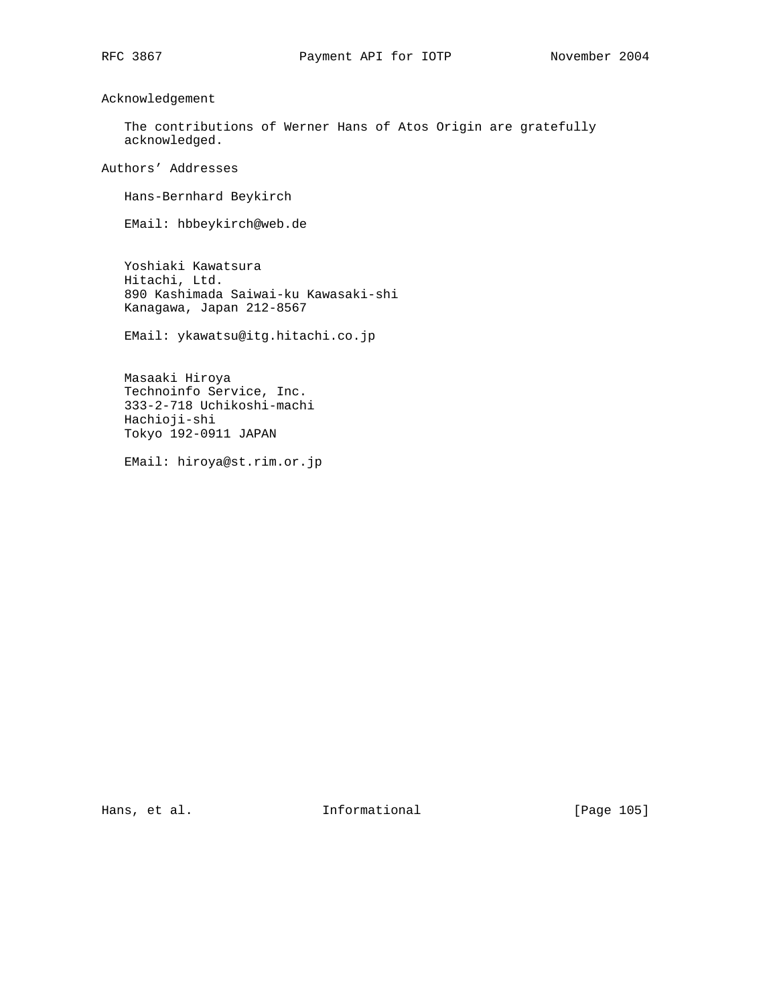Acknowledgement

 The contributions of Werner Hans of Atos Origin are gratefully acknowledged.

Authors' Addresses

Hans-Bernhard Beykirch

EMail: hbbeykirch@web.de

 Yoshiaki Kawatsura Hitachi, Ltd. 890 Kashimada Saiwai-ku Kawasaki-shi Kanagawa, Japan 212-8567

EMail: ykawatsu@itg.hitachi.co.jp

 Masaaki Hiroya Technoinfo Service, Inc. 333-2-718 Uchikoshi-machi Hachioji-shi Tokyo 192-0911 JAPAN

EMail: hiroya@st.rim.or.jp

Hans, et al. 100 mm informational 100 mm informational [Page 105]